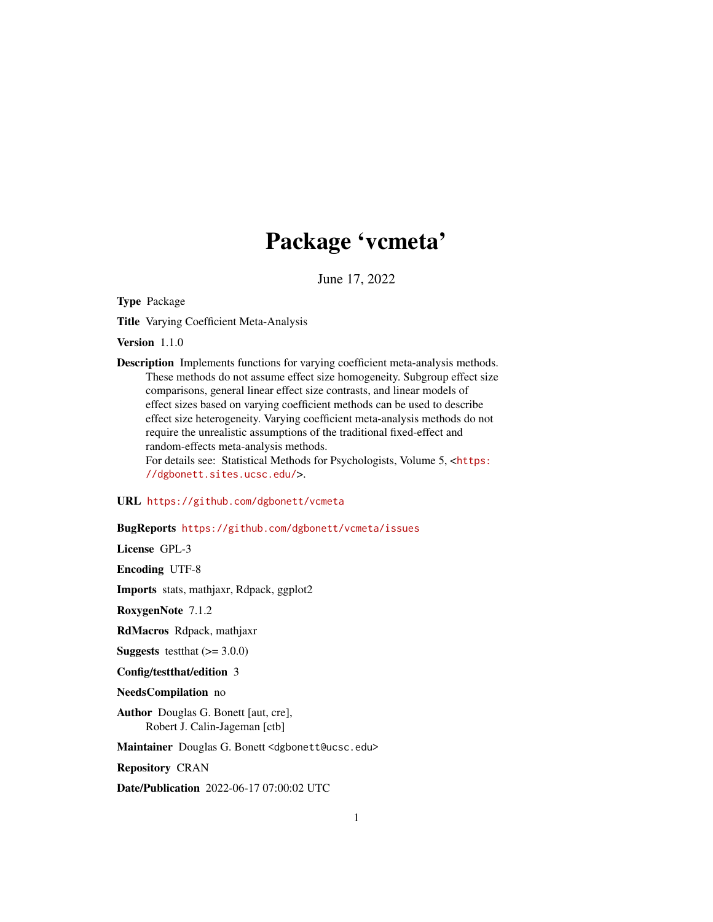# Package 'vcmeta'

June 17, 2022

Type Package

Title Varying Coefficient Meta-Analysis

Version 1.1.0

Description Implements functions for varying coefficient meta-analysis methods. These methods do not assume effect size homogeneity. Subgroup effect size comparisons, general linear effect size contrasts, and linear models of effect sizes based on varying coefficient methods can be used to describe effect size heterogeneity. Varying coefficient meta-analysis methods do not require the unrealistic assumptions of the traditional fixed-effect and random-effects meta-analysis methods. For details see: Statistical Methods for Psychologists, Volume 5, <[https:](https://dgbonett.sites.ucsc.edu/) [//dgbonett.sites.ucsc.edu/](https://dgbonett.sites.ucsc.edu/)>.

URL <https://github.com/dgbonett/vcmeta>

# BugReports <https://github.com/dgbonett/vcmeta/issues>

License GPL-3

Encoding UTF-8

Imports stats, mathjaxr, Rdpack, ggplot2

RoxygenNote 7.1.2

RdMacros Rdpack, mathjaxr

**Suggests** testthat  $(>= 3.0.0)$ 

Config/testthat/edition 3

NeedsCompilation no

Author Douglas G. Bonett [aut, cre], Robert J. Calin-Jageman [ctb]

Maintainer Douglas G. Bonett <dgbonett@ucsc.edu>

Repository CRAN

Date/Publication 2022-06-17 07:00:02 UTC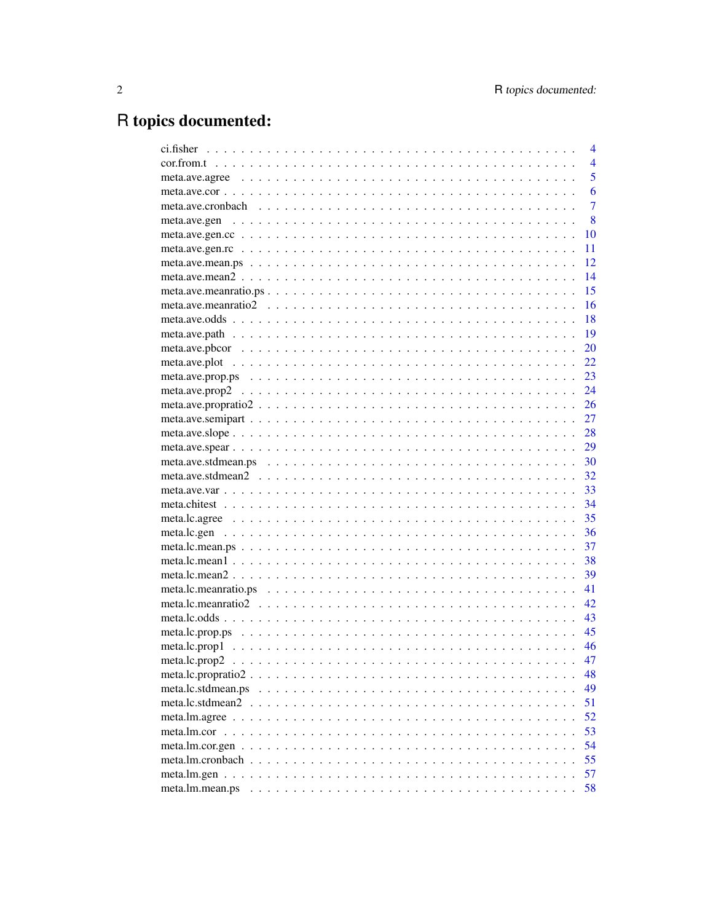# R topics documented:

|                 | 4              |
|-----------------|----------------|
|                 | $\overline{4}$ |
|                 | 5              |
|                 | 6              |
|                 | $\overline{7}$ |
|                 | 8              |
|                 | 10             |
|                 | 11             |
|                 | 12             |
|                 | 14             |
|                 | 15             |
|                 | 16             |
|                 | 18             |
|                 | 19             |
|                 | 20             |
|                 | 22             |
|                 | 23             |
|                 | 24             |
|                 | 26             |
|                 | 27             |
|                 | 28             |
|                 | 29             |
|                 | 30             |
|                 | 32             |
|                 | 33             |
|                 | 34             |
|                 | 35             |
|                 | 36             |
|                 | 37             |
|                 | 38             |
|                 | 39             |
|                 | 41             |
|                 | 42             |
|                 | 43             |
|                 | 45             |
|                 | 46             |
|                 | 47             |
|                 | 48             |
|                 | 49             |
|                 | 51             |
|                 | 52             |
|                 | 53             |
|                 | 54             |
|                 | 55             |
|                 | 57             |
| meta.lm.mean.ps | 58             |
|                 |                |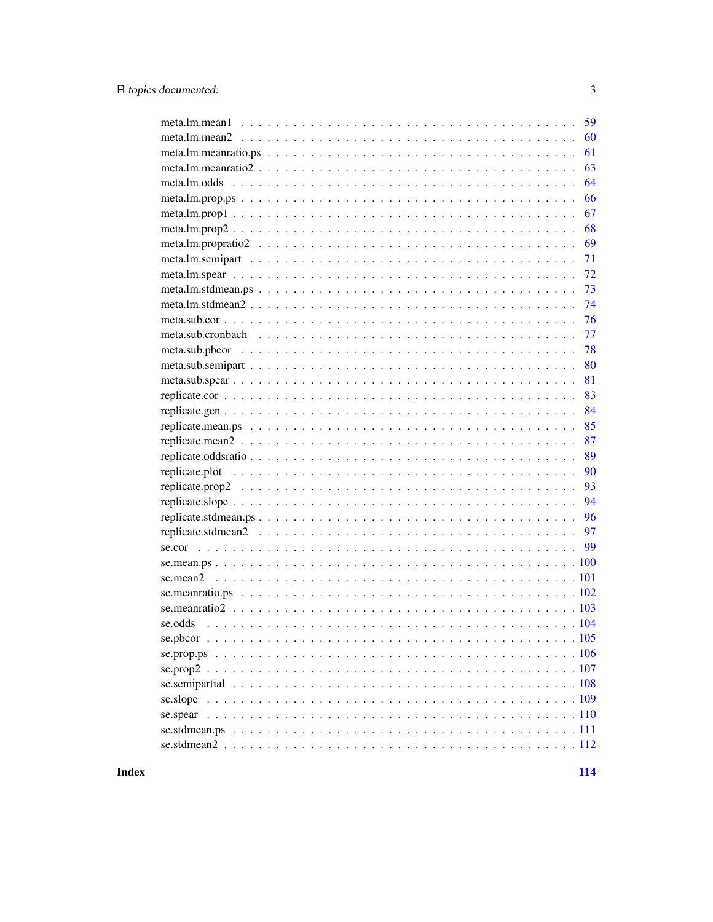| 59                                                                                                                     |
|------------------------------------------------------------------------------------------------------------------------|
| 60                                                                                                                     |
| 61                                                                                                                     |
| meta.lm.meanratio $2 \ldots \ldots \ldots \ldots \ldots \ldots \ldots \ldots \ldots \ldots \ldots \ldots \ldots$<br>63 |
| 64                                                                                                                     |
| 66                                                                                                                     |
| 67                                                                                                                     |
| 68                                                                                                                     |
| 69                                                                                                                     |
| 71                                                                                                                     |
| 72                                                                                                                     |
| 73                                                                                                                     |
| 74                                                                                                                     |
| 76                                                                                                                     |
| 77                                                                                                                     |
| 78                                                                                                                     |
| 80                                                                                                                     |
| 81                                                                                                                     |
| 83                                                                                                                     |
| 84                                                                                                                     |
| 85                                                                                                                     |
| 87                                                                                                                     |
| 89                                                                                                                     |
| 90                                                                                                                     |
| 93                                                                                                                     |
| 94                                                                                                                     |
| 96                                                                                                                     |
|                                                                                                                        |
| -99                                                                                                                    |
|                                                                                                                        |
|                                                                                                                        |
|                                                                                                                        |
|                                                                                                                        |
| se.odds                                                                                                                |
|                                                                                                                        |
|                                                                                                                        |
|                                                                                                                        |
|                                                                                                                        |
|                                                                                                                        |
|                                                                                                                        |
|                                                                                                                        |
|                                                                                                                        |
|                                                                                                                        |

**Index**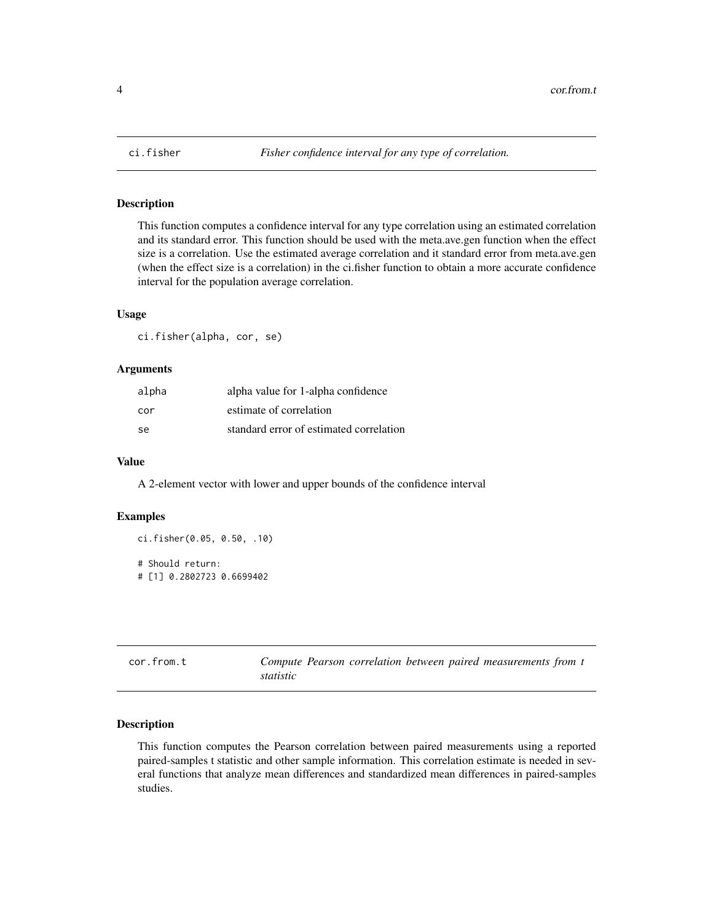<span id="page-3-0"></span>

# Description

This function computes a confidence interval for any type correlation using an estimated correlation and its standard error. This function should be used with the meta.ave.gen function when the effect size is a correlation. Use the estimated average correlation and it standard error from meta.ave.gen (when the effect size is a correlation) in the ci.fisher function to obtain a more accurate confidence interval for the population average correlation.

#### Usage

ci.fisher(alpha, cor, se)

#### Arguments

| alpha | alpha value for 1-alpha confidence      |
|-------|-----------------------------------------|
| cor   | estimate of correlation                 |
| se    | standard error of estimated correlation |

#### Value

A 2-element vector with lower and upper bounds of the confidence interval

# Examples

```
ci.fisher(0.05, 0.50, .10)
# Should return:
# [1] 0.2802723 0.6699402
```

| cor.from.t |           |  |  | Compute Pearson correlation between paired measurements from t |  |
|------------|-----------|--|--|----------------------------------------------------------------|--|
|            | statistic |  |  |                                                                |  |

# Description

This function computes the Pearson correlation between paired measurements using a reported paired-samples t statistic and other sample information. This correlation estimate is needed in several functions that analyze mean differences and standardized mean differences in paired-samples studies.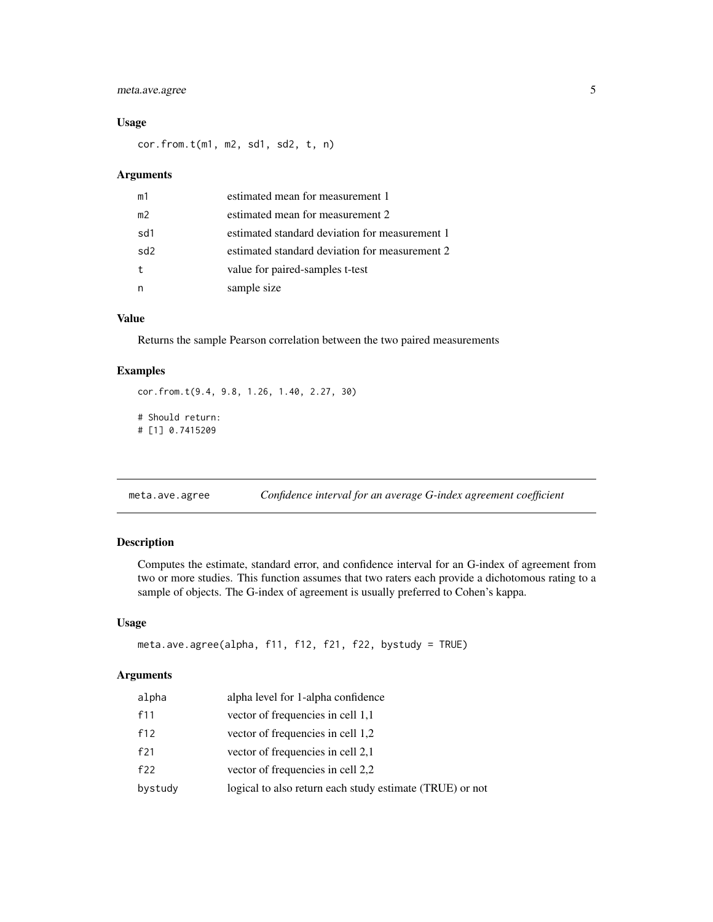# <span id="page-4-0"></span>meta.ave.agree 5

# Usage

cor.from.t(m1, m2, sd1, sd2, t, n)

# Arguments

| m1             | estimated mean for measurement 1               |
|----------------|------------------------------------------------|
| m <sup>2</sup> | estimated mean for measurement 2               |
| sd1            | estimated standard deviation for measurement 1 |
| sd2            | estimated standard deviation for measurement 2 |
|                | value for paired-samples t-test                |
|                | sample size                                    |

# Value

Returns the sample Pearson correlation between the two paired measurements

# Examples

```
cor.from.t(9.4, 9.8, 1.26, 1.40, 2.27, 30)
# Should return:
# [1] 0.7415209
```
meta.ave.agree *Confidence interval for an average G-index agreement coefficient*

# Description

Computes the estimate, standard error, and confidence interval for an G-index of agreement from two or more studies. This function assumes that two raters each provide a dichotomous rating to a sample of objects. The G-index of agreement is usually preferred to Cohen's kappa.

#### Usage

```
meta.ave.agree(alpha, f11, f12, f21, f22, bystudy = TRUE)
```

| alpha   | alpha level for 1-alpha confidence                       |
|---------|----------------------------------------------------------|
| f11     | vector of frequencies in cell 1,1                        |
| f12     | vector of frequencies in cell 1,2                        |
| f21     | vector of frequencies in cell 2,1                        |
| f22     | vector of frequencies in cell 2,2                        |
| bystudy | logical to also return each study estimate (TRUE) or not |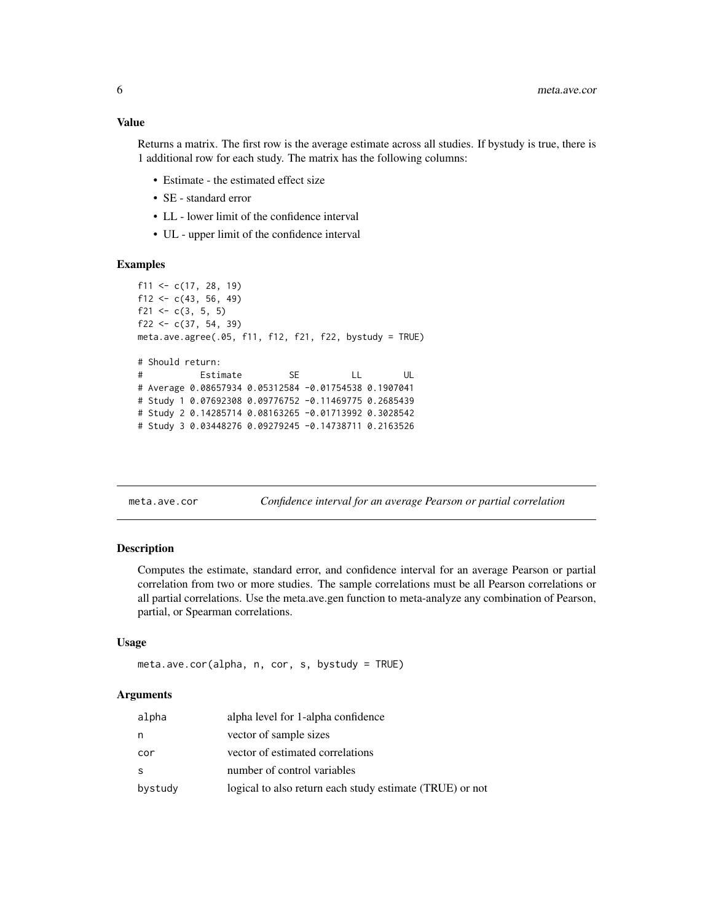# <span id="page-5-0"></span>Value

Returns a matrix. The first row is the average estimate across all studies. If bystudy is true, there is 1 additional row for each study. The matrix has the following columns:

- Estimate the estimated effect size
- SE standard error
- LL lower limit of the confidence interval
- UL upper limit of the confidence interval

#### Examples

```
f11 <- c(17, 28, 19)f12 <- c(43, 56, 49)
f21 <- c(3, 5, 5)f22 <- c(37, 54, 39)meta.ave.agree(.05, f11, f12, f21, f22, bystudy = TRUE)
# Should return:
# Estimate SE LL UL
# Average 0.08657934 0.05312584 -0.01754538 0.1907041
# Study 1 0.07692308 0.09776752 -0.11469775 0.2685439
# Study 2 0.14285714 0.08163265 -0.01713992 0.3028542
# Study 3 0.03448276 0.09279245 -0.14738711 0.2163526
```
meta.ave.cor *Confidence interval for an average Pearson or partial correlation*

#### Description

Computes the estimate, standard error, and confidence interval for an average Pearson or partial correlation from two or more studies. The sample correlations must be all Pearson correlations or all partial correlations. Use the meta.ave.gen function to meta-analyze any combination of Pearson, partial, or Spearman correlations.

#### Usage

```
meta.ave.cor(alpha, n, cor, s, bystudy = TRUE)
```

| bystudy | logical to also return each study estimate (TRUE) or not |
|---------|----------------------------------------------------------|
| S       | number of control variables                              |
| cor     | vector of estimated correlations                         |
| n       | vector of sample sizes                                   |
| alpha   | alpha level for 1-alpha confidence                       |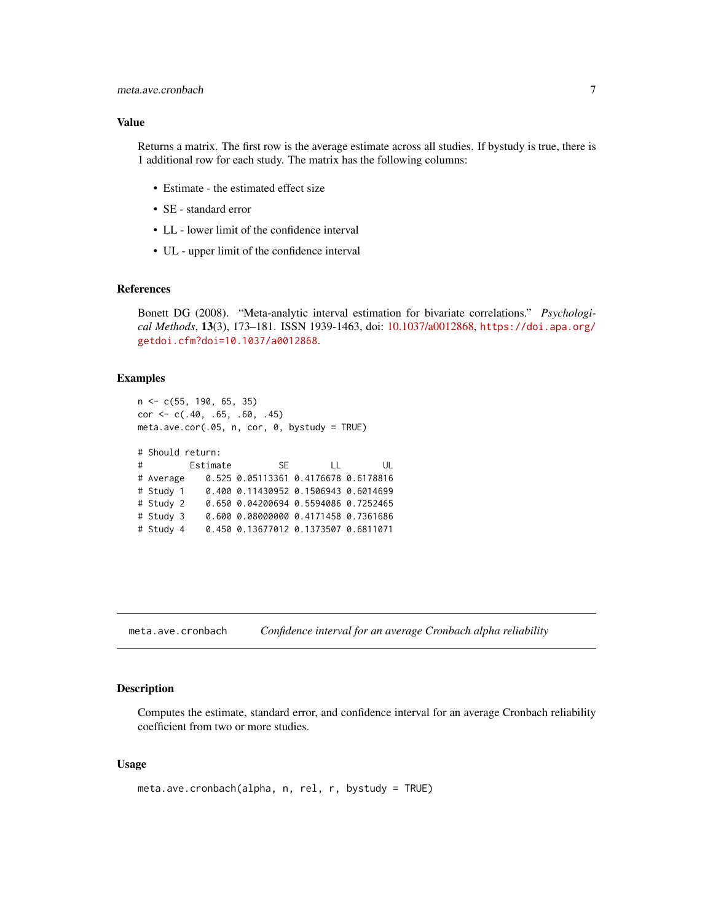# <span id="page-6-0"></span>Value

Returns a matrix. The first row is the average estimate across all studies. If bystudy is true, there is 1 additional row for each study. The matrix has the following columns:

- Estimate the estimated effect size
- SE standard error
- LL lower limit of the confidence interval
- UL upper limit of the confidence interval

#### References

Bonett DG (2008). "Meta-analytic interval estimation for bivariate correlations." *Psychological Methods*, 13(3), 173–181. ISSN 1939-1463, doi: [10.1037/a0012868,](https://doi.org/10.1037/a0012868) [https://doi.apa.org/](https://doi.apa.org/getdoi.cfm?doi=10.1037/a0012868) [getdoi.cfm?doi=10.1037/a0012868](https://doi.apa.org/getdoi.cfm?doi=10.1037/a0012868).

# Examples

```
n <- c(55, 190, 65, 35)
cor \leq c(.40, .65, .60, .45)meta.ave.cor(.05, n, cor, 0, bystudy = TRUE)
# Should return:
# Estimate SE LL UL
# Average 0.525 0.05113361 0.4176678 0.6178816
# Study 1 0.400 0.11430952 0.1506943 0.6014699
# Study 2 0.650 0.04200694 0.5594086 0.7252465
# Study 3 0.600 0.08000000 0.4171458 0.7361686
# Study 4 0.450 0.13677012 0.1373507 0.6811071
```
meta.ave.cronbach *Confidence interval for an average Cronbach alpha reliability*

#### Description

Computes the estimate, standard error, and confidence interval for an average Cronbach reliability coefficient from two or more studies.

#### Usage

```
meta.ave.cronbach(alpha, n, rel, r, bystudy = TRUE)
```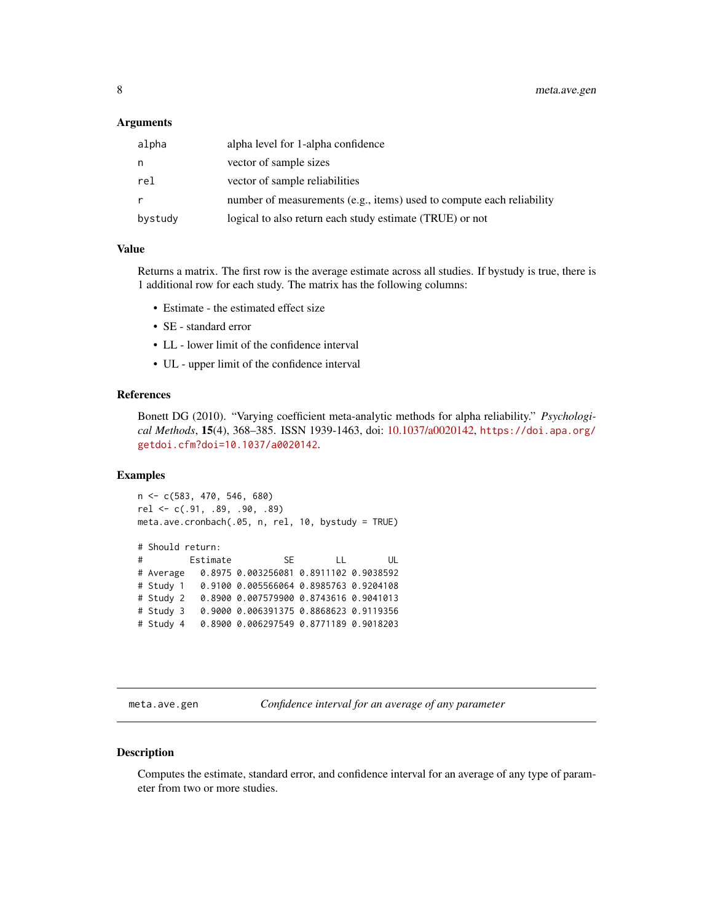#### <span id="page-7-0"></span>**Arguments**

| alpha   | alpha level for 1-alpha confidence                                    |
|---------|-----------------------------------------------------------------------|
| n       | vector of sample sizes                                                |
| rel     | vector of sample reliabilities                                        |
| r       | number of measurements (e.g., items) used to compute each reliability |
| bystudy | logical to also return each study estimate (TRUE) or not              |

# Value

Returns a matrix. The first row is the average estimate across all studies. If bystudy is true, there is 1 additional row for each study. The matrix has the following columns:

- Estimate the estimated effect size
- SE standard error
- LL lower limit of the confidence interval
- UL upper limit of the confidence interval

#### References

Bonett DG (2010). "Varying coefficient meta-analytic methods for alpha reliability." *Psychological Methods*, 15(4), 368–385. ISSN 1939-1463, doi: [10.1037/a0020142,](https://doi.org/10.1037/a0020142) [https://doi.apa.org/](https://doi.apa.org/getdoi.cfm?doi=10.1037/a0020142) [getdoi.cfm?doi=10.1037/a0020142](https://doi.apa.org/getdoi.cfm?doi=10.1037/a0020142).

#### Examples

```
n <- c(583, 470, 546, 680)
rel <- c(.91, .89, .90, .89)
meta.ave.cronbach(.05, n, rel, 10, bystudy = TRUE)
# Should return:
# Estimate SE LL UL
# Average 0.8975 0.003256081 0.8911102 0.9038592
# Study 1 0.9100 0.005566064 0.8985763 0.9204108
# Study 2 0.8900 0.007579900 0.8743616 0.9041013
# Study 3 0.9000 0.006391375 0.8868623 0.9119356
# Study 4 0.8900 0.006297549 0.8771189 0.9018203
```
meta.ave.gen *Confidence interval for an average of any parameter*

# Description

Computes the estimate, standard error, and confidence interval for an average of any type of parameter from two or more studies.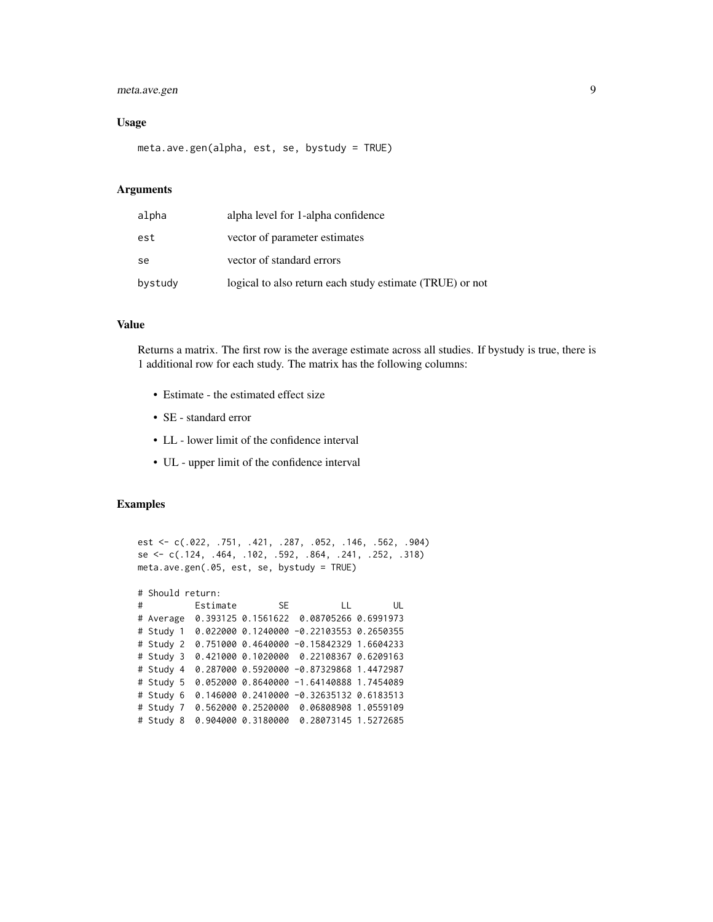# meta.ave.gen 9

#### Usage

meta.ave.gen(alpha, est, se, bystudy = TRUE)

# Arguments

| alpha   | alpha level for 1-alpha confidence                       |
|---------|----------------------------------------------------------|
| est     | vector of parameter estimates                            |
| se      | vector of standard errors                                |
| bystudy | logical to also return each study estimate (TRUE) or not |

#### Value

Returns a matrix. The first row is the average estimate across all studies. If bystudy is true, there is 1 additional row for each study. The matrix has the following columns:

- Estimate the estimated effect size
- SE standard error
- LL lower limit of the confidence interval
- UL upper limit of the confidence interval

#### Examples

```
est <- c(.022, .751, .421, .287, .052, .146, .562, .904)
se <- c(.124, .464, .102, .592, .864, .241, .252, .318)
meta.ave.gen(.05, est, se, bystudy = TRUE)
# Should return:
# Estimate SE LL UL
# Average 0.393125 0.1561622 0.08705266 0.6991973
# Study 1 0.022000 0.1240000 -0.22103553 0.2650355
# Study 2 0.751000 0.4640000 -0.15842329 1.6604233
# Study 3 0.421000 0.1020000 0.22108367 0.6209163
# Study 4 0.287000 0.5920000 -0.87329868 1.4472987
# Study 5 0.052000 0.8640000 -1.64140888 1.7454089
# Study 6 0.146000 0.2410000 -0.32635132 0.6183513
# Study 7 0.562000 0.2520000 0.06808908 1.0559109
# Study 8 0.904000 0.3180000 0.28073145 1.5272685
```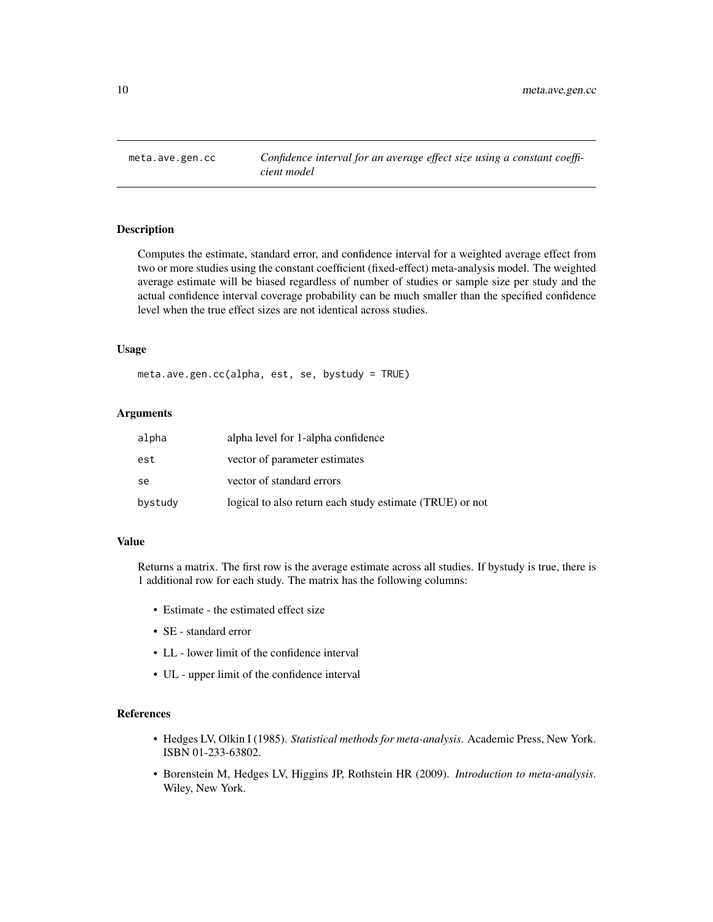<span id="page-9-0"></span>

# Description

Computes the estimate, standard error, and confidence interval for a weighted average effect from two or more studies using the constant coefficient (fixed-effect) meta-analysis model. The weighted average estimate will be biased regardless of number of studies or sample size per study and the actual confidence interval coverage probability can be much smaller than the specified confidence level when the true effect sizes are not identical across studies.

#### Usage

```
meta.ave.gen.cc(alpha, est, se, bystudy = TRUE)
```
# Arguments

| alpha   | alpha level for 1-alpha confidence                       |
|---------|----------------------------------------------------------|
| est     | vector of parameter estimates                            |
| se      | vector of standard errors                                |
| bystudy | logical to also return each study estimate (TRUE) or not |

# Value

Returns a matrix. The first row is the average estimate across all studies. If bystudy is true, there is 1 additional row for each study. The matrix has the following columns:

- Estimate the estimated effect size
- SE standard error
- LL lower limit of the confidence interval
- UL upper limit of the confidence interval

# References

- Hedges LV, Olkin I (1985). *Statistical methods for meta-analysis*. Academic Press, New York. ISBN 01-233-63802.
- Borenstein M, Hedges LV, Higgins JP, Rothstein HR (2009). *Introduction to meta-analysis*. Wiley, New York.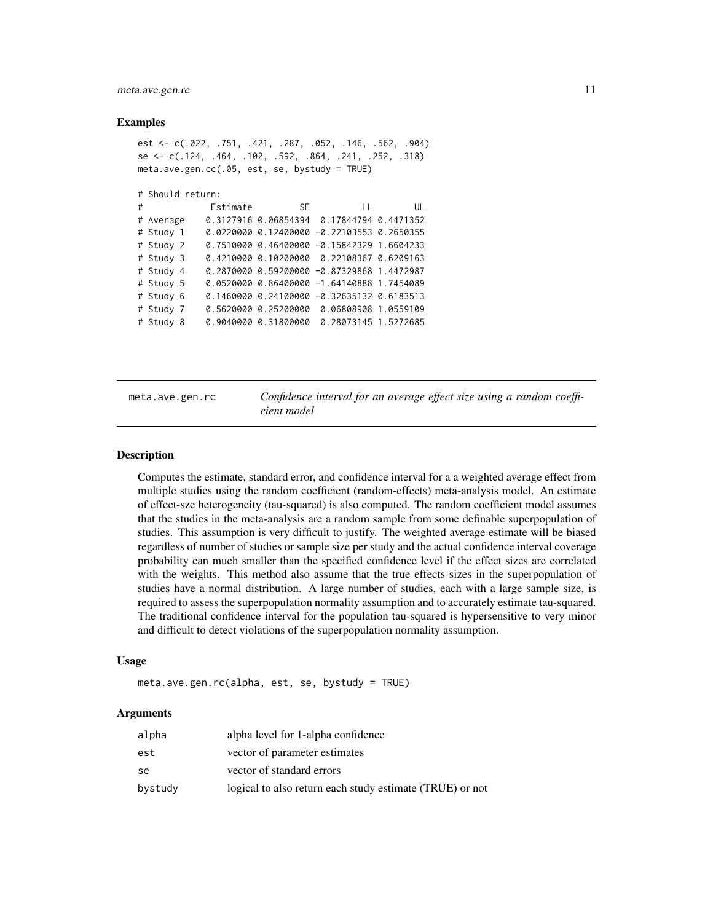#### <span id="page-10-0"></span>meta.ave.gen.rc 11

#### Examples

```
est <- c(.022, .751, .421, .287, .052, .146, .562, .904)
se <- c(.124, .464, .102, .592, .864, .241, .252, .318)
meta.ave.gen.cc(.05, est, se, bystudy = TRUE)
# Should return:
# Estimate SE LL UL
# Average 0.3127916 0.06854394 0.17844794 0.4471352
# Study 1 0.0220000 0.12400000 -0.22103553 0.2650355
# Study 2 0.7510000 0.46400000 -0.15842329 1.6604233
# Study 3 0.4210000 0.10200000 0.22108367 0.6209163
# Study 4 0.2870000 0.59200000 -0.87329868 1.4472987
# Study 5 0.0520000 0.86400000 -1.64140888 1.7454089
# Study 6 0.1460000 0.24100000 -0.32635132 0.6183513
# Study 7 0.5620000 0.25200000 0.06808908 1.0559109
# Study 8 0.9040000 0.31800000 0.28073145 1.5272685
```
meta.ave.gen.rc *Confidence interval for an average effect size using a random coefficient model*

#### Description

Computes the estimate, standard error, and confidence interval for a a weighted average effect from multiple studies using the random coefficient (random-effects) meta-analysis model. An estimate of effect-sze heterogeneity (tau-squared) is also computed. The random coefficient model assumes that the studies in the meta-analysis are a random sample from some definable superpopulation of studies. This assumption is very difficult to justify. The weighted average estimate will be biased regardless of number of studies or sample size per study and the actual confidence interval coverage probability can much smaller than the specified confidence level if the effect sizes are correlated with the weights. This method also assume that the true effects sizes in the superpopulation of studies have a normal distribution. A large number of studies, each with a large sample size, is required to assess the superpopulation normality assumption and to accurately estimate tau-squared. The traditional confidence interval for the population tau-squared is hypersensitive to very minor and difficult to detect violations of the superpopulation normality assumption.

#### Usage

```
meta.ave.gen.rc(alpha, est, se, bystudy = TRUE)
```

| alpha   | alpha level for 1-alpha confidence                       |
|---------|----------------------------------------------------------|
| est     | vector of parameter estimates                            |
| se      | vector of standard errors                                |
| bystudy | logical to also return each study estimate (TRUE) or not |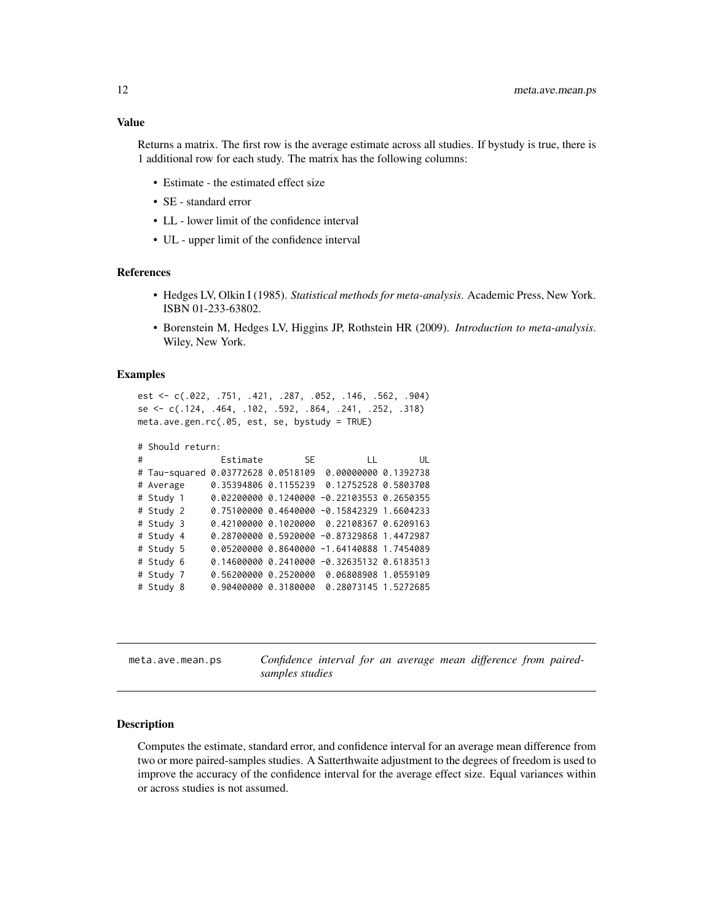# <span id="page-11-0"></span>Value

Returns a matrix. The first row is the average estimate across all studies. If bystudy is true, there is 1 additional row for each study. The matrix has the following columns:

- Estimate the estimated effect size
- SE standard error
- LL lower limit of the confidence interval
- UL upper limit of the confidence interval

#### References

- Hedges LV, Olkin I (1985). *Statistical methods for meta-analysis*. Academic Press, New York. ISBN 01-233-63802.
- Borenstein M, Hedges LV, Higgins JP, Rothstein HR (2009). *Introduction to meta-analysis*. Wiley, New York.

#### Examples

```
est <- c(.022, .751, .421, .287, .052, .146, .562, .904)
se <- c(.124, .464, .102, .592, .864, .241, .252, .318)
meta.ave.gen.rc(.05, est, se, bystudy = TRUE)
```

```
# Should return:
```

| # |                                    | Estimate SE |                                            | UL<br>LL and the |
|---|------------------------------------|-------------|--------------------------------------------|------------------|
|   | # Tau-squared 0.03772628 0.0518109 |             | 0.00000000 0.1392738                       |                  |
|   | # Average                          |             | 0.35394806 0.1155239 0.12752528 0.5803708  |                  |
|   | # Study 1                          |             | 0.02200000 0.1240000 -0.22103553 0.2650355 |                  |
|   | # Study 2                          |             |                                            |                  |
|   | # Study 3                          |             | 0.42100000 0.1020000 0.22108367 0.6209163  |                  |
|   | # Study 4                          |             | 0.28700000 0.5920000 -0.87329868 1.4472987 |                  |
|   | # Study 5                          |             | 0.05200000 0.8640000 -1.64140888 1.7454089 |                  |
|   | # Study 6                          |             | 0.14600000 0.2410000 -0.32635132 0.6183513 |                  |
|   | # Study 7                          |             | 0.56200000 0.2520000 0.06808908 1.0559109  |                  |
|   | # Study 8                          |             | 0.90400000 0.3180000 0.28073145 1.5272685  |                  |

meta.ave.mean.ps *Confidence interval for an average mean difference from pairedsamples studies*

#### Description

Computes the estimate, standard error, and confidence interval for an average mean difference from two or more paired-samples studies. A Satterthwaite adjustment to the degrees of freedom is used to improve the accuracy of the confidence interval for the average effect size. Equal variances within or across studies is not assumed.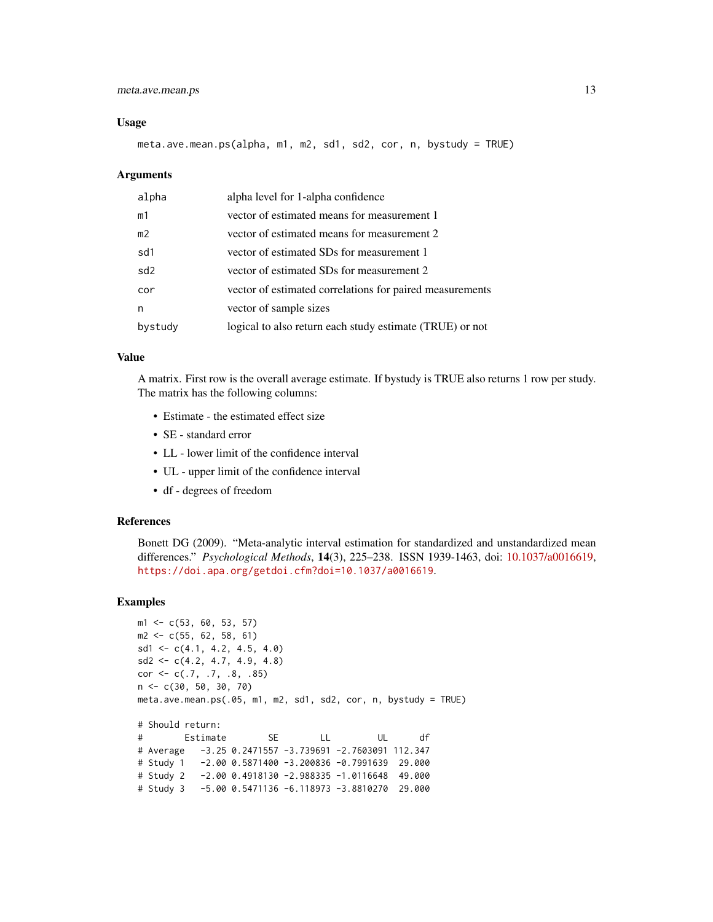# meta.ave.mean.ps 13

#### Usage

meta.ave.mean.ps(alpha, m1, m2, sd1, sd2, cor, n, bystudy = TRUE)

#### Arguments

| alpha           | alpha level for 1-alpha confidence                       |
|-----------------|----------------------------------------------------------|
| m1              | vector of estimated means for measurement 1              |
| m <sub>2</sub>  | vector of estimated means for measurement 2              |
| sd1             | vector of estimated SDs for measurement 1                |
| sd <sub>2</sub> | vector of estimated SDs for measurement 2                |
| cor             | vector of estimated correlations for paired measurements |
| n               | vector of sample sizes                                   |
| bystudy         | logical to also return each study estimate (TRUE) or not |

# Value

A matrix. First row is the overall average estimate. If bystudy is TRUE also returns 1 row per study. The matrix has the following columns:

- Estimate the estimated effect size
- SE standard error
- LL lower limit of the confidence interval
- UL upper limit of the confidence interval
- df degrees of freedom

# References

Bonett DG (2009). "Meta-analytic interval estimation for standardized and unstandardized mean differences." *Psychological Methods*, 14(3), 225–238. ISSN 1939-1463, doi: [10.1037/a0016619,](https://doi.org/10.1037/a0016619) <https://doi.apa.org/getdoi.cfm?doi=10.1037/a0016619>.

# Examples

```
m1 <- c(53, 60, 53, 57)
m2 \leq -c(55, 62, 58, 61)sd1 \leftarrow c(4.1, 4.2, 4.5, 4.0)sd2 \leq -c(4.2, 4.7, 4.9, 4.8)cor \leq c(.7, .7, .8, .85)n <- c(30, 50, 30, 70)
meta.ave.mean.ps(.05, m1, m2, sd1, sd2, cor, n, bystudy = TRUE)
# Should return:
# Estimate SE LL UL df
# Average -3.25 0.2471557 -3.739691 -2.7603091 112.347
# Study 1 -2.00 0.5871400 -3.200836 -0.7991639 29.000
# Study 2 -2.00 0.4918130 -2.988335 -1.0116648 49.000
# Study 3 -5.00 0.5471136 -6.118973 -3.8810270 29.000
```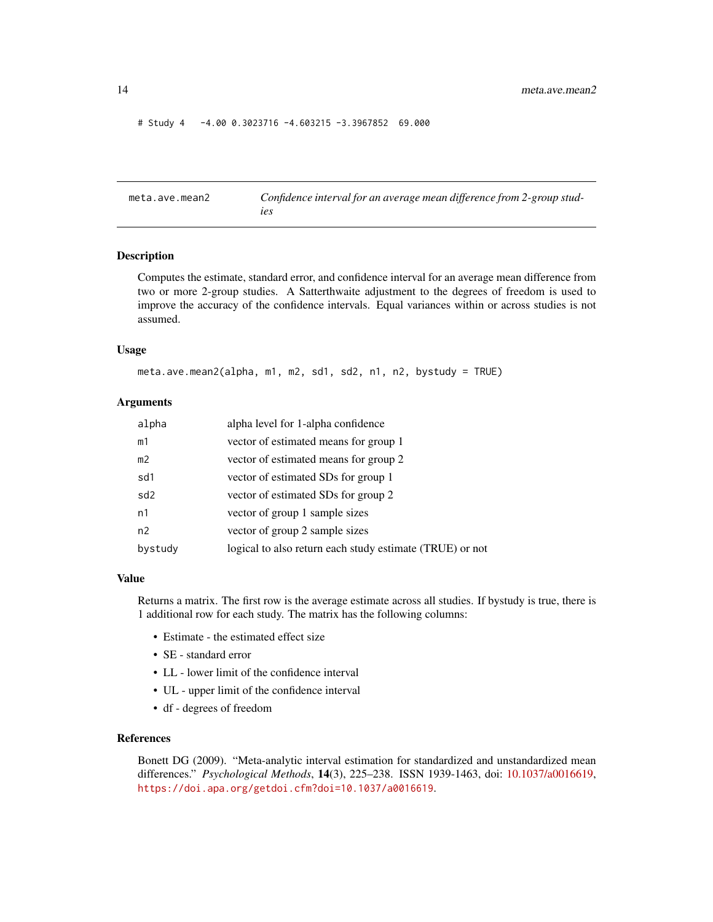#### # Study 4 -4.00 0.3023716 -4.603215 -3.3967852 69.000

meta.ave.mean2 *Confidence interval for an average mean difference from 2-group studies*

# Description

Computes the estimate, standard error, and confidence interval for an average mean difference from two or more 2-group studies. A Satterthwaite adjustment to the degrees of freedom is used to improve the accuracy of the confidence intervals. Equal variances within or across studies is not assumed.

#### Usage

```
meta.ave.mean2(alpha, m1, m2, sd1, sd2, n1, n2, bystudy = TRUE)
```
# Arguments

| alpha           | alpha level for 1-alpha confidence                       |
|-----------------|----------------------------------------------------------|
| m1              | vector of estimated means for group 1                    |
| m <sub>2</sub>  | vector of estimated means for group 2                    |
| sd1             | vector of estimated SDs for group 1                      |
| sd <sub>2</sub> | vector of estimated SDs for group 2                      |
| n1              | vector of group 1 sample sizes                           |
| n <sub>2</sub>  | vector of group 2 sample sizes                           |
| bystudy         | logical to also return each study estimate (TRUE) or not |

# Value

Returns a matrix. The first row is the average estimate across all studies. If bystudy is true, there is 1 additional row for each study. The matrix has the following columns:

- Estimate the estimated effect size
- SE standard error
- LL lower limit of the confidence interval
- UL upper limit of the confidence interval
- df degrees of freedom

# References

Bonett DG (2009). "Meta-analytic interval estimation for standardized and unstandardized mean differences." *Psychological Methods*, 14(3), 225–238. ISSN 1939-1463, doi: [10.1037/a0016619,](https://doi.org/10.1037/a0016619) <https://doi.apa.org/getdoi.cfm?doi=10.1037/a0016619>.

<span id="page-13-0"></span>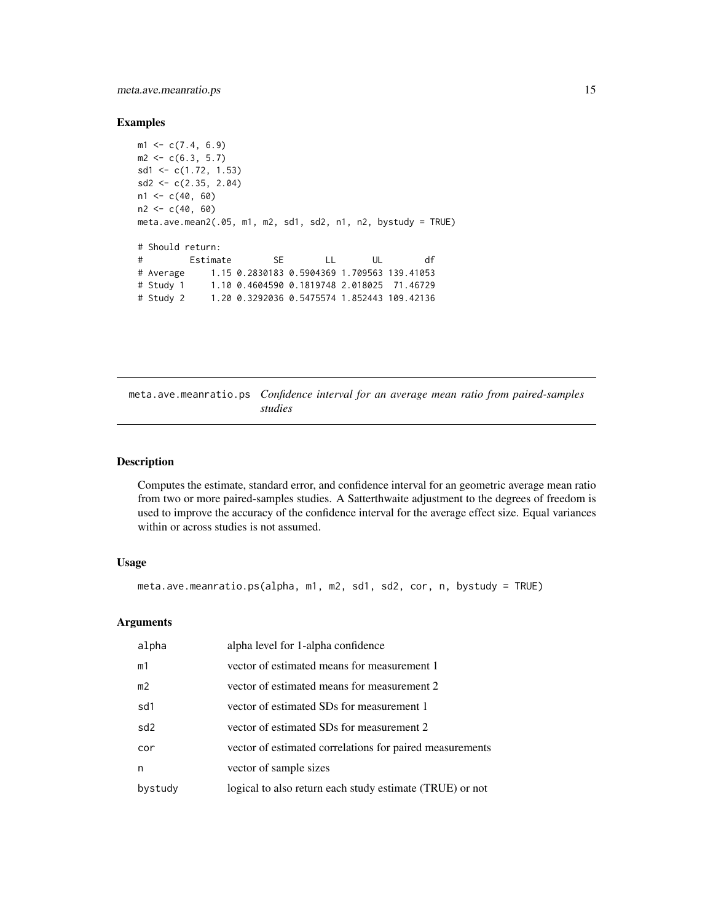# <span id="page-14-0"></span>meta.ave.meanratio.ps 15

#### Examples

```
m1 \leq -c(7.4, 6.9)m2 < -c(6.3, 5.7)sd1 <- c(1.72, 1.53)
sd2 \leq c(2.35, 2.04)n1 < -c(40, 60)n2 < -c(40, 60)meta.ave.mean2(.05, m1, m2, sd1, sd2, n1, n2, bystudy = TRUE)
# Should return:
# Estimate SE LL UL df
# Average 1.15 0.2830183 0.5904369 1.709563 139.41053
# Study 1 1.10 0.4604590 0.1819748 2.018025 71.46729
# Study 2 1.20 0.3292036 0.5475574 1.852443 109.42136
```
meta.ave.meanratio.ps *Confidence interval for an average mean ratio from paired-samples studies*

# Description

Computes the estimate, standard error, and confidence interval for an geometric average mean ratio from two or more paired-samples studies. A Satterthwaite adjustment to the degrees of freedom is used to improve the accuracy of the confidence interval for the average effect size. Equal variances within or across studies is not assumed.

# Usage

```
meta.ave.meanratio.ps(alpha, m1, m2, sd1, sd2, cor, n, bystudy = TRUE)
```

| alpha   | alpha level for 1-alpha confidence                       |
|---------|----------------------------------------------------------|
| m1      | vector of estimated means for measurement 1              |
| m2      | vector of estimated means for measurement 2              |
| sd1     | vector of estimated SDs for measurement 1                |
| sd2     | vector of estimated SDs for measurement 2                |
| cor     | vector of estimated correlations for paired measurements |
| n       | vector of sample sizes                                   |
| bystudy | logical to also return each study estimate (TRUE) or not |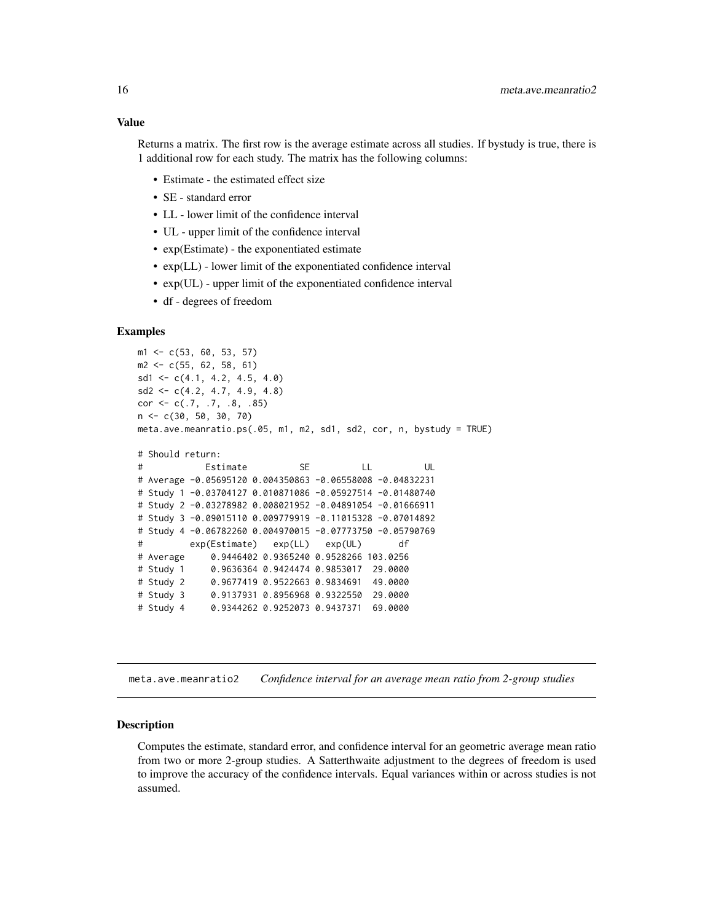# <span id="page-15-0"></span>Value

Returns a matrix. The first row is the average estimate across all studies. If bystudy is true, there is 1 additional row for each study. The matrix has the following columns:

- Estimate the estimated effect size
- SE standard error
- LL lower limit of the confidence interval
- UL upper limit of the confidence interval
- exp(Estimate) the exponentiated estimate
- exp(LL) lower limit of the exponentiated confidence interval
- exp(UL) upper limit of the exponentiated confidence interval
- df degrees of freedom

# Examples

```
m1 <- c(53, 60, 53, 57)
m2 \leq -c(55, 62, 58, 61)sd1 \leftarrow c(4.1, 4.2, 4.5, 4.0)sd2 \leq c(4.2, 4.7, 4.9, 4.8)cor <- c(.7, .7, .8, .85)
n <- c(30, 50, 30, 70)
meta.ave.meanratio.ps(.05, m1, m2, sd1, sd2, cor, n, bystudy = TRUE)
# Should return:
# Estimate SE LL UL
# Average -0.05695120 0.004350863 -0.06558008 -0.04832231
# Study 1 -0.03704127 0.010871086 -0.05927514 -0.01480740
# Study 2 -0.03278982 0.008021952 -0.04891054 -0.01666911
# Study 3 -0.09015110 0.009779919 -0.11015328 -0.07014892
# Study 4 -0.06782260 0.004970015 -0.07773750 -0.05790769
# exp(Estimate) exp(LL) exp(UL) df
# Average 0.9446402 0.9365240 0.9528266 103.0256
# Study 1 0.9636364 0.9424474 0.9853017 29.0000
# Study 2 0.9677419 0.9522663 0.9834691 49.0000
# Study 3 0.9137931 0.8956968 0.9322550 29.0000
# Study 4 0.9344262 0.9252073 0.9437371 69.0000
```
meta.ave.meanratio2 *Confidence interval for an average mean ratio from 2-group studies*

#### Description

Computes the estimate, standard error, and confidence interval for an geometric average mean ratio from two or more 2-group studies. A Satterthwaite adjustment to the degrees of freedom is used to improve the accuracy of the confidence intervals. Equal variances within or across studies is not assumed.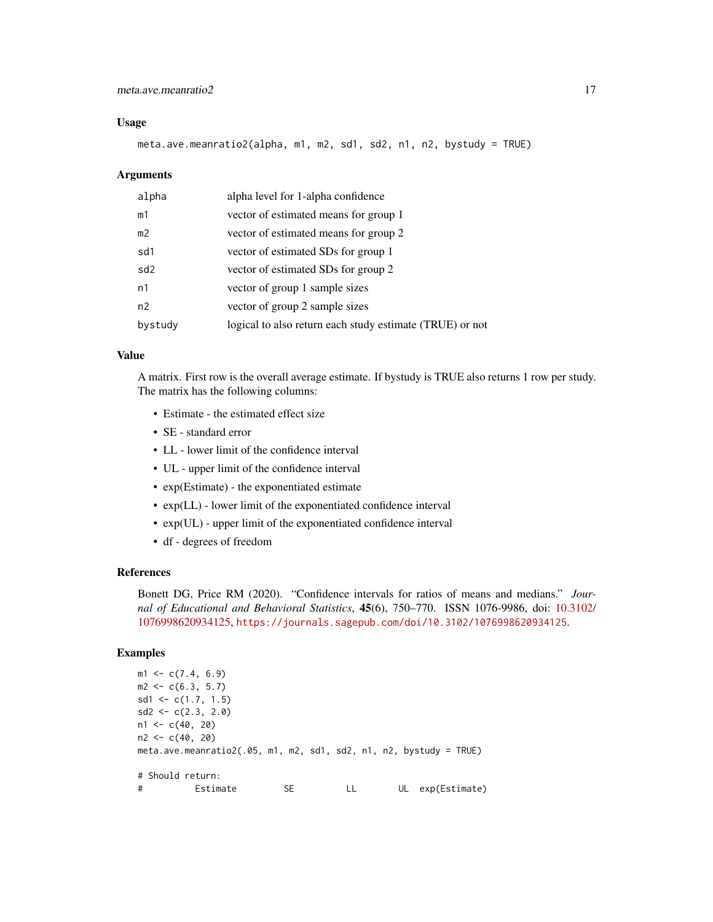# meta.ave.meanratio2 17

#### Usage

meta.ave.meanratio2(alpha, m1, m2, sd1, sd2, n1, n2, bystudy = TRUE)

#### Arguments

| alpha           | alpha level for 1-alpha confidence                       |
|-----------------|----------------------------------------------------------|
| m1              | vector of estimated means for group 1                    |
| m <sub>2</sub>  | vector of estimated means for group 2                    |
| sd1             | vector of estimated SDs for group 1                      |
| sd <sub>2</sub> | vector of estimated SDs for group 2                      |
| n1              | vector of group 1 sample sizes                           |
| n2              | vector of group 2 sample sizes                           |
| bystudy         | logical to also return each study estimate (TRUE) or not |

# Value

A matrix. First row is the overall average estimate. If bystudy is TRUE also returns 1 row per study. The matrix has the following columns:

- Estimate the estimated effect size
- SE standard error
- LL lower limit of the confidence interval
- UL upper limit of the confidence interval
- exp(Estimate) the exponentiated estimate
- exp(LL) lower limit of the exponentiated confidence interval
- exp(UL) upper limit of the exponentiated confidence interval
- df degrees of freedom

# References

Bonett DG, Price RM (2020). "Confidence intervals for ratios of means and medians." *Journal of Educational and Behavioral Statistics*, 45(6), 750–770. ISSN 1076-9986, doi: [10.3102/](https://doi.org/10.3102/1076998620934125) [1076998620934125,](https://doi.org/10.3102/1076998620934125) <https://journals.sagepub.com/doi/10.3102/1076998620934125>.

# Examples

```
ml \leq c(7.4, 6.9)m2 < -c(6.3, 5.7)sd1 \leftarrow c(1.7, 1.5)sd2 \leq c(2.3, 2.0)n1 < -c(40, 20)n2 < -c(40, 20)meta.ave.meanratio2(.05, m1, m2, sd1, sd2, n1, n2, bystudy = TRUE)
# Should return:
# Estimate SE LL UL exp(Estimate)
```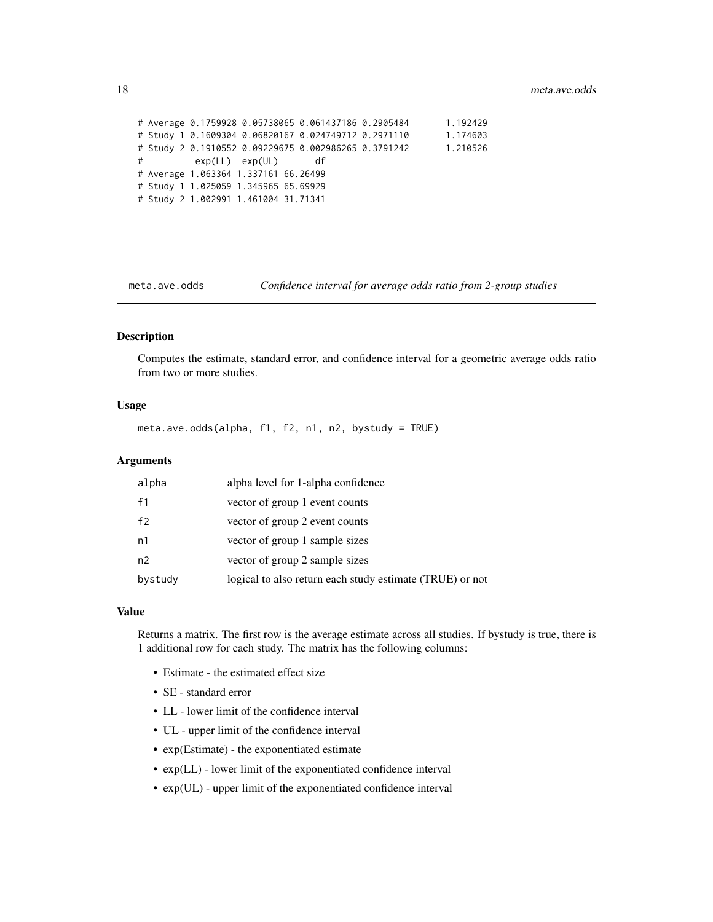```
# Average 0.1759928 0.05738065 0.061437186 0.2905484 1.192429
# Study 1 0.1609304 0.06820167 0.024749712 0.2971110 1.174603
# Study 2 0.1910552 0.09229675 0.002986265 0.3791242 1.210526
# exp(LL) exp(UL) df
# Average 1.063364 1.337161 66.26499
# Study 1 1.025059 1.345965 65.69929
# Study 2 1.002991 1.461004 31.71341
```
meta.ave.odds *Confidence interval for average odds ratio from 2-group studies*

# Description

Computes the estimate, standard error, and confidence interval for a geometric average odds ratio from two or more studies.

# Usage

meta.ave.odds(alpha, f1, f2, n1, n2, bystudy = TRUE)

# Arguments

| alpha          | alpha level for 1-alpha confidence                       |
|----------------|----------------------------------------------------------|
| f <sub>1</sub> | vector of group 1 event counts                           |
| f <sub>2</sub> | vector of group 2 event counts                           |
| n1             | vector of group 1 sample sizes                           |
| n2             | vector of group 2 sample sizes                           |
| bystudy        | logical to also return each study estimate (TRUE) or not |

#### Value

Returns a matrix. The first row is the average estimate across all studies. If bystudy is true, there is 1 additional row for each study. The matrix has the following columns:

- Estimate the estimated effect size
- SE standard error
- LL lower limit of the confidence interval
- UL upper limit of the confidence interval
- exp(Estimate) the exponentiated estimate
- exp(LL) lower limit of the exponentiated confidence interval
- exp(UL) upper limit of the exponentiated confidence interval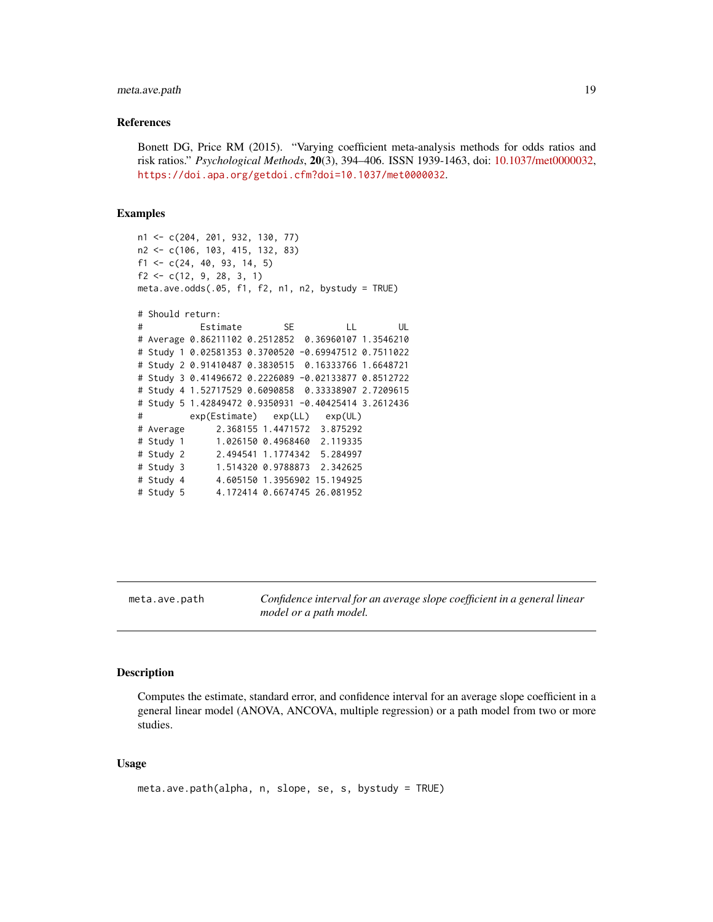# <span id="page-18-0"></span>meta.ave.path 19

#### References

Bonett DG, Price RM (2015). "Varying coefficient meta-analysis methods for odds ratios and risk ratios." *Psychological Methods*, 20(3), 394–406. ISSN 1939-1463, doi: [10.1037/met0000032,](https://doi.org/10.1037/met0000032) <https://doi.apa.org/getdoi.cfm?doi=10.1037/met0000032>.

#### Examples

```
n1 <- c(204, 201, 932, 130, 77)
n2 <- c(106, 103, 415, 132, 83)
f1 <- c(24, 40, 93, 14, 5)
f2 \leftarrow c(12, 9, 28, 3, 1)meta.ave. odds(.05, f1, f2, n1, n2, bystudy = TRUE)# Should return:
# Estimate SE LL UL
# Average 0.86211102 0.2512852 0.36960107 1.3546210
# Study 1 0.02581353 0.3700520 -0.69947512 0.7511022
# Study 2 0.91410487 0.3830515 0.16333766 1.6648721
# Study 3 0.41496672 0.2226089 -0.02133877 0.8512722
# Study 4 1.52717529 0.6090858 0.33338907 2.7209615
# Study 5 1.42849472 0.9350931 -0.40425414 3.2612436
# exp(Estimate) exp(LL) exp(UL)
# Average 2.368155 1.4471572 3.875292
# Study 1 1.026150 0.4968460 2.119335
# Study 2 2.494541 1.1774342 5.284997
# Study 3 1.514320 0.9788873 2.342625
# Study 4 4.605150 1.3956902 15.194925
# Study 5 4.172414 0.6674745 26.081952
```
meta.ave.path *Confidence interval for an average slope coefficient in a general linear model or a path model.*

# Description

Computes the estimate, standard error, and confidence interval for an average slope coefficient in a general linear model (ANOVA, ANCOVA, multiple regression) or a path model from two or more studies.

#### Usage

```
meta.ave.path(alpha, n, slope, se, s, bystudy = TRUE)
```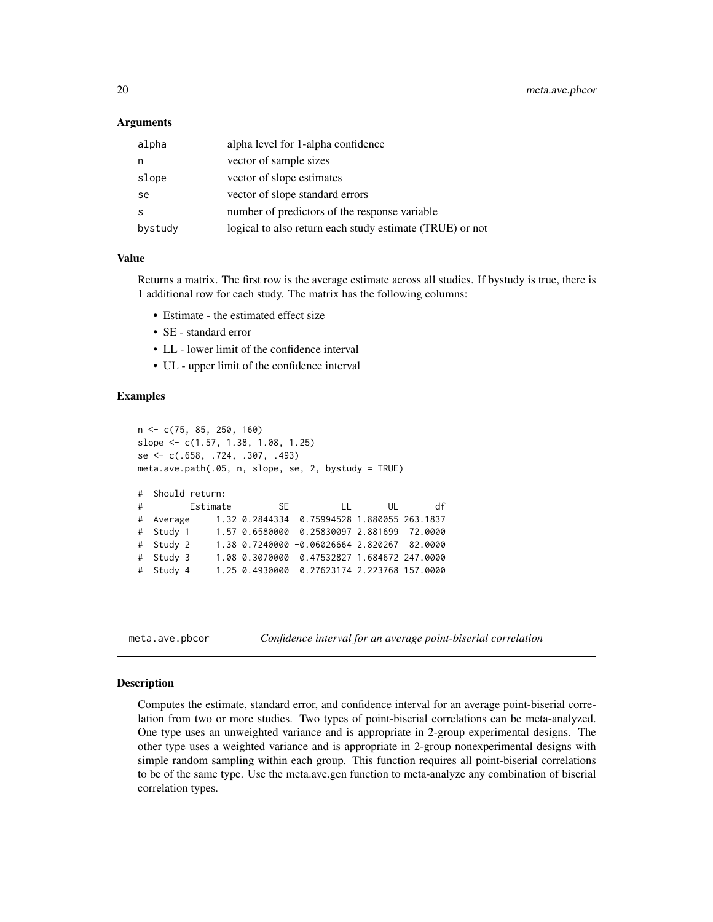<span id="page-19-0"></span>20 meta.ave.pbcor

# **Arguments**

| alpha   | alpha level for 1-alpha confidence                       |
|---------|----------------------------------------------------------|
| n       | vector of sample sizes                                   |
| slope   | vector of slope estimates                                |
| se      | vector of slope standard errors                          |
| S       | number of predictors of the response variable            |
| bystudy | logical to also return each study estimate (TRUE) or not |

#### Value

Returns a matrix. The first row is the average estimate across all studies. If bystudy is true, there is 1 additional row for each study. The matrix has the following columns:

- Estimate the estimated effect size
- SE standard error
- LL lower limit of the confidence interval
- UL upper limit of the confidence interval

# Examples

```
n <- c(75, 85, 250, 160)
slope <- c(1.57, 1.38, 1.08, 1.25)
se <- c(.658, .724, .307, .493)
meta.ave.path(.05, n, slope, se, 2, bystudy = TRUE)
# Should return:
# Estimate SE LL UL df
# Average 1.32 0.2844334 0.75994528 1.880055 263.1837
# Study 1 1.57 0.6580000 0.25830097 2.881699 72.0000
# Study 2 1.38 0.7240000 -0.06026664 2.820267 82.0000
# Study 3 1.08 0.3070000 0.47532827 1.684672 247.0000
# Study 4 1.25 0.4930000 0.27623174 2.223768 157.0000
```
meta.ave.pbcor *Confidence interval for an average point-biserial correlation*

### Description

Computes the estimate, standard error, and confidence interval for an average point-biserial correlation from two or more studies. Two types of point-biserial correlations can be meta-analyzed. One type uses an unweighted variance and is appropriate in 2-group experimental designs. The other type uses a weighted variance and is appropriate in 2-group nonexperimental designs with simple random sampling within each group. This function requires all point-biserial correlations to be of the same type. Use the meta.ave.gen function to meta-analyze any combination of biserial correlation types.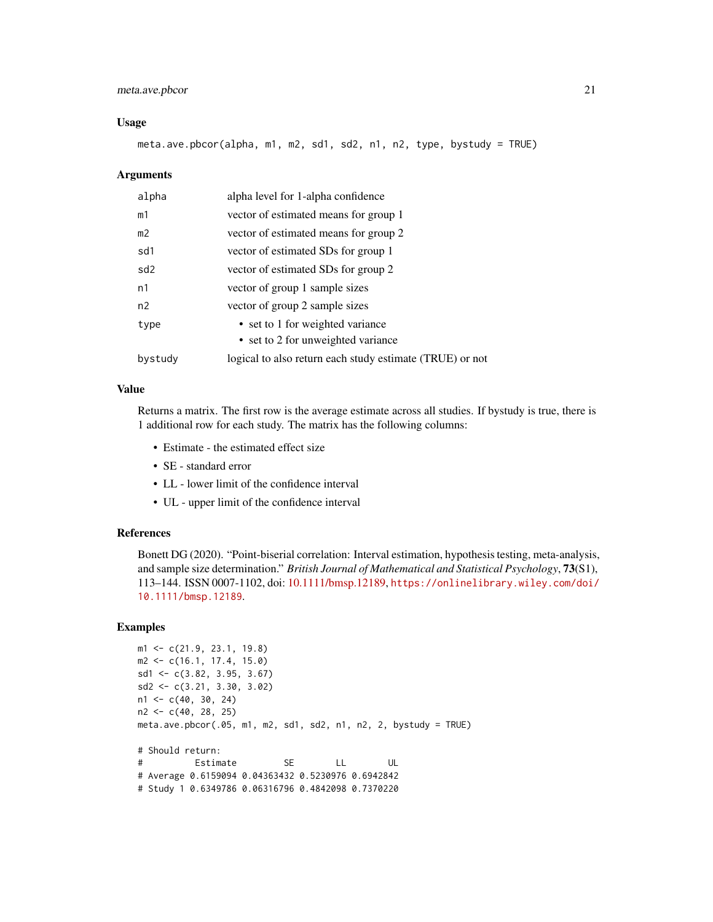# meta.ave.pbcor 21

#### Usage

meta.ave.pbcor(alpha, m1, m2, sd1, sd2, n1, n2, type, bystudy = TRUE)

#### Arguments

| alpha           | alpha level for 1-alpha confidence                       |
|-----------------|----------------------------------------------------------|
| m1              | vector of estimated means for group 1                    |
| m <sub>2</sub>  | vector of estimated means for group 2                    |
| sd1             | vector of estimated SDs for group 1                      |
| sd <sub>2</sub> | vector of estimated SDs for group 2                      |
| n1              | vector of group 1 sample sizes                           |
| n2              | vector of group 2 sample sizes                           |
| type            | • set to 1 for weighted variance                         |
|                 | • set to 2 for unweighted variance                       |
| bystudy         | logical to also return each study estimate (TRUE) or not |

# Value

Returns a matrix. The first row is the average estimate across all studies. If bystudy is true, there is 1 additional row for each study. The matrix has the following columns:

- Estimate the estimated effect size
- SE standard error
- LL lower limit of the confidence interval
- UL upper limit of the confidence interval

#### References

Bonett DG (2020). "Point-biserial correlation: Interval estimation, hypothesis testing, meta-analysis, and sample size determination." *British Journal of Mathematical and Statistical Psychology*, 73(S1), 113–144. ISSN 0007-1102, doi: [10.1111/bmsp.12189,](https://doi.org/10.1111/bmsp.12189) [https://onlinelibrary.wiley.com/doi/](https://onlinelibrary.wiley.com/doi/10.1111/bmsp.12189) [10.1111/bmsp.12189](https://onlinelibrary.wiley.com/doi/10.1111/bmsp.12189).

# Examples

```
m1 <- c(21.9, 23.1, 19.8)
m2 <- c(16.1, 17.4, 15.0)
sd1 <- c(3.82, 3.95, 3.67)
sd2 <- c(3.21, 3.30, 3.02)
n1 <- c(40, 30, 24)
n2 <- c(40, 28, 25)
meta.ave.pbcor(.05, m1, m2, sd1, sd2, n1, n2, 2, bystudy = TRUE)
# Should return:
# Estimate SE LL UL
# Average 0.6159094 0.04363432 0.5230976 0.6942842
# Study 1 0.6349786 0.06316796 0.4842098 0.7370220
```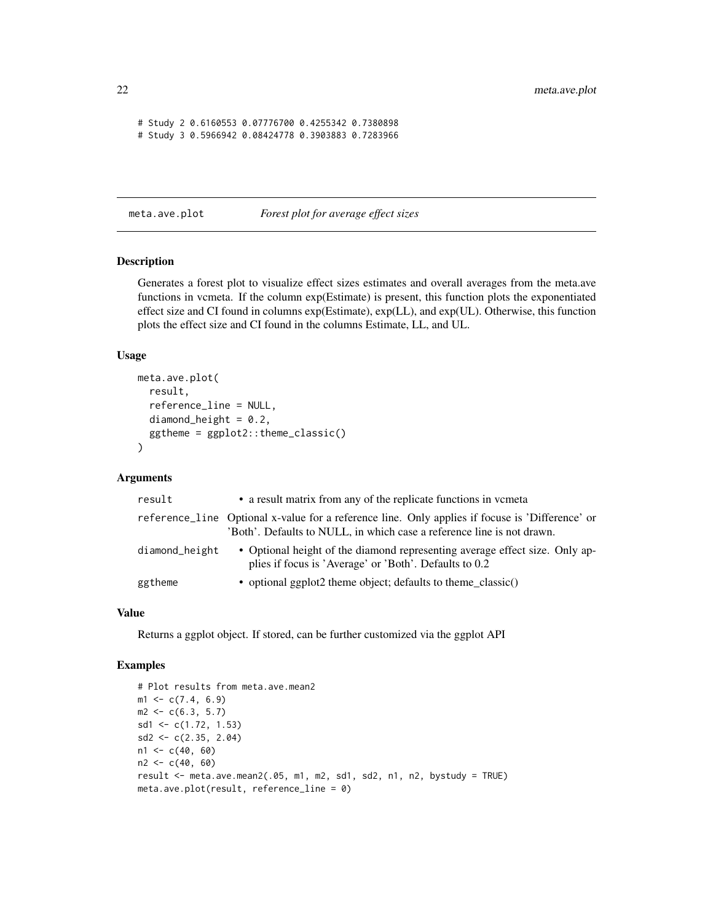```
# Study 2 0.6160553 0.07776700 0.4255342 0.7380898
# Study 3 0.5966942 0.08424778 0.3903883 0.7283966
```
meta.ave.plot *Forest plot for average effect sizes*

# Description

Generates a forest plot to visualize effect sizes estimates and overall averages from the meta.ave functions in vcmeta. If the column exp(Estimate) is present, this function plots the exponentiated effect size and CI found in columns exp(Estimate), exp(LL), and exp(UL). Otherwise, this function plots the effect size and CI found in the columns Estimate, LL, and UL.

#### Usage

```
meta.ave.plot(
  result,
  reference_line = NULL,
  diamond_height = 0.2,
  ggtheme = ggplot2::theme_classic()
\lambda
```
# Arguments

| result         | • a result matrix from any of the replicate functions in vermeta                                                                                                          |
|----------------|---------------------------------------------------------------------------------------------------------------------------------------------------------------------------|
|                | reference_line Optional x-value for a reference line. Only applies if focuse is 'Difference' or<br>'Both'. Defaults to NULL, in which case a reference line is not drawn. |
| diamond_height | • Optional height of the diamond representing average effect size. Only ap-<br>plies if focus is 'Average' or 'Both'. Defaults to 0.2                                     |
| ggtheme        | • optional ggplot2 theme object; defaults to theme classic()                                                                                                              |

#### Value

Returns a ggplot object. If stored, can be further customized via the ggplot API

#### Examples

```
# Plot results from meta.ave.mean2
m1 \leq c(7.4, 6.9)m2 < -c(6.3, 5.7)sd1 <- c(1.72, 1.53)
sd2 \leq c(2.35, 2.04)n1 < -c(40, 60)n2 < -c(40, 60)result <- meta.ave.mean2(.05, m1, m2, sd1, sd2, n1, n2, bystudy = TRUE)
meta.ave.plot(result, reference_line = 0)
```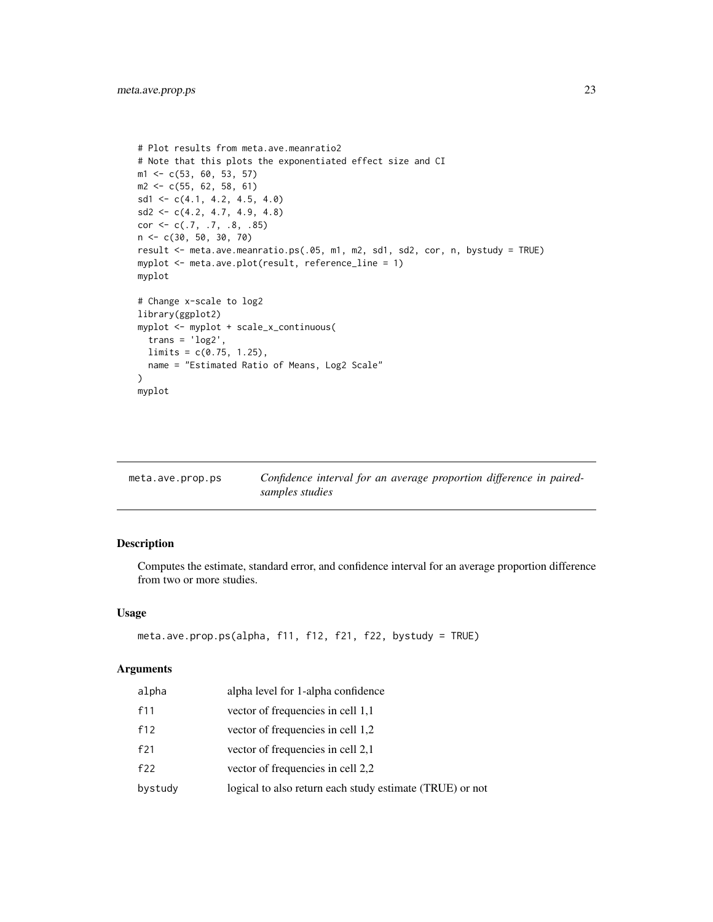```
# Plot results from meta.ave.meanratio2
# Note that this plots the exponentiated effect size and CI
m1 <- c(53, 60, 53, 57)
m2 \leq -c(55, 62, 58, 61)sd1 \leq c(4.1, 4.2, 4.5, 4.0)sd2 \leq c(4.2, 4.7, 4.9, 4.8)cor \leq c(.7, .7, .8, .85)n <- c(30, 50, 30, 70)
result <- meta.ave.meanratio.ps(.05, m1, m2, sd1, sd2, cor, n, bystudy = TRUE)
myplot <- meta.ave.plot(result, reference_line = 1)
myplot
# Change x-scale to log2
library(ggplot2)
myplot <- myplot + scale_x_continuous(
  trans = 'log2',
  limits = c(0.75, 1.25),
  name = "Estimated Ratio of Means, Log2 Scale"
)
myplot
```

| meta.ave.prop.ps | Confidence interval for an average proportion difference in paired- |
|------------------|---------------------------------------------------------------------|
|                  | samples studies                                                     |

# Description

Computes the estimate, standard error, and confidence interval for an average proportion difference from two or more studies.

# Usage

```
meta.ave.prop.ps(alpha, f11, f12, f21, f22, bystudy = TRUE)
```

| alpha   | alpha level for 1-alpha confidence                       |
|---------|----------------------------------------------------------|
| f11     | vector of frequencies in cell 1,1                        |
| f12     | vector of frequencies in cell 1,2                        |
| f21     | vector of frequencies in cell 2,1                        |
| f22     | vector of frequencies in cell 2,2                        |
| bystudy | logical to also return each study estimate (TRUE) or not |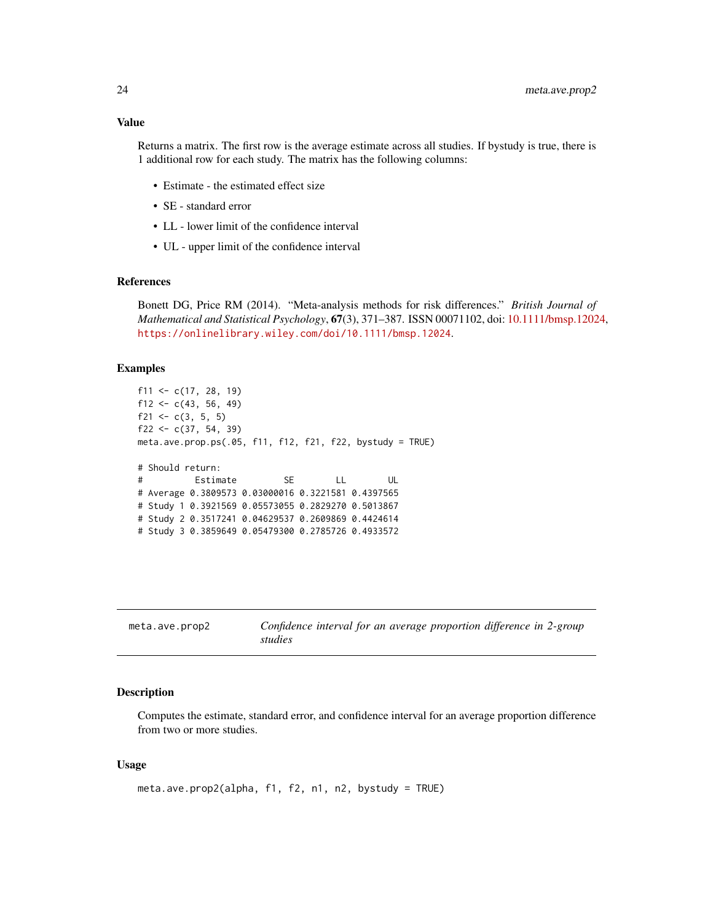<span id="page-23-0"></span>Returns a matrix. The first row is the average estimate across all studies. If bystudy is true, there is 1 additional row for each study. The matrix has the following columns:

- Estimate the estimated effect size
- SE standard error
- LL lower limit of the confidence interval
- UL upper limit of the confidence interval

# References

Bonett DG, Price RM (2014). "Meta-analysis methods for risk differences." *British Journal of Mathematical and Statistical Psychology*, 67(3), 371–387. ISSN 00071102, doi: [10.1111/bmsp.12024,](https://doi.org/10.1111/bmsp.12024) <https://onlinelibrary.wiley.com/doi/10.1111/bmsp.12024>.

# Examples

```
f11 <- c(17, 28, 19)
f12 <- c(43, 56, 49)f21 <- c(3, 5, 5)
f22 <- c(37, 54, 39)meta.ave.prop.ps(.05, f11, f12, f21, f22, bystudy = TRUE)
# Should return:
# Estimate SE LL UL
# Average 0.3809573 0.03000016 0.3221581 0.4397565
# Study 1 0.3921569 0.05573055 0.2829270 0.5013867
# Study 2 0.3517241 0.04629537 0.2609869 0.4424614
# Study 3 0.3859649 0.05479300 0.2785726 0.4933572
```

| meta.ave.prop2 | Confidence interval for an average proportion difference in 2-group |
|----------------|---------------------------------------------------------------------|
|                | studies                                                             |

# Description

Computes the estimate, standard error, and confidence interval for an average proportion difference from two or more studies.

#### Usage

```
meta.ave.prop2(alpha, f1, f2, n1, n2, bystudy = TRUE)
```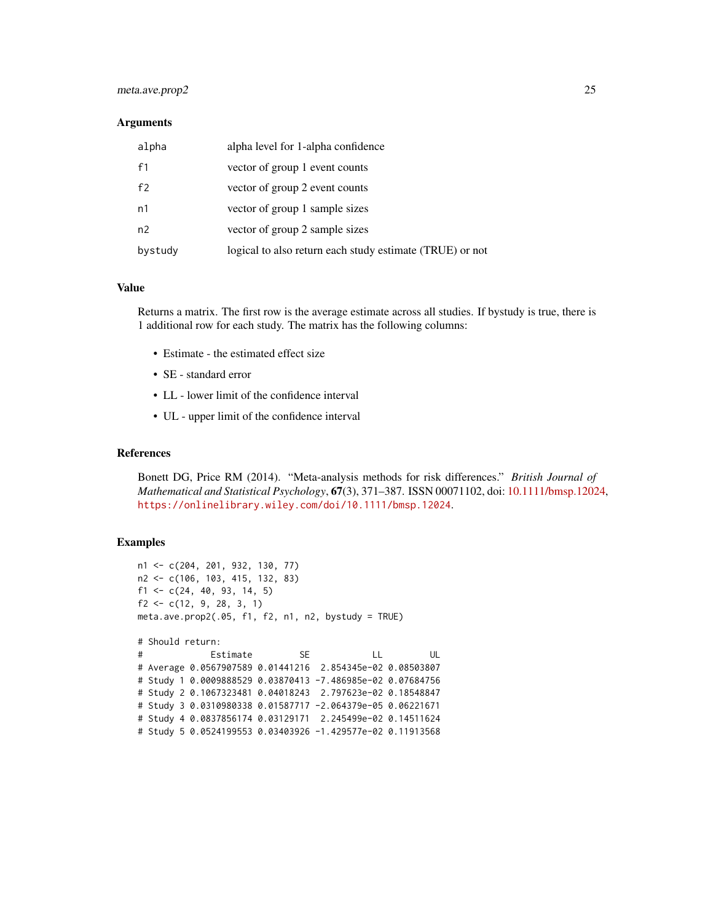# meta.ave.prop2 25

#### **Arguments**

| alpha   | alpha level for 1-alpha confidence                       |
|---------|----------------------------------------------------------|
| f1      | vector of group 1 event counts                           |
| f2      | vector of group 2 event counts                           |
| n1      | vector of group 1 sample sizes                           |
| n2      | vector of group 2 sample sizes                           |
| bystudy | logical to also return each study estimate (TRUE) or not |

### Value

Returns a matrix. The first row is the average estimate across all studies. If bystudy is true, there is 1 additional row for each study. The matrix has the following columns:

- Estimate the estimated effect size
- SE standard error
- LL lower limit of the confidence interval
- UL upper limit of the confidence interval

#### References

Bonett DG, Price RM (2014). "Meta-analysis methods for risk differences." *British Journal of Mathematical and Statistical Psychology*, 67(3), 371–387. ISSN 00071102, doi: [10.1111/bmsp.12024,](https://doi.org/10.1111/bmsp.12024) <https://onlinelibrary.wiley.com/doi/10.1111/bmsp.12024>.

# Examples

```
n1 <- c(204, 201, 932, 130, 77)
n2 <- c(106, 103, 415, 132, 83)
f1 <- c(24, 40, 93, 14, 5)
f2 \leq c(12, 9, 28, 3, 1)meta.ave.prop2(.05, f1, f2, n1, n2, bystudy = TRUE)
# Should return:
# Estimate SE LL UL
# Average 0.0567907589 0.01441216 2.854345e-02 0.08503807
# Study 1 0.0009888529 0.03870413 -7.486985e-02 0.07684756
# Study 2 0.1067323481 0.04018243 2.797623e-02 0.18548847
# Study 3 0.0310980338 0.01587717 -2.064379e-05 0.06221671
# Study 4 0.0837856174 0.03129171 2.245499e-02 0.14511624
# Study 5 0.0524199553 0.03403926 -1.429577e-02 0.11913568
```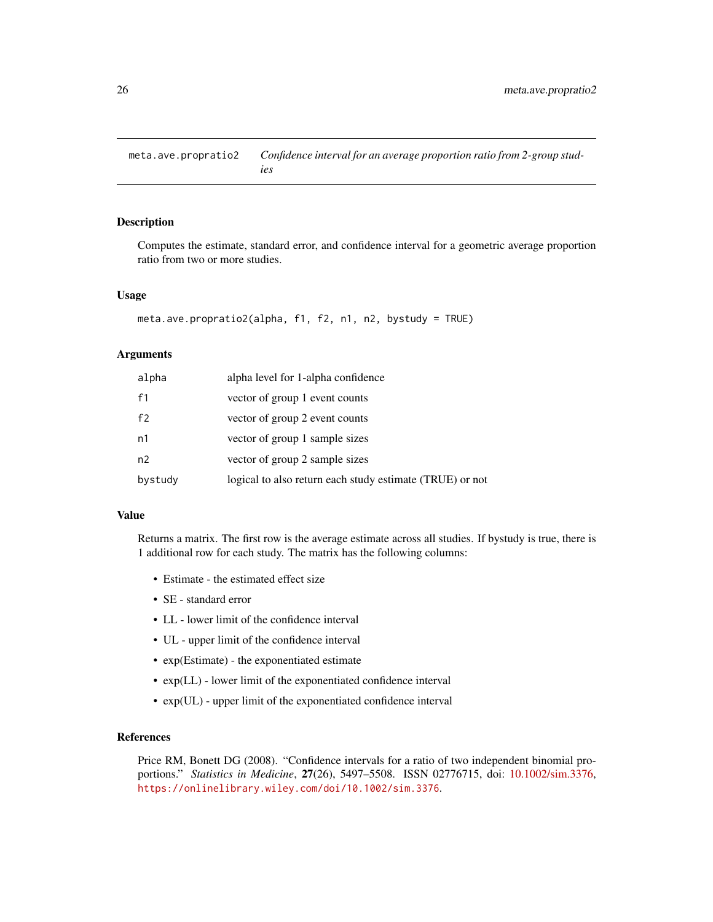<span id="page-25-0"></span>meta.ave.propratio2 *Confidence interval for an average proportion ratio from 2-group studies*

# Description

Computes the estimate, standard error, and confidence interval for a geometric average proportion ratio from two or more studies.

#### Usage

```
meta.ave.propratio2(alpha, f1, f2, n1, n2, bystudy = TRUE)
```
# Arguments

| alpha   | alpha level for 1-alpha confidence                       |
|---------|----------------------------------------------------------|
| f1      | vector of group 1 event counts                           |
| f2      | vector of group 2 event counts                           |
| n1      | vector of group 1 sample sizes                           |
| n2      | vector of group 2 sample sizes                           |
| bystudy | logical to also return each study estimate (TRUE) or not |

#### Value

Returns a matrix. The first row is the average estimate across all studies. If bystudy is true, there is 1 additional row for each study. The matrix has the following columns:

- Estimate the estimated effect size
- SE standard error
- LL lower limit of the confidence interval
- UL upper limit of the confidence interval
- exp(Estimate) the exponentiated estimate
- exp(LL) lower limit of the exponentiated confidence interval
- exp(UL) upper limit of the exponentiated confidence interval

# References

Price RM, Bonett DG (2008). "Confidence intervals for a ratio of two independent binomial proportions." *Statistics in Medicine*, 27(26), 5497–5508. ISSN 02776715, doi: [10.1002/sim.3376,](https://doi.org/10.1002/sim.3376) <https://onlinelibrary.wiley.com/doi/10.1002/sim.3376>.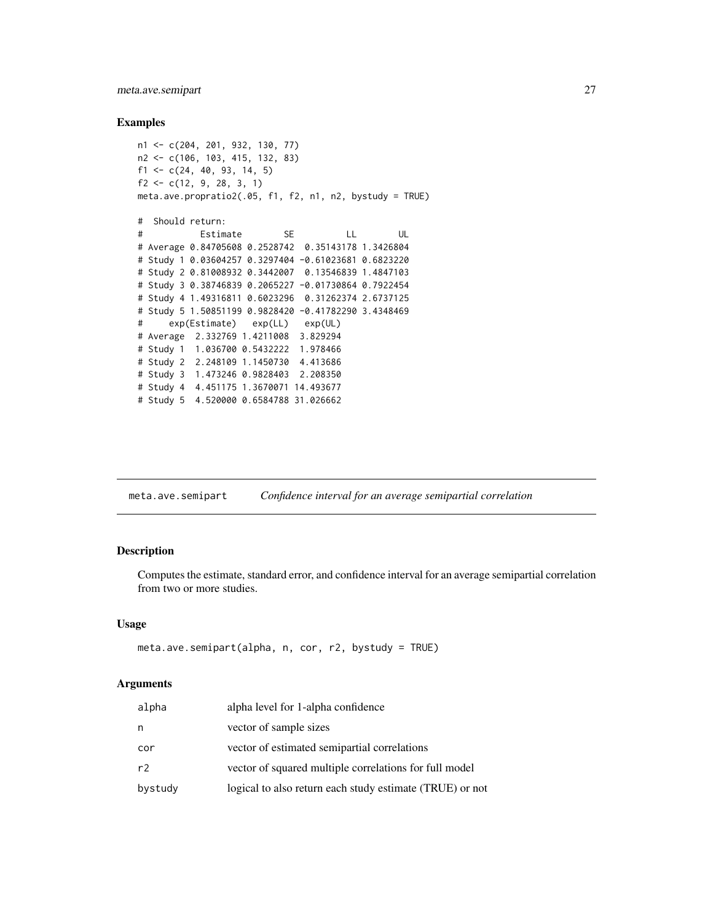# <span id="page-26-0"></span>meta.ave.semipart 27

#### Examples

```
n1 <- c(204, 201, 932, 130, 77)
n2 <- c(106, 103, 415, 132, 83)
f1 <- c(24, 40, 93, 14, 5)
f2 \leftarrow c(12, 9, 28, 3, 1)meta.ave.propratio2(.05, f1, f2, n1, n2, bystudy = TRUE)
# Should return:
# Estimate SE LL UL
# Average 0.84705608 0.2528742 0.35143178 1.3426804
# Study 1 0.03604257 0.3297404 -0.61023681 0.6823220
# Study 2 0.81008932 0.3442007 0.13546839 1.4847103
# Study 3 0.38746839 0.2065227 -0.01730864 0.7922454
# Study 4 1.49316811 0.6023296 0.31262374 2.6737125
# Study 5 1.50851199 0.9828420 -0.41782290 3.4348469
# exp(Estimate) exp(LL) exp(UL)
# Average 2.332769 1.4211008 3.829294
# Study 1 1.036700 0.5432222 1.978466
# Study 2 2.248109 1.1450730 4.413686
# Study 3 1.473246 0.9828403 2.208350
# Study 4 4.451175 1.3670071 14.493677
# Study 5 4.520000 0.6584788 31.026662
```
meta.ave.semipart *Confidence interval for an average semipartial correlation*

# Description

Computes the estimate, standard error, and confidence interval for an average semipartial correlation from two or more studies.

#### Usage

```
meta.ave.semipart(alpha, n, cor, r2, bystudy = TRUE)
```

| alpha   | alpha level for 1-alpha confidence                       |
|---------|----------------------------------------------------------|
| n       | vector of sample sizes                                   |
| cor     | vector of estimated semipartial correlations             |
| r2      | vector of squared multiple correlations for full model   |
| bystudy | logical to also return each study estimate (TRUE) or not |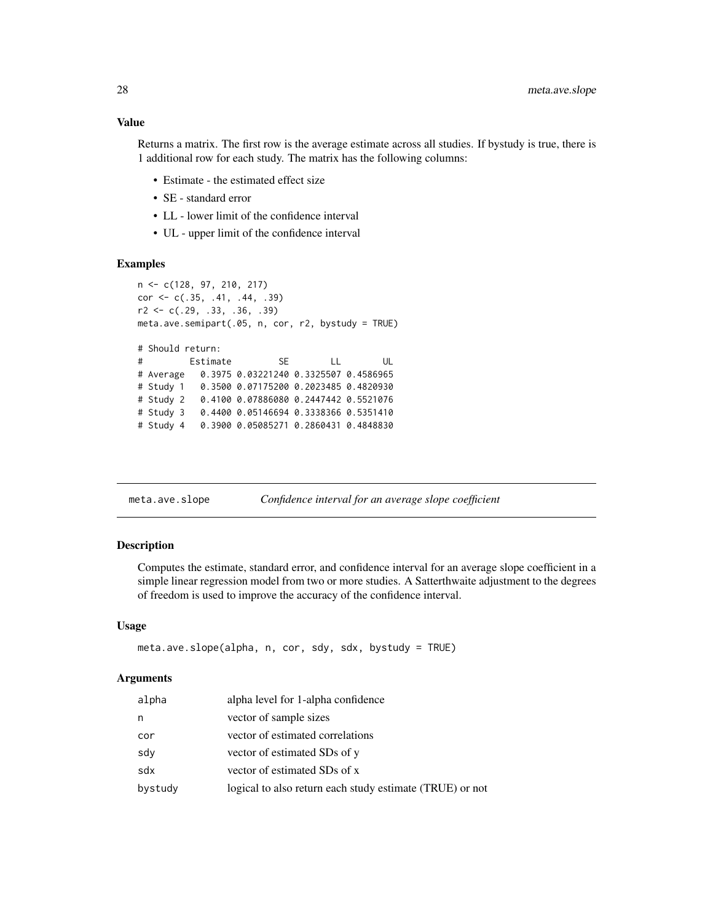# <span id="page-27-0"></span>Value

Returns a matrix. The first row is the average estimate across all studies. If bystudy is true, there is 1 additional row for each study. The matrix has the following columns:

- Estimate the estimated effect size
- SE standard error
- LL lower limit of the confidence interval
- UL upper limit of the confidence interval

#### Examples

```
n <- c(128, 97, 210, 217)
cor <- c(.35, .41, .44, .39)
r2 \leq c(.29,.33,.36,.39)meta.ave.semipart(.05, n, cor, r2, bystudy = TRUE)
# Should return:
# Estimate SE LL UL
# Average 0.3975 0.03221240 0.3325507 0.4586965
# Study 1 0.3500 0.07175200 0.2023485 0.4820930
# Study 2 0.4100 0.07886080 0.2447442 0.5521076
# Study 3 0.4400 0.05146694 0.3338366 0.5351410
# Study 4 0.3900 0.05085271 0.2860431 0.4848830
```
meta.ave.slope *Confidence interval for an average slope coefficient*

#### Description

Computes the estimate, standard error, and confidence interval for an average slope coefficient in a simple linear regression model from two or more studies. A Satterthwaite adjustment to the degrees of freedom is used to improve the accuracy of the confidence interval.

#### Usage

```
meta.ave.slope(alpha, n, cor, sdy, sdx, bystudy = TRUE)
```

| alpha   | alpha level for 1-alpha confidence                       |
|---------|----------------------------------------------------------|
| n       | vector of sample sizes                                   |
| cor     | vector of estimated correlations                         |
| sdy     | vector of estimated SDs of y                             |
| sdx     | vector of estimated SDs of x                             |
| bystudy | logical to also return each study estimate (TRUE) or not |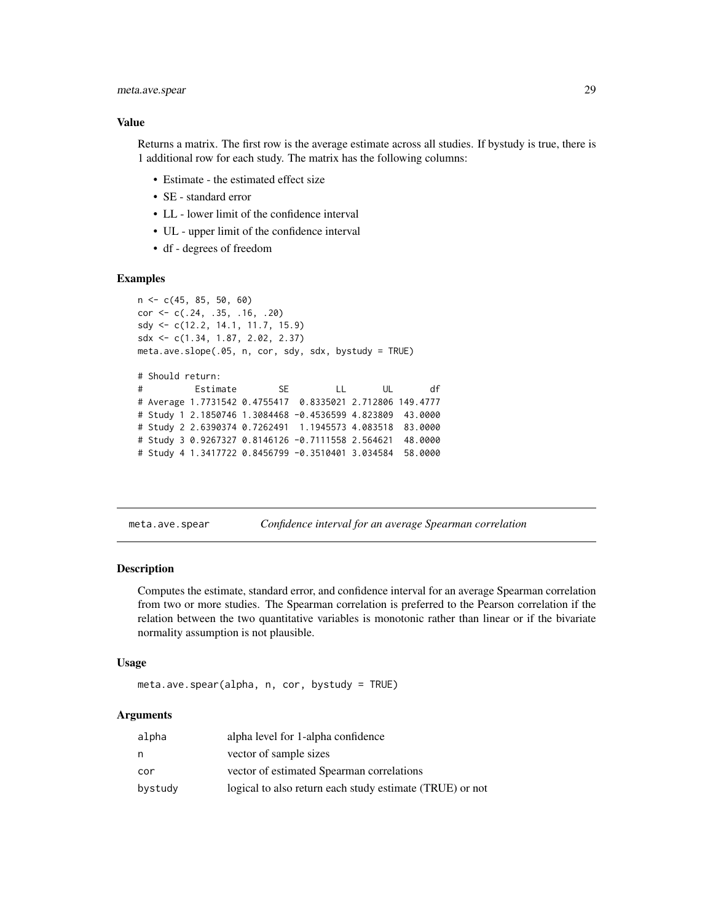# <span id="page-28-0"></span>meta.ave.spear 29

# Value

Returns a matrix. The first row is the average estimate across all studies. If bystudy is true, there is 1 additional row for each study. The matrix has the following columns:

- Estimate the estimated effect size
- SE standard error
- LL lower limit of the confidence interval
- UL upper limit of the confidence interval
- df degrees of freedom

# Examples

```
n <- c(45, 85, 50, 60)
cor <- c(.24, .35, .16, .20)
sdy <- c(12.2, 14.1, 11.7, 15.9)
sdx <- c(1.34, 1.87, 2.02, 2.37)
meta.ave.slope(.05, n, cor, sdy, sdx, bystudy = TRUE)
# Should return:
# Estimate SE LL UL df
# Average 1.7731542 0.4755417 0.8335021 2.712806 149.4777
# Study 1 2.1850746 1.3084468 -0.4536599 4.823809 43.0000
# Study 2 2.6390374 0.7262491 1.1945573 4.083518 83.0000
# Study 3 0.9267327 0.8146126 -0.7111558 2.564621 48.0000
# Study 4 1.3417722 0.8456799 -0.3510401 3.034584 58.0000
```
meta.ave.spear *Confidence interval for an average Spearman correlation*

# Description

Computes the estimate, standard error, and confidence interval for an average Spearman correlation from two or more studies. The Spearman correlation is preferred to the Pearson correlation if the relation between the two quantitative variables is monotonic rather than linear or if the bivariate normality assumption is not plausible.

#### Usage

```
meta.ave.spear(alpha, n, cor, bystudy = TRUE)
```

| alpha   | alpha level for 1-alpha confidence                       |
|---------|----------------------------------------------------------|
| n       | vector of sample sizes                                   |
| cor     | vector of estimated Spearman correlations                |
| bystudy | logical to also return each study estimate (TRUE) or not |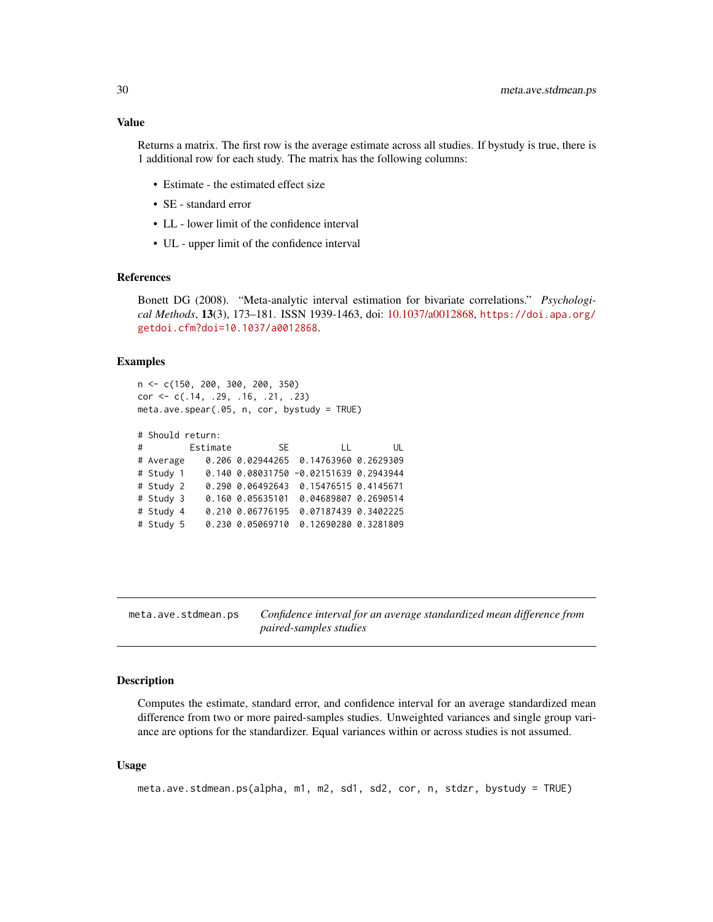# <span id="page-29-0"></span>Value

Returns a matrix. The first row is the average estimate across all studies. If bystudy is true, there is 1 additional row for each study. The matrix has the following columns:

- Estimate the estimated effect size
- SE standard error
- LL lower limit of the confidence interval
- UL upper limit of the confidence interval

# References

Bonett DG (2008). "Meta-analytic interval estimation for bivariate correlations." *Psychological Methods*, 13(3), 173–181. ISSN 1939-1463, doi: [10.1037/a0012868,](https://doi.org/10.1037/a0012868) [https://doi.apa.org/](https://doi.apa.org/getdoi.cfm?doi=10.1037/a0012868) [getdoi.cfm?doi=10.1037/a0012868](https://doi.apa.org/getdoi.cfm?doi=10.1037/a0012868).

#### Examples

```
n <- c(150, 200, 300, 200, 350)
cor <- c(.14, .29, .16, .21, .23)
meta.ave.spear(.05, n, cor, bystudy = TRUE)
```

```
# Should return:
```

| $\#$ and $\#$ | Estimate SE      | $\Box$                                     | UL |
|---------------|------------------|--------------------------------------------|----|
| # Average     |                  | 0.206 0.02944265 0.14763960 0.2629309      |    |
| # Study 1     |                  | $0.140$ $0.08031750$ -0.02151639 0.2943944 |    |
| # Study 2     |                  | 0.290 0.06492643 0.15476515 0.4145671      |    |
| # Study 3     | 0.160 0.05635101 | 0.04689807 0.2690514                       |    |
| # Study 4     | 0.210 0.06776195 | 0.07187439 0.3402225                       |    |
| # Study 5     | 0.230 0.05069710 | 0.12690280 0.3281809                       |    |

meta.ave.stdmean.ps *Confidence interval for an average standardized mean difference from paired-samples studies*

#### Description

Computes the estimate, standard error, and confidence interval for an average standardized mean difference from two or more paired-samples studies. Unweighted variances and single group variance are options for the standardizer. Equal variances within or across studies is not assumed.

#### Usage

```
meta.ave.stdmean.ps(alpha, m1, m2, sd1, sd2, cor, n, stdzr, bystudy = TRUE)
```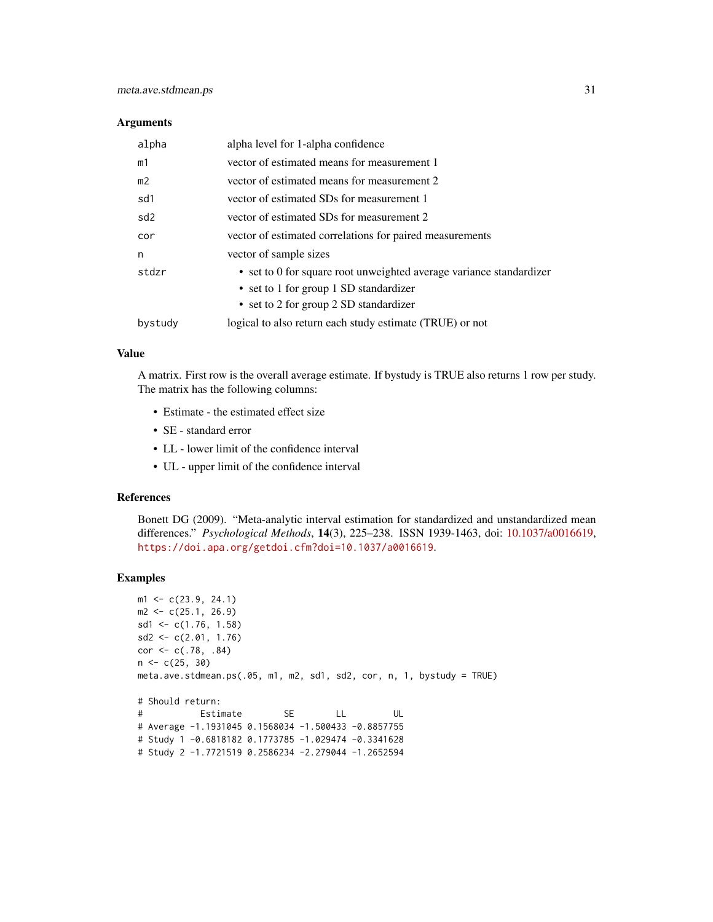#### **Arguments**

| alpha           | alpha level for 1-alpha confidence                                  |
|-----------------|---------------------------------------------------------------------|
| m1              | vector of estimated means for measurement 1                         |
| m <sub>2</sub>  | vector of estimated means for measurement 2                         |
| sd1             | vector of estimated SDs for measurement 1                           |
| sd <sub>2</sub> | vector of estimated SDs for measurement 2                           |
| cor             | vector of estimated correlations for paired measurements            |
| n               | vector of sample sizes                                              |
| stdzr           | • set to 0 for square root unweighted average variance standardizer |
|                 | • set to 1 for group 1 SD standardizer                              |
|                 | • set to 2 for group 2 SD standardizer                              |
| bystudy         | logical to also return each study estimate (TRUE) or not            |

# Value

A matrix. First row is the overall average estimate. If bystudy is TRUE also returns 1 row per study. The matrix has the following columns:

- Estimate the estimated effect size
- SE standard error
- LL lower limit of the confidence interval
- UL upper limit of the confidence interval

#### References

Bonett DG (2009). "Meta-analytic interval estimation for standardized and unstandardized mean differences." *Psychological Methods*, 14(3), 225–238. ISSN 1939-1463, doi: [10.1037/a0016619,](https://doi.org/10.1037/a0016619) <https://doi.apa.org/getdoi.cfm?doi=10.1037/a0016619>.

# Examples

```
m1 \leq -c(23.9, 24.1)m2 < -c(25.1, 26.9)sd1 <- c(1.76, 1.58)
sd2 \leq -c(2.01, 1.76)cor < -c(.78, .84)n \leftarrow c(25, 30)meta.ave.stdmean.ps(.05, m1, m2, sd1, sd2, cor, n, 1, bystudy = TRUE)
# Should return:
# Estimate SE LL UL
# Average -1.1931045 0.1568034 -1.500433 -0.8857755
# Study 1 -0.6818182 0.1773785 -1.029474 -0.3341628
# Study 2 -1.7721519 0.2586234 -2.279044 -1.2652594
```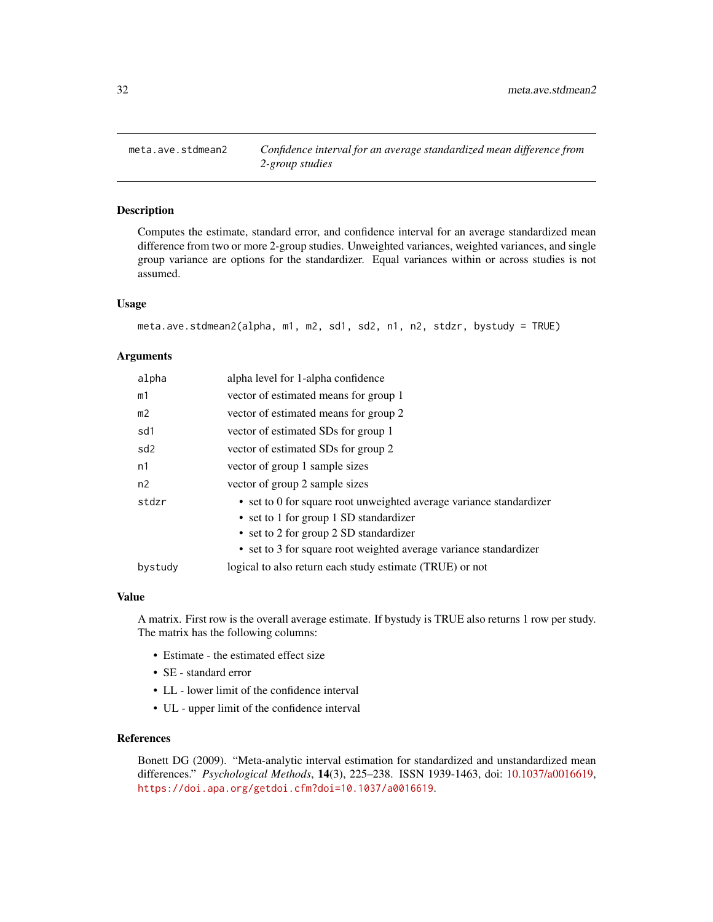<span id="page-31-0"></span>

# Description

Computes the estimate, standard error, and confidence interval for an average standardized mean difference from two or more 2-group studies. Unweighted variances, weighted variances, and single group variance are options for the standardizer. Equal variances within or across studies is not assumed.

#### Usage

```
meta.ave.stdmean2(alpha, m1, m2, sd1, sd2, n1, n2, stdzr, bystudy = TRUE)
```
# **Arguments**

| alpha           | alpha level for 1-alpha confidence                                  |
|-----------------|---------------------------------------------------------------------|
| m1              | vector of estimated means for group 1                               |
| m2              | vector of estimated means for group 2                               |
| sd1             | vector of estimated SDs for group 1                                 |
| sd <sub>2</sub> | vector of estimated SDs for group 2                                 |
| n1              | vector of group 1 sample sizes                                      |
| n2              | vector of group 2 sample sizes                                      |
| stdzr           | • set to 0 for square root unweighted average variance standardizer |
|                 | • set to 1 for group 1 SD standardizer                              |
|                 | • set to 2 for group 2 SD standardizer                              |
|                 | • set to 3 for square root weighted average variance standardizer   |
| bystudy         | logical to also return each study estimate (TRUE) or not            |

#### Value

A matrix. First row is the overall average estimate. If bystudy is TRUE also returns 1 row per study. The matrix has the following columns:

- Estimate the estimated effect size
- SE standard error
- LL lower limit of the confidence interval
- UL upper limit of the confidence interval

# References

Bonett DG (2009). "Meta-analytic interval estimation for standardized and unstandardized mean differences." *Psychological Methods*, 14(3), 225–238. ISSN 1939-1463, doi: [10.1037/a0016619,](https://doi.org/10.1037/a0016619) <https://doi.apa.org/getdoi.cfm?doi=10.1037/a0016619>.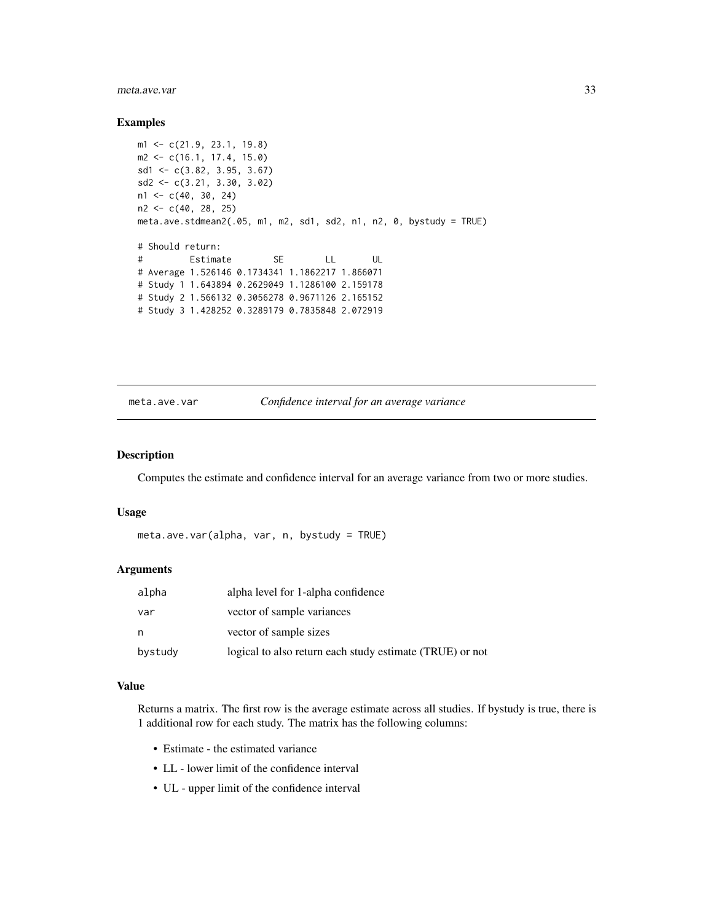#### <span id="page-32-0"></span>meta.ave.var 33

#### Examples

```
m1 <- c(21.9, 23.1, 19.8)
m2 <- c(16.1, 17.4, 15.0)
sd1 <- c(3.82, 3.95, 3.67)
sd2 <- c(3.21, 3.30, 3.02)
n1 <- c(40, 30, 24)
n2 <- c(40, 28, 25)
meta.ave.stdmean2(.05, m1, m2, sd1, sd2, n1, n2, 0, bystudy = TRUE)
# Should return:
# Estimate SE LL UL
# Average 1.526146 0.1734341 1.1862217 1.866071
# Study 1 1.643894 0.2629049 1.1286100 2.159178
# Study 2 1.566132 0.3056278 0.9671126 2.165152
# Study 3 1.428252 0.3289179 0.7835848 2.072919
```
meta.ave.var *Confidence interval for an average variance*

# Description

Computes the estimate and confidence interval for an average variance from two or more studies.

#### Usage

```
meta.ave.var(alpha, var, n, bystudy = TRUE)
```
# Arguments

| alpha   | alpha level for 1-alpha confidence                       |
|---------|----------------------------------------------------------|
| var     | vector of sample variances                               |
| n       | vector of sample sizes                                   |
| bystudy | logical to also return each study estimate (TRUE) or not |

# Value

Returns a matrix. The first row is the average estimate across all studies. If bystudy is true, there is 1 additional row for each study. The matrix has the following columns:

- Estimate the estimated variance
- LL lower limit of the confidence interval
- UL upper limit of the confidence interval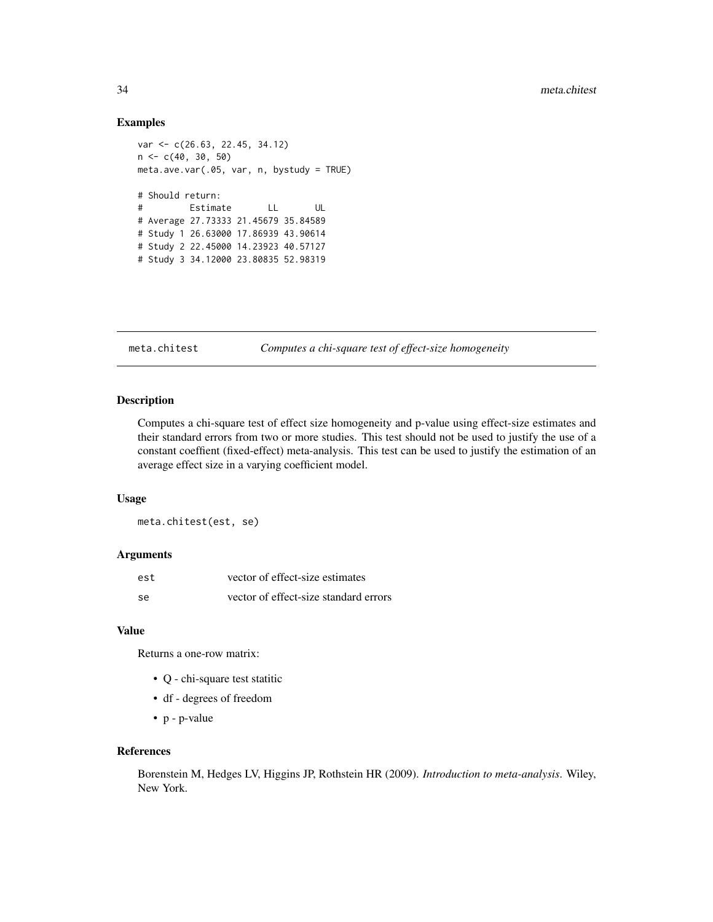#### <span id="page-33-0"></span>Examples

```
var <- c(26.63, 22.45, 34.12)
n <- c(40, 30, 50)
meta.ave.var(.05, var, n, bystudy = TRUE)
# Should return:
# Estimate LL UL
# Average 27.73333 21.45679 35.84589
# Study 1 26.63000 17.86939 43.90614
# Study 2 22.45000 14.23923 40.57127
# Study 3 34.12000 23.80835 52.98319
```
meta.chitest *Computes a chi-square test of effect-size homogeneity*

# Description

Computes a chi-square test of effect size homogeneity and p-value using effect-size estimates and their standard errors from two or more studies. This test should not be used to justify the use of a constant coeffient (fixed-effect) meta-analysis. This test can be used to justify the estimation of an average effect size in a varying coefficient model.

# Usage

meta.chitest(est, se)

#### Arguments

| est | vector of effect-size estimates       |
|-----|---------------------------------------|
| se  | vector of effect-size standard errors |

# Value

Returns a one-row matrix:

- Q chi-square test statitic
- df degrees of freedom
- p p-value

# References

Borenstein M, Hedges LV, Higgins JP, Rothstein HR (2009). *Introduction to meta-analysis*. Wiley, New York.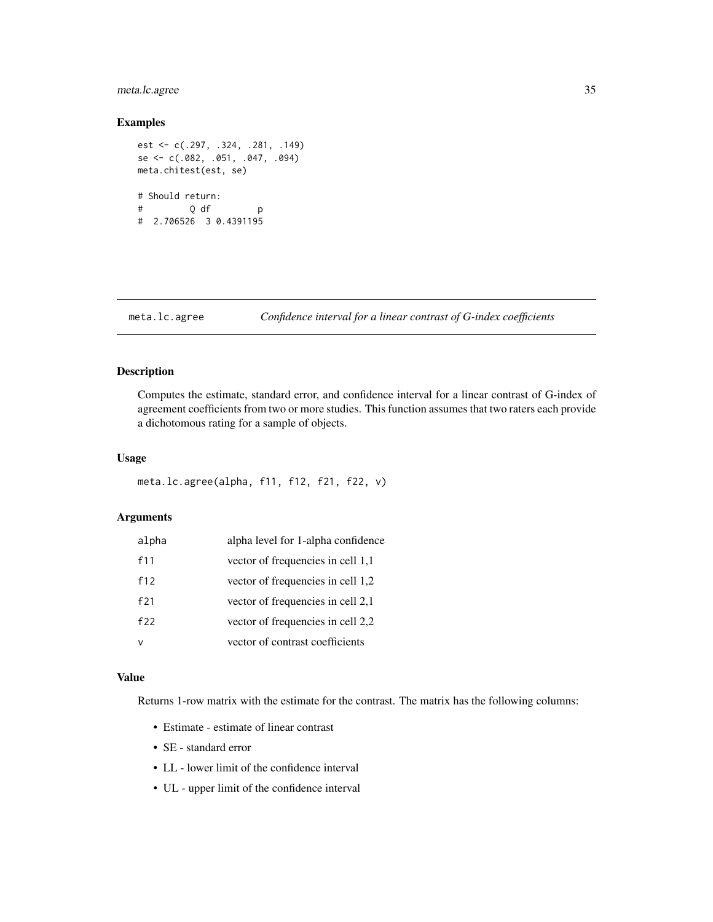# <span id="page-34-0"></span>meta.lc.agree 35

# Examples

```
est <- c(.297, .324, .281, .149)
se <- c(.082, .051, .047, .094)
meta.chitest(est, se)
# Should return:
# Q df p
# 2.706526 3 0.4391195
```
# meta.lc.agree *Confidence interval for a linear contrast of G-index coefficients*

# Description

Computes the estimate, standard error, and confidence interval for a linear contrast of G-index of agreement coefficients from two or more studies. This function assumes that two raters each provide a dichotomous rating for a sample of objects.

#### Usage

meta.lc.agree(alpha, f11, f12, f21, f22, v)

# Arguments

| alpha | alpha level for 1-alpha confidence |
|-------|------------------------------------|
| f11   | vector of frequencies in cell 1,1  |
| f12   | vector of frequencies in cell 1,2  |
| f21   | vector of frequencies in cell 2,1  |
| f22   | vector of frequencies in cell 2,2  |
|       | vector of contrast coefficients    |

# Value

Returns 1-row matrix with the estimate for the contrast. The matrix has the following columns:

- Estimate estimate of linear contrast
- SE standard error
- LL lower limit of the confidence interval
- UL upper limit of the confidence interval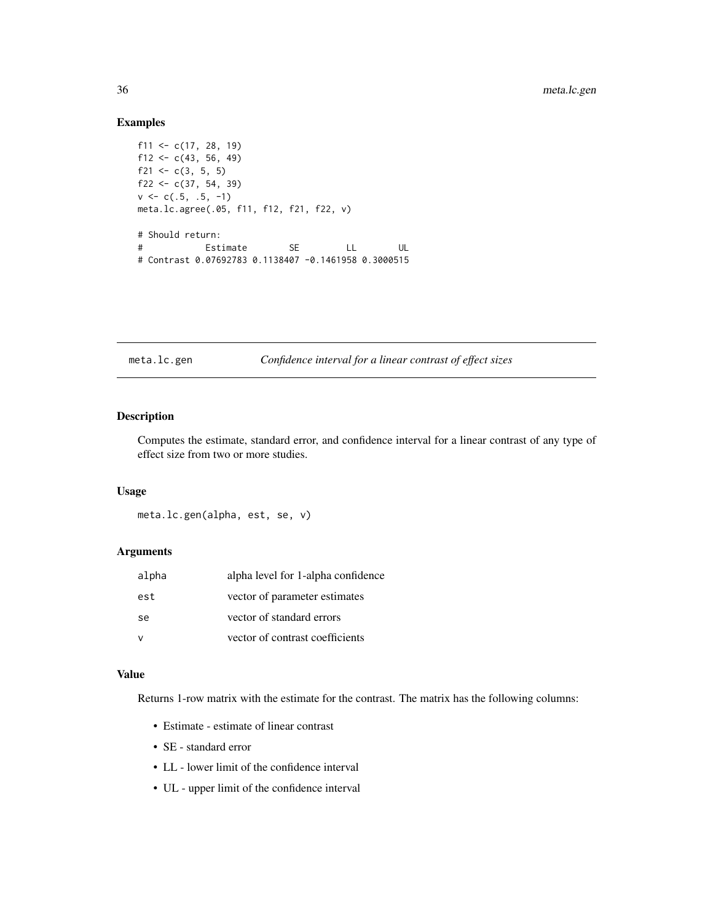# Examples

```
f11 <- c(17, 28, 19)
f12 <- c(43, 56, 49)
f21 <- c(3, 5, 5)f22 <- c(37, 54, 39)v \leq c(.5, .5, -1)meta.lc.agree(.05, f11, f12, f21, f22, v)
# Should return:
# Estimate SE LL UL
# Contrast 0.07692783 0.1138407 -0.1461958 0.3000515
```
meta.lc.gen *Confidence interval for a linear contrast of effect sizes*

# Description

Computes the estimate, standard error, and confidence interval for a linear contrast of any type of effect size from two or more studies.

#### Usage

meta.lc.gen(alpha, est, se, v)

# Arguments

| alpha | alpha level for 1-alpha confidence |
|-------|------------------------------------|
| est   | vector of parameter estimates      |
| se    | vector of standard errors          |
|       | vector of contrast coefficients    |

# Value

Returns 1-row matrix with the estimate for the contrast. The matrix has the following columns:

- Estimate estimate of linear contrast
- SE standard error
- LL lower limit of the confidence interval
- UL upper limit of the confidence interval

<span id="page-35-0"></span>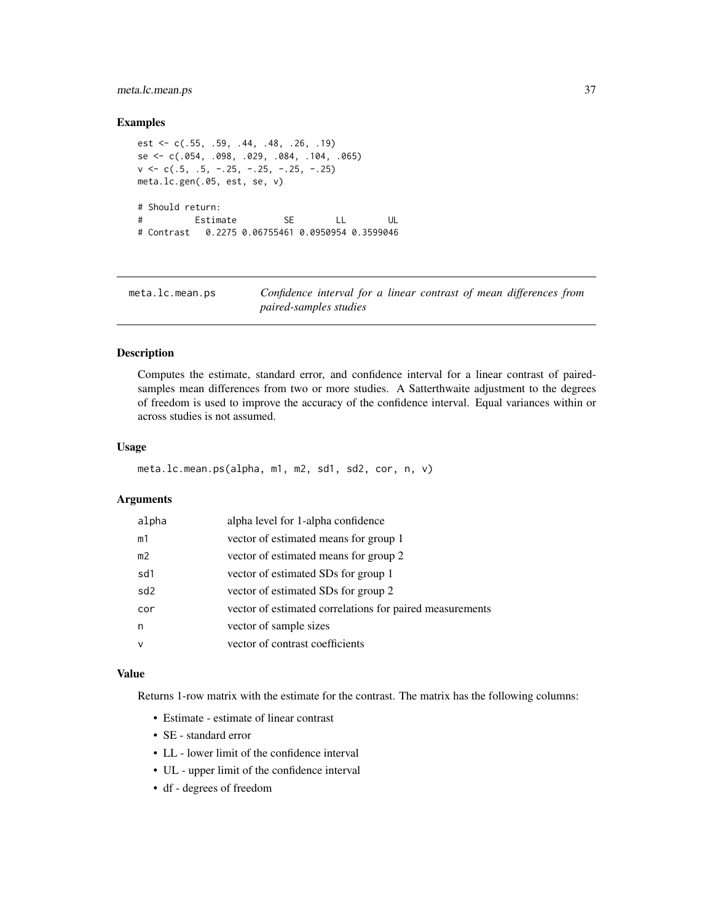## meta.lc.mean.ps 37

### Examples

```
est <- c(.55, .59, .44, .48, .26, .19)
se <- c(.054, .098, .029, .084, .104, .065)
v \leq c(.5, .5, -.25, -.25, -.25, -.25)meta.lc.gen(.05, est, se, v)
# Should return:
# Estimate SE LL UL
# Contrast 0.2275 0.06755461 0.0950954 0.3599046
```
meta.lc.mean.ps *Confidence interval for a linear contrast of mean differences from paired-samples studies*

## Description

Computes the estimate, standard error, and confidence interval for a linear contrast of pairedsamples mean differences from two or more studies. A Satterthwaite adjustment to the degrees of freedom is used to improve the accuracy of the confidence interval. Equal variances within or across studies is not assumed.

## Usage

```
meta.lc.mean.ps(alpha, m1, m2, sd1, sd2, cor, n, v)
```
## Arguments

| alpha           | alpha level for 1-alpha confidence                       |
|-----------------|----------------------------------------------------------|
| m1              | vector of estimated means for group 1                    |
| m <sub>2</sub>  | vector of estimated means for group 2                    |
| sd1             | vector of estimated SDs for group 1                      |
| sd <sub>2</sub> | vector of estimated SDs for group 2                      |
| cor             | vector of estimated correlations for paired measurements |
| n               | vector of sample sizes                                   |
| v               | vector of contrast coefficients                          |
|                 |                                                          |

## Value

Returns 1-row matrix with the estimate for the contrast. The matrix has the following columns:

- Estimate estimate of linear contrast
- SE standard error
- LL lower limit of the confidence interval
- UL upper limit of the confidence interval
- df degrees of freedom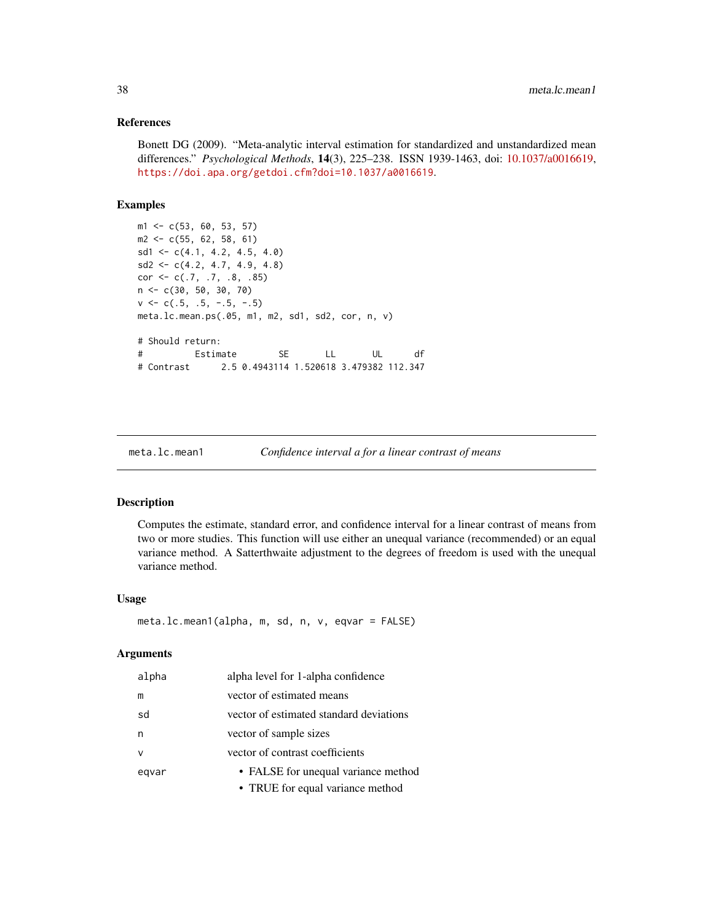### References

Bonett DG (2009). "Meta-analytic interval estimation for standardized and unstandardized mean differences." *Psychological Methods*, 14(3), 225–238. ISSN 1939-1463, doi: [10.1037/a0016619,](https://doi.org/10.1037/a0016619) <https://doi.apa.org/getdoi.cfm?doi=10.1037/a0016619>.

## Examples

```
m1 <- c(53, 60, 53, 57)
m2 \leq -c(55, 62, 58, 61)sd1 \leq c(4.1, 4.2, 4.5, 4.0)sd2 \leq -c(4.2, 4.7, 4.9, 4.8)cor <- c(.7, .7, .8, .85)
n <- c(30, 50, 30, 70)
v \leq -c(.5, .5, -.5, -.5)meta.lc.mean.ps(.05, m1, m2, sd1, sd2, cor, n, v)
# Should return:
# Estimate SE LL UL df
# Contrast 2.5 0.4943114 1.520618 3.479382 112.347
```
meta.lc.mean1 *Confidence interval a for a linear contrast of means*

### Description

Computes the estimate, standard error, and confidence interval for a linear contrast of means from two or more studies. This function will use either an unequal variance (recommended) or an equal variance method. A Satterthwaite adjustment to the degrees of freedom is used with the unequal variance method.

#### Usage

```
meta.lc.mean1(alpha, m, sd, n, v, eqvar = FALSE)
```
### Arguments

| alpha  | alpha level for 1-alpha confidence      |
|--------|-----------------------------------------|
| m      | vector of estimated means               |
| sd     | vector of estimated standard deviations |
| n      | vector of sample sizes                  |
| $\vee$ | vector of contrast coefficients         |
| egvar  | • FALSE for unequal variance method     |
|        | • TRUE for equal variance method        |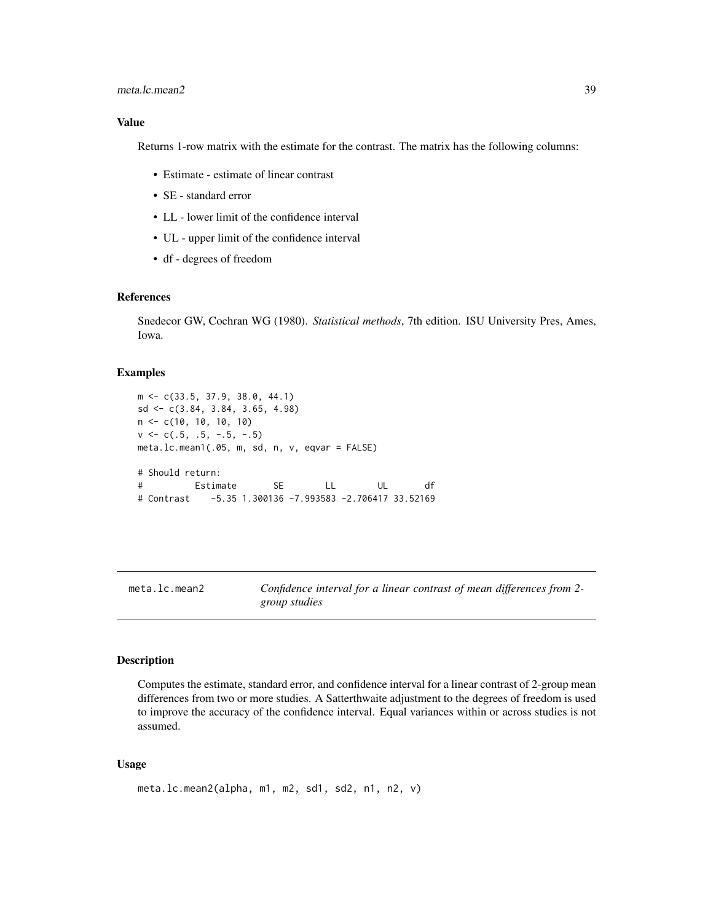### meta.lc.mean2 39

### Value

Returns 1-row matrix with the estimate for the contrast. The matrix has the following columns:

- Estimate estimate of linear contrast
- SE standard error
- LL lower limit of the confidence interval
- UL upper limit of the confidence interval
- df degrees of freedom

## References

Snedecor GW, Cochran WG (1980). *Statistical methods*, 7th edition. ISU University Pres, Ames, Iowa.

## Examples

```
m <- c(33.5, 37.9, 38.0, 44.1)
sd <- c(3.84, 3.84, 3.65, 4.98)
n <- c(10, 10, 10, 10)
v \leq -c(.5, .5, -.5, -.5)meta.lc.mean1(.05, m, sd, n, v, eqvar = FALSE)
# Should return:
# Estimate SE LL UL df
# Contrast -5.35 1.300136 -7.993583 -2.706417 33.52169
```
meta.lc.mean2 *Confidence interval for a linear contrast of mean differences from 2 group studies*

#### Description

Computes the estimate, standard error, and confidence interval for a linear contrast of 2-group mean differences from two or more studies. A Satterthwaite adjustment to the degrees of freedom is used to improve the accuracy of the confidence interval. Equal variances within or across studies is not assumed.

#### Usage

```
meta.lc.mean2(alpha, m1, m2, sd1, sd2, n1, n2, v)
```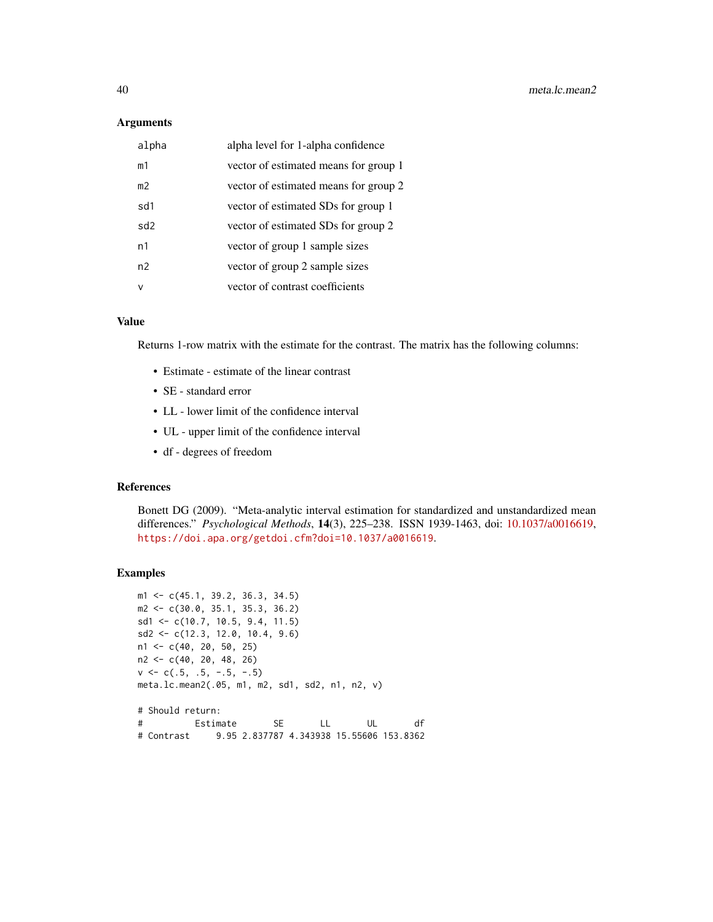#### **Arguments**

| alpha          | alpha level for 1-alpha confidence    |
|----------------|---------------------------------------|
| m1             | vector of estimated means for group 1 |
| m <sub>2</sub> | vector of estimated means for group 2 |
| sd1            | vector of estimated SDs for group 1   |
| sd2            | vector of estimated SDs for group 2   |
| n1             | vector of group 1 sample sizes        |
| n <sub>2</sub> | vector of group 2 sample sizes        |
| ν              | vector of contrast coefficients       |

#### Value

Returns 1-row matrix with the estimate for the contrast. The matrix has the following columns:

- Estimate estimate of the linear contrast
- SE standard error
- LL lower limit of the confidence interval
- UL upper limit of the confidence interval
- df degrees of freedom

## References

Bonett DG (2009). "Meta-analytic interval estimation for standardized and unstandardized mean differences." *Psychological Methods*, 14(3), 225–238. ISSN 1939-1463, doi: [10.1037/a0016619,](https://doi.org/10.1037/a0016619) <https://doi.apa.org/getdoi.cfm?doi=10.1037/a0016619>.

```
m1 <- c(45.1, 39.2, 36.3, 34.5)
m2 <- c(30.0, 35.1, 35.3, 36.2)
sd1 <- c(10.7, 10.5, 9.4, 11.5)
sd2 <- c(12.3, 12.0, 10.4, 9.6)
n1 <- c(40, 20, 50, 25)
n2 <- c(40, 20, 48, 26)
v \leq -c(.5, .5, -.5, -.5)meta.lc.mean2(.05, m1, m2, sd1, sd2, n1, n2, v)
# Should return:
# Estimate SE LL UL df
# Contrast 9.95 2.837787 4.343938 15.55606 153.8362
```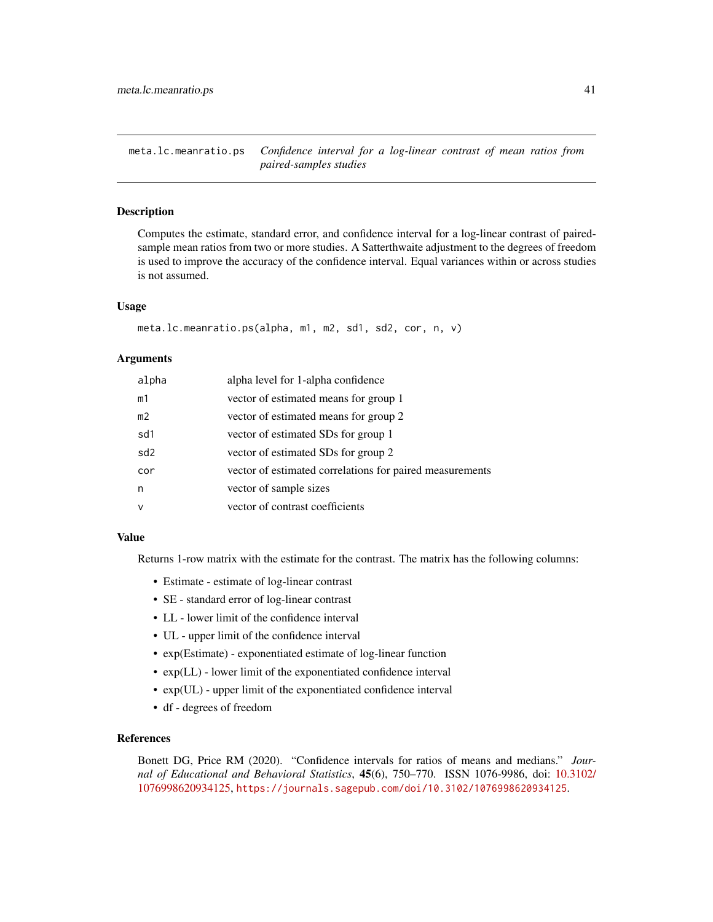meta.lc.meanratio.ps *Confidence interval for a log-linear contrast of mean ratios from paired-samples studies*

### Description

Computes the estimate, standard error, and confidence interval for a log-linear contrast of pairedsample mean ratios from two or more studies. A Satterthwaite adjustment to the degrees of freedom is used to improve the accuracy of the confidence interval. Equal variances within or across studies is not assumed.

## Usage

```
meta.lc.meanratio.ps(alpha, m1, m2, sd1, sd2, cor, n, v)
```
### Arguments

| alpha           | alpha level for 1-alpha confidence                       |
|-----------------|----------------------------------------------------------|
| m1              | vector of estimated means for group 1                    |
| m <sub>2</sub>  | vector of estimated means for group 2                    |
| sd1             | vector of estimated SDs for group 1                      |
| sd <sub>2</sub> | vector of estimated SDs for group 2                      |
| cor             | vector of estimated correlations for paired measurements |
| n               | vector of sample sizes                                   |
| v               | vector of contrast coefficients                          |

## Value

Returns 1-row matrix with the estimate for the contrast. The matrix has the following columns:

- Estimate estimate of log-linear contrast
- SE standard error of log-linear contrast
- LL lower limit of the confidence interval
- UL upper limit of the confidence interval
- exp(Estimate) exponentiated estimate of log-linear function
- exp(LL) lower limit of the exponentiated confidence interval
- exp(UL) upper limit of the exponentiated confidence interval
- df degrees of freedom

## References

Bonett DG, Price RM (2020). "Confidence intervals for ratios of means and medians." *Journal of Educational and Behavioral Statistics*, 45(6), 750–770. ISSN 1076-9986, doi: [10.3102/](https://doi.org/10.3102/1076998620934125) [1076998620934125,](https://doi.org/10.3102/1076998620934125) <https://journals.sagepub.com/doi/10.3102/1076998620934125>.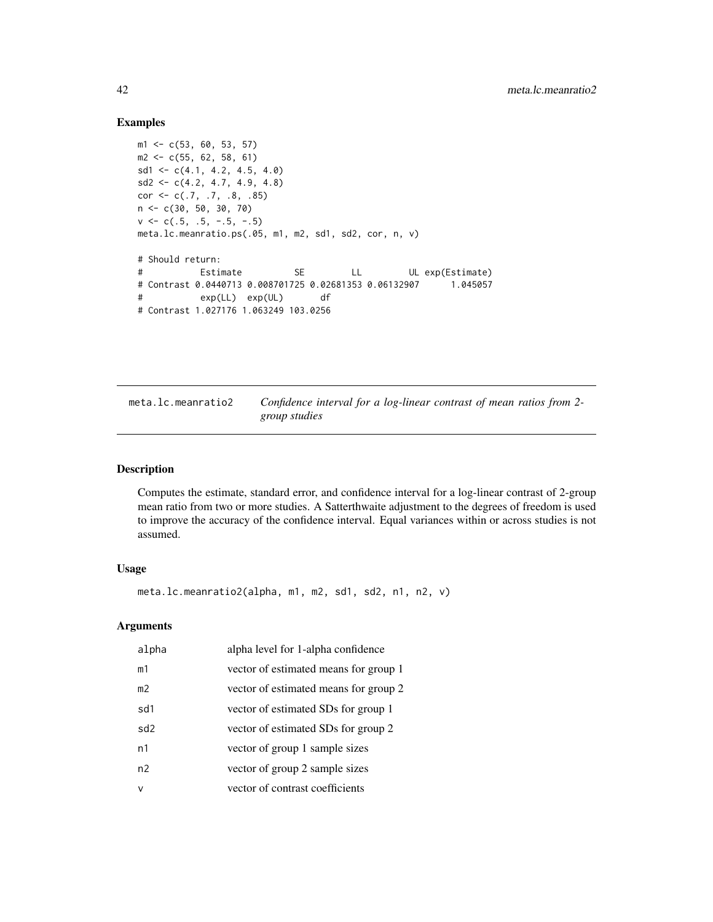## Examples

```
m1 \leftarrow c(53, 60, 53, 57)m2 \leq -c(55, 62, 58, 61)sd1 \leftarrow c(4.1, 4.2, 4.5, 4.0)sd2 \leq c(4.2, 4.7, 4.9, 4.8)cor \leftarrow c(.7, .7, .8, .85)n <- c(30, 50, 30, 70)
v \leq -c(.5, .5, -.5, -.5)meta.lc.meanratio.ps(.05, m1, m2, sd1, sd2, cor, n, v)
# Should return:
# Estimate SE LL UL exp(Estimate)
# Contrast 0.0440713 0.008701725 0.02681353 0.06132907 1.045057
# exp(LL) exp(UL) df
# Contrast 1.027176 1.063249 103.0256
```

| meta.lc.meanratio2 | Confidence interval for a log-linear contrast of mean ratios from 2- |
|--------------------|----------------------------------------------------------------------|
|                    | group studies                                                        |

#### Description

Computes the estimate, standard error, and confidence interval for a log-linear contrast of 2-group mean ratio from two or more studies. A Satterthwaite adjustment to the degrees of freedom is used to improve the accuracy of the confidence interval. Equal variances within or across studies is not assumed.

## Usage

```
meta.lc.meanratio2(alpha, m1, m2, sd1, sd2, n1, n2, v)
```
## Arguments

| alpha           | alpha level for 1-alpha confidence    |
|-----------------|---------------------------------------|
| m1              | vector of estimated means for group 1 |
| m <sub>2</sub>  | vector of estimated means for group 2 |
| sd1             | vector of estimated SDs for group 1   |
| sd <sub>2</sub> | vector of estimated SDs for group 2   |
| n1              | vector of group 1 sample sizes        |
| n2              | vector of group 2 sample sizes        |
| $\vee$          | vector of contrast coefficients       |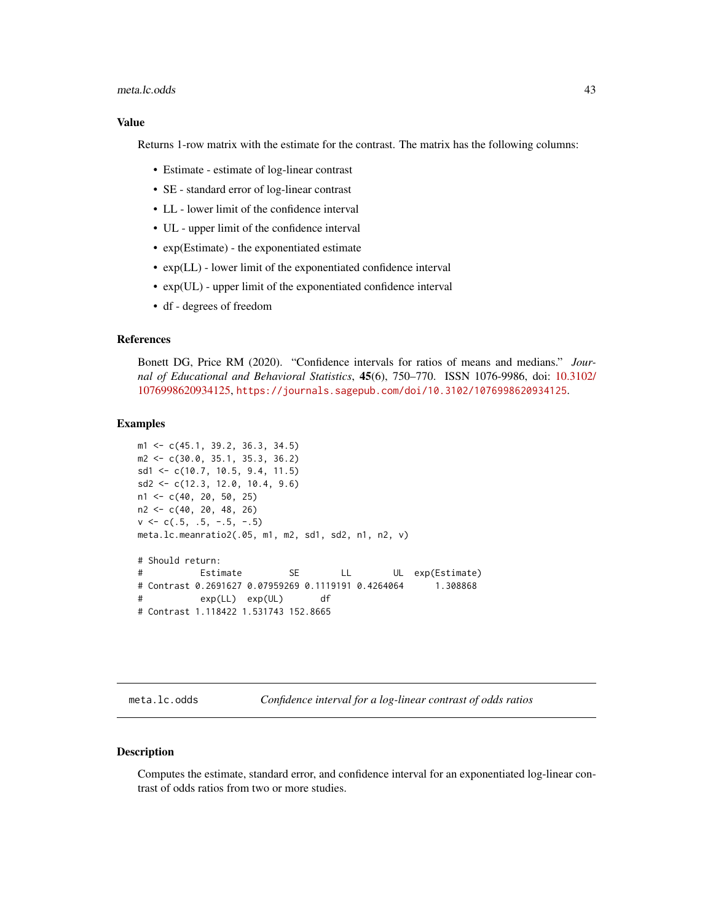#### meta.lc.odds 43

#### Value

Returns 1-row matrix with the estimate for the contrast. The matrix has the following columns:

- Estimate estimate of log-linear contrast
- SE standard error of log-linear contrast
- LL lower limit of the confidence interval
- UL upper limit of the confidence interval
- exp(Estimate) the exponentiated estimate
- exp(LL) lower limit of the exponentiated confidence interval
- exp(UL) upper limit of the exponentiated confidence interval
- df degrees of freedom

## References

Bonett DG, Price RM (2020). "Confidence intervals for ratios of means and medians." *Journal of Educational and Behavioral Statistics*, 45(6), 750–770. ISSN 1076-9986, doi: [10.3102/](https://doi.org/10.3102/1076998620934125) [1076998620934125,](https://doi.org/10.3102/1076998620934125) <https://journals.sagepub.com/doi/10.3102/1076998620934125>.

#### Examples

```
m1 <- c(45.1, 39.2, 36.3, 34.5)
m2 <- c(30.0, 35.1, 35.3, 36.2)
sd1 <- c(10.7, 10.5, 9.4, 11.5)
sd2 <- c(12.3, 12.0, 10.4, 9.6)
n1 <- c(40, 20, 50, 25)
n2 <- c(40, 20, 48, 26)
v \leq -c(.5, .5, -.5, -.5)meta.lc.meanratio2(.05, m1, m2, sd1, sd2, n1, n2, v)
# Should return:
# Estimate SE LL UL exp(Estimate)
# Contrast 0.2691627 0.07959269 0.1119191 0.4264064 1.308868
# exp(LL) exp(UL) df
# Contrast 1.118422 1.531743 152.8665
```
meta.lc.odds *Confidence interval for a log-linear contrast of odds ratios*

### Description

Computes the estimate, standard error, and confidence interval for an exponentiated log-linear contrast of odds ratios from two or more studies.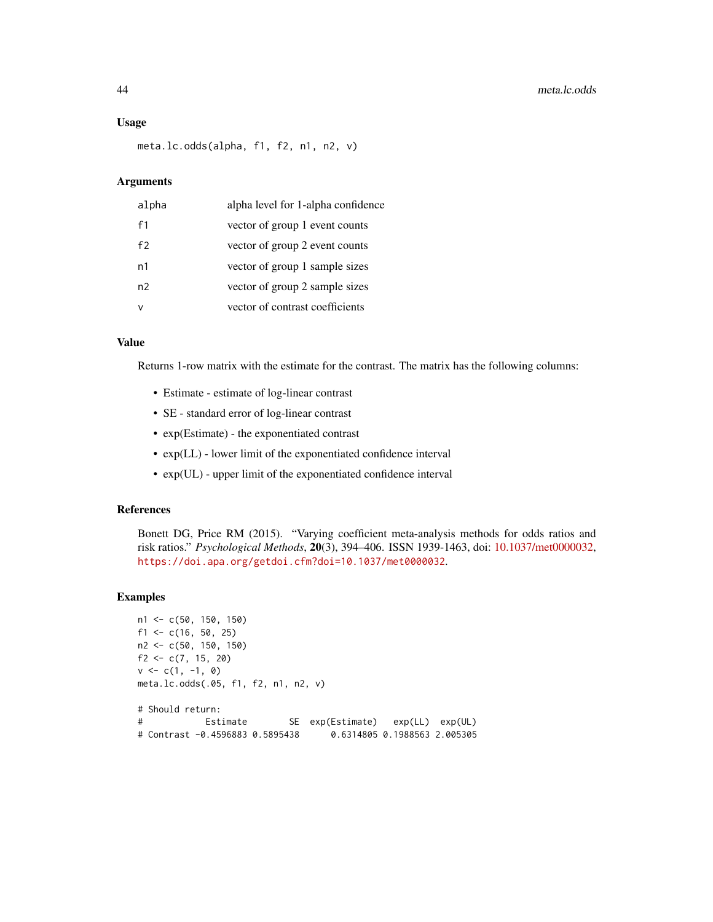#### Usage

meta.lc.odds(alpha, f1, f2, n1, n2, v)

#### Arguments

| alpha | alpha level for 1-alpha confidence |
|-------|------------------------------------|
| f1    | vector of group 1 event counts     |
| f2    | vector of group 2 event counts     |
| n1    | vector of group 1 sample sizes     |
| n2    | vector of group 2 sample sizes     |
|       | vector of contrast coefficients    |

### Value

Returns 1-row matrix with the estimate for the contrast. The matrix has the following columns:

- Estimate estimate of log-linear contrast
- SE standard error of log-linear contrast
- exp(Estimate) the exponentiated contrast
- exp(LL) lower limit of the exponentiated confidence interval
- exp(UL) upper limit of the exponentiated confidence interval

#### References

Bonett DG, Price RM (2015). "Varying coefficient meta-analysis methods for odds ratios and risk ratios." *Psychological Methods*, 20(3), 394–406. ISSN 1939-1463, doi: [10.1037/met0000032,](https://doi.org/10.1037/met0000032) <https://doi.apa.org/getdoi.cfm?doi=10.1037/met0000032>.

```
n1 <- c(50, 150, 150)
f1 <- c(16, 50, 25)n2 <- c(50, 150, 150)
f2 <- c(7, 15, 20)
v \leq c(1, -1, 0)meta.lc.odds(.05, f1, f2, n1, n2, v)
# Should return:
# Estimate SE exp(Estimate) exp(LL) exp(UL)
# Contrast -0.4596883 0.5895438 0.6314805 0.1988563 2.005305
```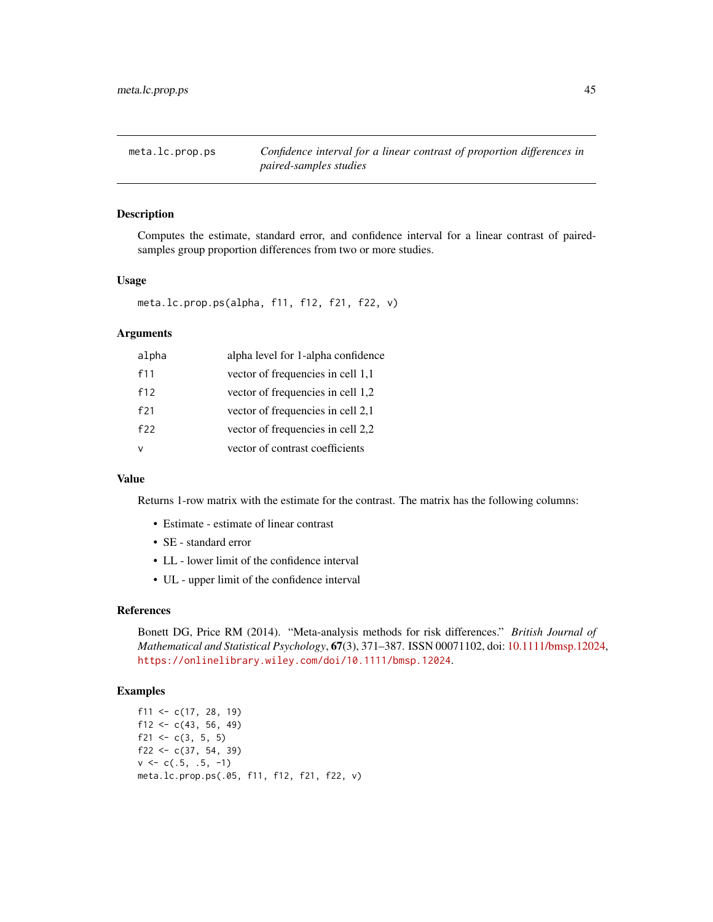meta.lc.prop.ps *Confidence interval for a linear contrast of proportion differences in paired-samples studies*

### Description

Computes the estimate, standard error, and confidence interval for a linear contrast of pairedsamples group proportion differences from two or more studies.

## Usage

```
meta.lc.prop.ps(alpha, f11, f12, f21, f22, v)
```
## Arguments

| alpha | alpha level for 1-alpha confidence |
|-------|------------------------------------|
| f11   | vector of frequencies in cell 1,1  |
| f12   | vector of frequencies in cell 1,2  |
| f21   | vector of frequencies in cell 2,1  |
| f22   | vector of frequencies in cell 2,2  |
|       | vector of contrast coefficients    |

### Value

Returns 1-row matrix with the estimate for the contrast. The matrix has the following columns:

- Estimate estimate of linear contrast
- SE standard error
- LL lower limit of the confidence interval
- UL upper limit of the confidence interval

### References

Bonett DG, Price RM (2014). "Meta-analysis methods for risk differences." *British Journal of Mathematical and Statistical Psychology*, 67(3), 371–387. ISSN 00071102, doi: [10.1111/bmsp.12024,](https://doi.org/10.1111/bmsp.12024) <https://onlinelibrary.wiley.com/doi/10.1111/bmsp.12024>.

```
f11 <- c(17, 28, 19)f12 <- c(43, 56, 49)f21 <- c(3, 5, 5)f22 <- c(37, 54, 39)v \leq -c(.5, .5, -1)meta.lc.prop.ps(.05, f11, f12, f21, f22, v)
```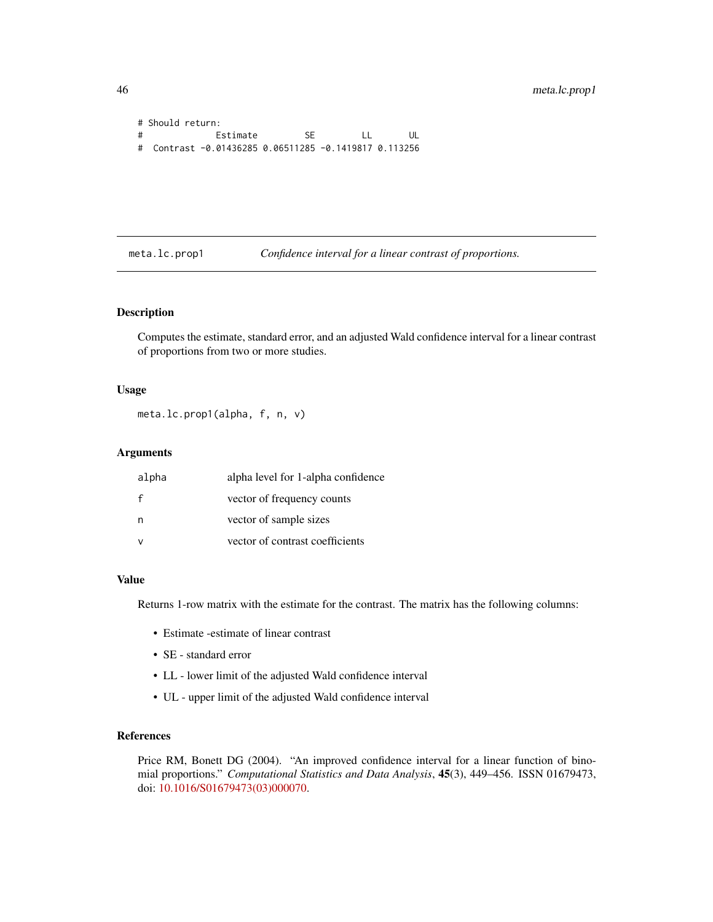```
# Should return:
# Estimate SE LL UL
# Contrast -0.01436285 0.06511285 -0.1419817 0.113256
```
meta.lc.prop1 *Confidence interval for a linear contrast of proportions.*

### Description

Computes the estimate, standard error, and an adjusted Wald confidence interval for a linear contrast of proportions from two or more studies.

### Usage

```
meta.lc.prop1(alpha, f, n, v)
```
### Arguments

| alpha        | alpha level for 1-alpha confidence |
|--------------|------------------------------------|
| $\mathbf{f}$ | vector of frequency counts         |
| n            | vector of sample sizes             |
| $\mathsf{v}$ | vector of contrast coefficients    |

### Value

Returns 1-row matrix with the estimate for the contrast. The matrix has the following columns:

- Estimate -estimate of linear contrast
- SE standard error
- LL lower limit of the adjusted Wald confidence interval
- UL upper limit of the adjusted Wald confidence interval

### References

Price RM, Bonett DG (2004). "An improved confidence interval for a linear function of binomial proportions." *Computational Statistics and Data Analysis*, 45(3), 449–456. ISSN 01679473, doi: [10.1016/S01679473\(03\)000070.](https://doi.org/10.1016/S0167-9473(03)00007-0)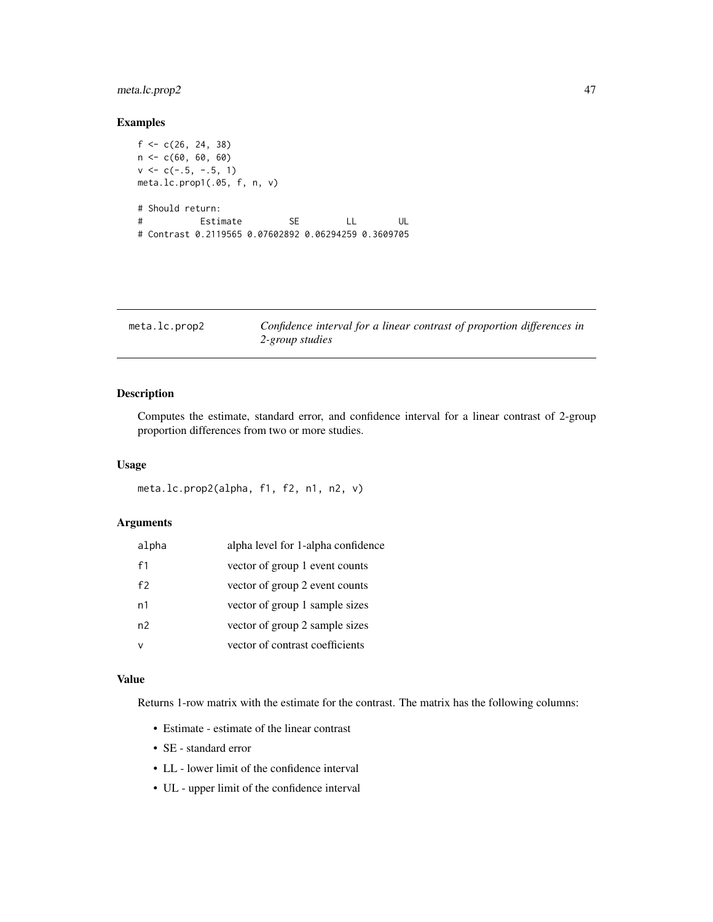## meta.lc.prop2 47

## Examples

```
f \leftarrow c(26, 24, 38)n <- c(60, 60, 60)
v \leq -c(-.5, -.5, 1)meta.lc.prop1(.05, f, n, v)
# Should return:
# Estimate SE LL UL
# Contrast 0.2119565 0.07602892 0.06294259 0.3609705
```

| meta.lc.prop2 |  |  |  |
|---------------|--|--|--|
|---------------|--|--|--|

Confidence interval for a linear contrast of proportion differences in *2-group studies*

## Description

Computes the estimate, standard error, and confidence interval for a linear contrast of 2-group proportion differences from two or more studies.

### Usage

```
meta.lc.prop2(alpha, f1, f2, n1, n2, v)
```
### Arguments

| alpha | alpha level for 1-alpha confidence |
|-------|------------------------------------|
| f1    | vector of group 1 event counts     |
| f2    | vector of group 2 event counts     |
| n1    | vector of group 1 sample sizes     |
| n2    | vector of group 2 sample sizes     |
|       | vector of contrast coefficients    |

### Value

Returns 1-row matrix with the estimate for the contrast. The matrix has the following columns:

- Estimate estimate of the linear contrast
- SE standard error
- LL lower limit of the confidence interval
- UL upper limit of the confidence interval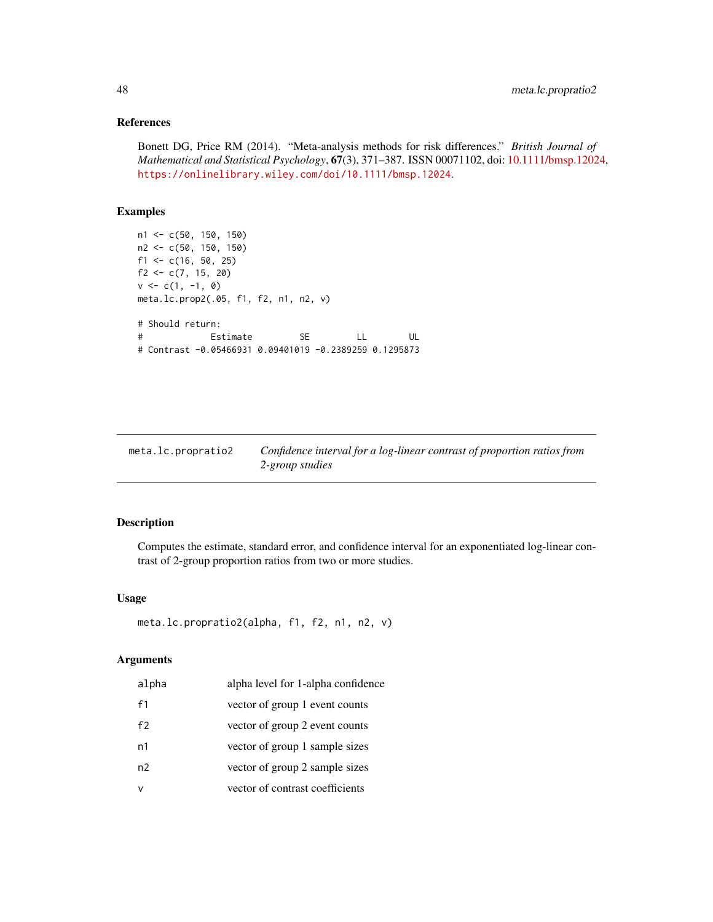## References

Bonett DG, Price RM (2014). "Meta-analysis methods for risk differences." *British Journal of Mathematical and Statistical Psychology*, 67(3), 371–387. ISSN 00071102, doi: [10.1111/bmsp.12024,](https://doi.org/10.1111/bmsp.12024) <https://onlinelibrary.wiley.com/doi/10.1111/bmsp.12024>.

## Examples

```
n1 <- c(50, 150, 150)
n2 <- c(50, 150, 150)
f1 <- c(16, 50, 25)f2 <- c(7, 15, 20)
v \leq c(1, -1, 0)meta.lc.prop2(.05, f1, f2, n1, n2, v)
# Should return:
# Estimate SE LL UL
# Contrast -0.05466931 0.09401019 -0.2389259 0.1295873
```

| meta.lc.propratio2 | Confidence interval for a log-linear contrast of proportion ratios from |
|--------------------|-------------------------------------------------------------------------|
|                    | 2-group studies                                                         |

# Description

Computes the estimate, standard error, and confidence interval for an exponentiated log-linear contrast of 2-group proportion ratios from two or more studies.

## Usage

```
meta.lc.propratio2(alpha, f1, f2, n1, n2, v)
```
## Arguments

| alpha | alpha level for 1-alpha confidence |
|-------|------------------------------------|
| f1    | vector of group 1 event counts     |
| f2    | vector of group 2 event counts     |
| n1    | vector of group 1 sample sizes     |
| n2    | vector of group 2 sample sizes     |
|       | vector of contrast coefficients    |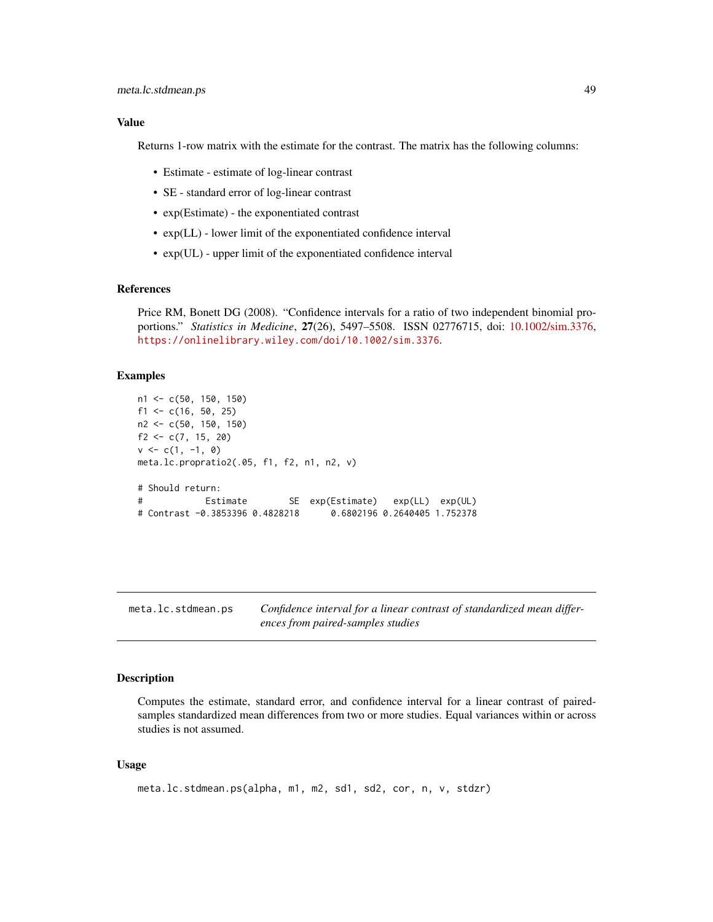### Value

Returns 1-row matrix with the estimate for the contrast. The matrix has the following columns:

- Estimate estimate of log-linear contrast
- SE standard error of log-linear contrast
- exp(Estimate) the exponentiated contrast
- exp(LL) lower limit of the exponentiated confidence interval
- exp(UL) upper limit of the exponentiated confidence interval

### References

Price RM, Bonett DG (2008). "Confidence intervals for a ratio of two independent binomial proportions." *Statistics in Medicine*, 27(26), 5497–5508. ISSN 02776715, doi: [10.1002/sim.3376,](https://doi.org/10.1002/sim.3376) <https://onlinelibrary.wiley.com/doi/10.1002/sim.3376>.

#### Examples

```
n1 <- c(50, 150, 150)
f1 <- c(16, 50, 25)n2 <- c(50, 150, 150)
f2 <- c(7, 15, 20)
v \leq c(1, -1, 0)meta.lc.propratio2(.05, f1, f2, n1, n2, v)
# Should return:
# Estimate SE exp(Estimate) exp(LL) exp(UL)
# Contrast -0.3853396 0.4828218 0.6802196 0.2640405 1.752378
```
meta.lc.stdmean.ps *Confidence interval for a linear contrast of standardized mean differences from paired-samples studies*

### Description

Computes the estimate, standard error, and confidence interval for a linear contrast of pairedsamples standardized mean differences from two or more studies. Equal variances within or across studies is not assumed.

#### Usage

```
meta.lc.stdmean.ps(alpha, m1, m2, sd1, sd2, cor, n, v, stdzr)
```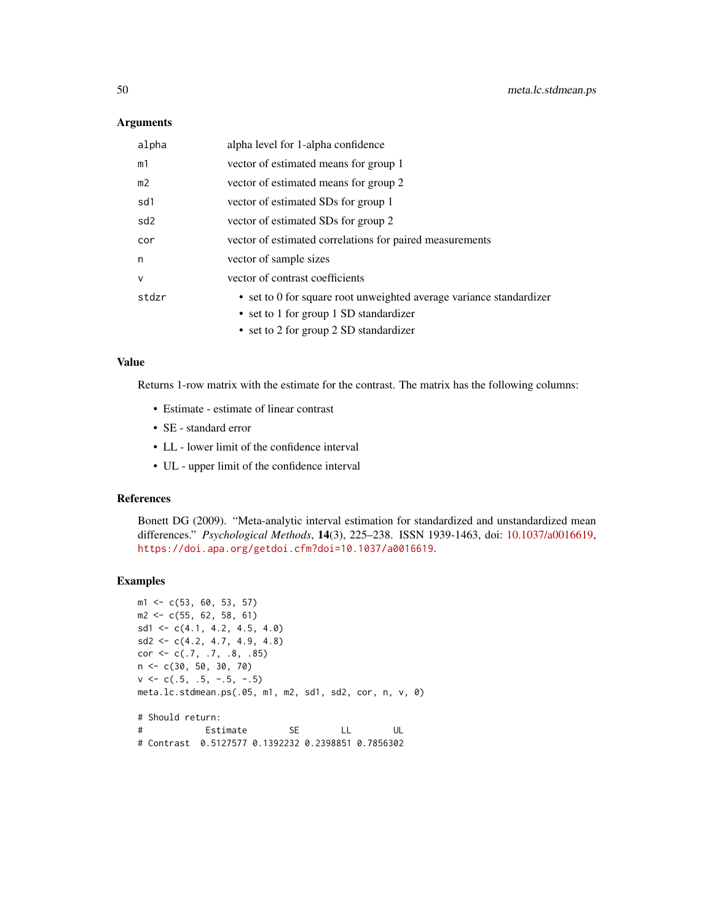### **Arguments**

| alpha           | alpha level for 1-alpha confidence                                  |
|-----------------|---------------------------------------------------------------------|
| m1              | vector of estimated means for group 1                               |
| m <sub>2</sub>  | vector of estimated means for group 2                               |
| sd1             | vector of estimated SDs for group 1                                 |
| sd <sub>2</sub> | vector of estimated SDs for group 2                                 |
| cor             | vector of estimated correlations for paired measurements            |
| n               | vector of sample sizes                                              |
| $\vee$          | vector of contrast coefficients                                     |
| stdzr           | • set to 0 for square root unweighted average variance standardizer |
|                 | • set to 1 for group 1 SD standardizer                              |
|                 | • set to 2 for group 2 SD standardizer                              |

#### Value

Returns 1-row matrix with the estimate for the contrast. The matrix has the following columns:

- Estimate estimate of linear contrast
- SE standard error
- LL lower limit of the confidence interval
- UL upper limit of the confidence interval

### References

Bonett DG (2009). "Meta-analytic interval estimation for standardized and unstandardized mean differences." *Psychological Methods*, 14(3), 225–238. ISSN 1939-1463, doi: [10.1037/a0016619,](https://doi.org/10.1037/a0016619) <https://doi.apa.org/getdoi.cfm?doi=10.1037/a0016619>.

```
m1 <- c(53, 60, 53, 57)
m2 <- c(55, 62, 58, 61)
sd1 \leftarrow c(4.1, 4.2, 4.5, 4.0)sd2 \leq -c(4.2, 4.7, 4.9, 4.8)cor \leq c(.7, .7, .8, .85)n <- c(30, 50, 30, 70)
v \leq -c(.5, .5, -.5, -.5)meta.lc.stdmean.ps(.05, m1, m2, sd1, sd2, cor, n, v, 0)
# Should return:
# Estimate SE LL UL
# Contrast 0.5127577 0.1392232 0.2398851 0.7856302
```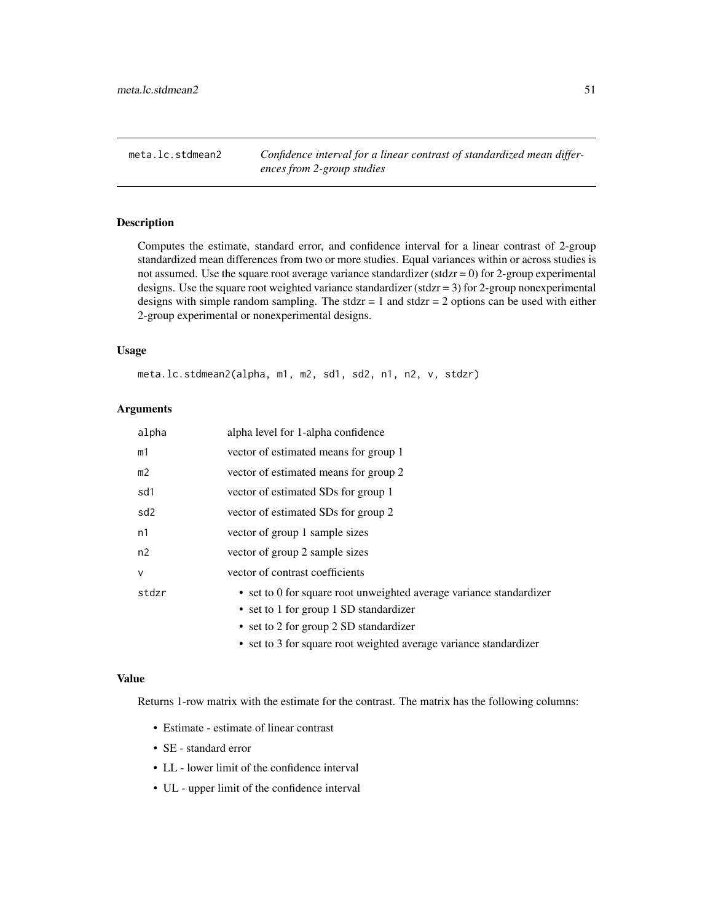meta.lc.stdmean2 *Confidence interval for a linear contrast of standardized mean differences from 2-group studies*

## Description

Computes the estimate, standard error, and confidence interval for a linear contrast of 2-group standardized mean differences from two or more studies. Equal variances within or across studies is not assumed. Use the square root average variance standardizer (stdzr = 0) for 2-group experimental designs. Use the square root weighted variance standardizer (stdzr =  $3$ ) for 2-group nonexperimental designs with simple random sampling. The stdzr = 1 and stdzr = 2 options can be used with either 2-group experimental or nonexperimental designs.

### Usage

meta.lc.stdmean2(alpha, m1, m2, sd1, sd2, n1, n2, v, stdzr)

## Arguments

| alpha           | alpha level for 1-alpha confidence                                                                                                                      |
|-----------------|---------------------------------------------------------------------------------------------------------------------------------------------------------|
| m1              | vector of estimated means for group 1                                                                                                                   |
| m <sub>2</sub>  | vector of estimated means for group 2                                                                                                                   |
| sd1             | vector of estimated SDs for group 1                                                                                                                     |
| sd <sub>2</sub> | vector of estimated SDs for group 2                                                                                                                     |
| n1              | vector of group 1 sample sizes                                                                                                                          |
| n2              | vector of group 2 sample sizes                                                                                                                          |
| $\mathsf{v}$    | vector of contrast coefficients                                                                                                                         |
| stdzr           | • set to 0 for square root unweighted average variance standardizer<br>• set to 1 for group 1 SD standardizer<br>• set to 2 for group 2 SD standardizer |

• set to 3 for square root weighted average variance standardizer

### Value

Returns 1-row matrix with the estimate for the contrast. The matrix has the following columns:

- Estimate estimate of linear contrast
- SE standard error
- LL lower limit of the confidence interval
- UL upper limit of the confidence interval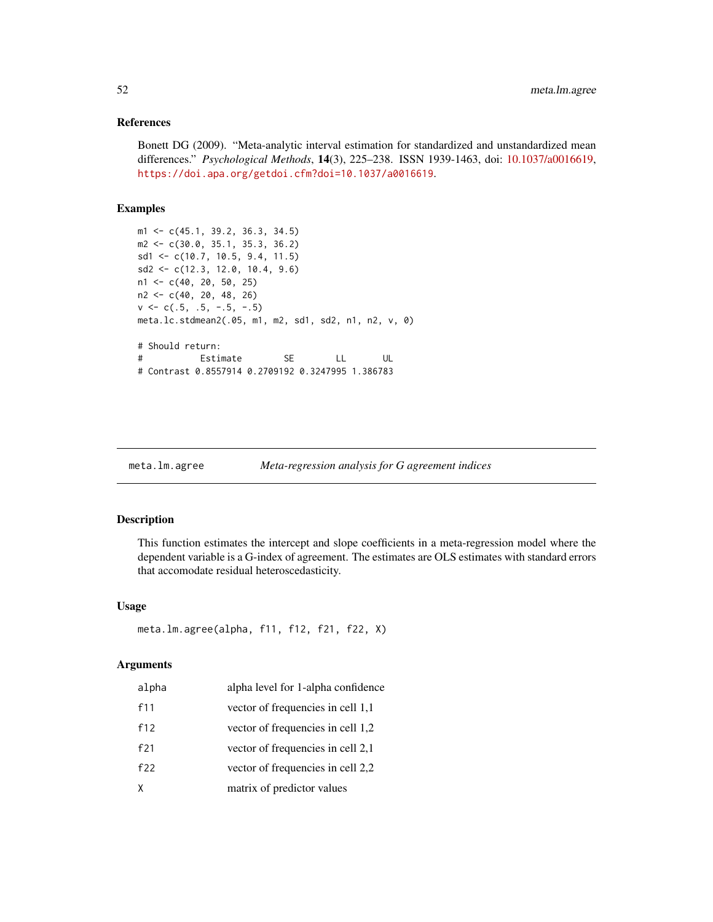### References

Bonett DG (2009). "Meta-analytic interval estimation for standardized and unstandardized mean differences." *Psychological Methods*, 14(3), 225–238. ISSN 1939-1463, doi: [10.1037/a0016619,](https://doi.org/10.1037/a0016619) <https://doi.apa.org/getdoi.cfm?doi=10.1037/a0016619>.

### Examples

```
m1 <- c(45.1, 39.2, 36.3, 34.5)
m2 <- c(30.0, 35.1, 35.3, 36.2)
sd1 <- c(10.7, 10.5, 9.4, 11.5)
sd2 <- c(12.3, 12.0, 10.4, 9.6)
n1 <- c(40, 20, 50, 25)
n2 <- c(40, 20, 48, 26)
v \leq -c(.5, .5, -.5, -.5)meta.lc.stdmean2(.05, m1, m2, sd1, sd2, n1, n2, v, 0)
# Should return:
# Estimate SE LL UL
# Contrast 0.8557914 0.2709192 0.3247995 1.386783
```

| meta.lm.agree | Meta-regression analysis for G agreement indices |  |  |  |
|---------------|--------------------------------------------------|--|--|--|
|---------------|--------------------------------------------------|--|--|--|

## Description

This function estimates the intercept and slope coefficients in a meta-regression model where the dependent variable is a G-index of agreement. The estimates are OLS estimates with standard errors that accomodate residual heteroscedasticity.

### Usage

```
meta.lm.agree(alpha, f11, f12, f21, f22, X)
```
#### **Arguments**

| alpha | alpha level for 1-alpha confidence |
|-------|------------------------------------|
| f11   | vector of frequencies in cell 1,1  |
| f12   | vector of frequencies in cell 1,2  |
| f21   | vector of frequencies in cell 2,1  |
| f22   | vector of frequencies in cell 2,2  |
| χ     | matrix of predictor values         |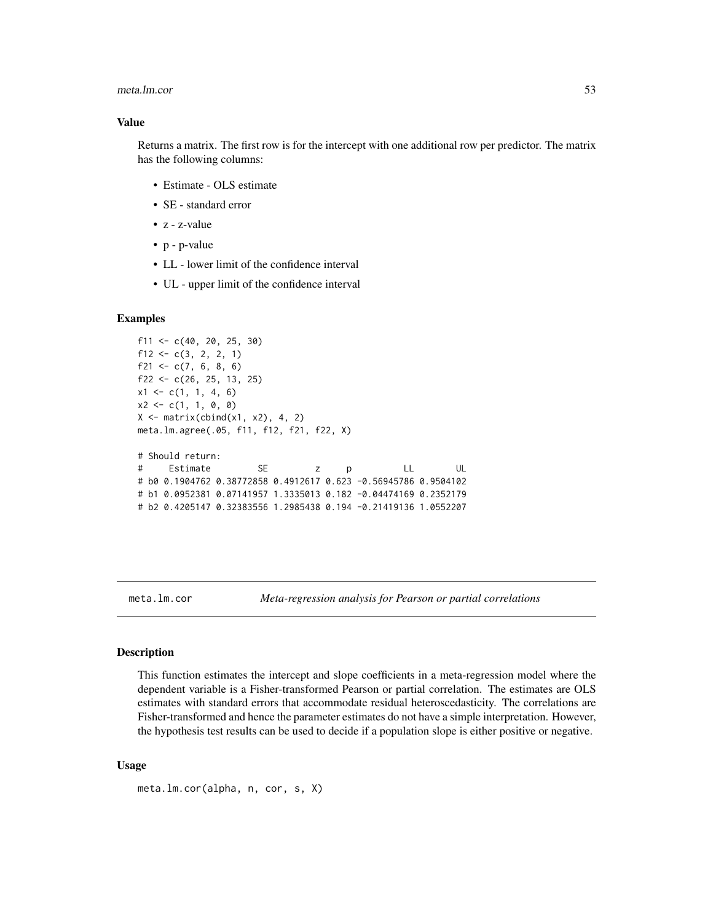#### meta.lm.cor 53

### Value

Returns a matrix. The first row is for the intercept with one additional row per predictor. The matrix has the following columns:

- Estimate OLS estimate
- SE standard error
- z z-value
- p p-value
- LL lower limit of the confidence interval
- UL upper limit of the confidence interval

#### Examples

```
f11 <- c(40, 20, 25, 30)f12 <- c(3, 2, 2, 1)f21 <- c(7, 6, 8, 6)f22 \leq c(26, 25, 13, 25)
x1 \leftarrow c(1, 1, 4, 6)x2 \leq -c(1, 1, 0, 0)X \leftarrow matrix(cbind(x1, x2), 4, 2)meta.lm.agree(.05, f11, f12, f21, f22, X)
# Should return:
# Estimate SE z p LL UL
# b0 0.1904762 0.38772858 0.4912617 0.623 -0.56945786 0.9504102
# b1 0.0952381 0.07141957 1.3335013 0.182 -0.04474169 0.2352179
# b2 0.4205147 0.32383556 1.2985438 0.194 -0.21419136 1.0552207
```
meta.lm.cor *Meta-regression analysis for Pearson or partial correlations*

### **Description**

This function estimates the intercept and slope coefficients in a meta-regression model where the dependent variable is a Fisher-transformed Pearson or partial correlation. The estimates are OLS estimates with standard errors that accommodate residual heteroscedasticity. The correlations are Fisher-transformed and hence the parameter estimates do not have a simple interpretation. However, the hypothesis test results can be used to decide if a population slope is either positive or negative.

#### Usage

```
meta.lm.cor(alpha, n, cor, s, X)
```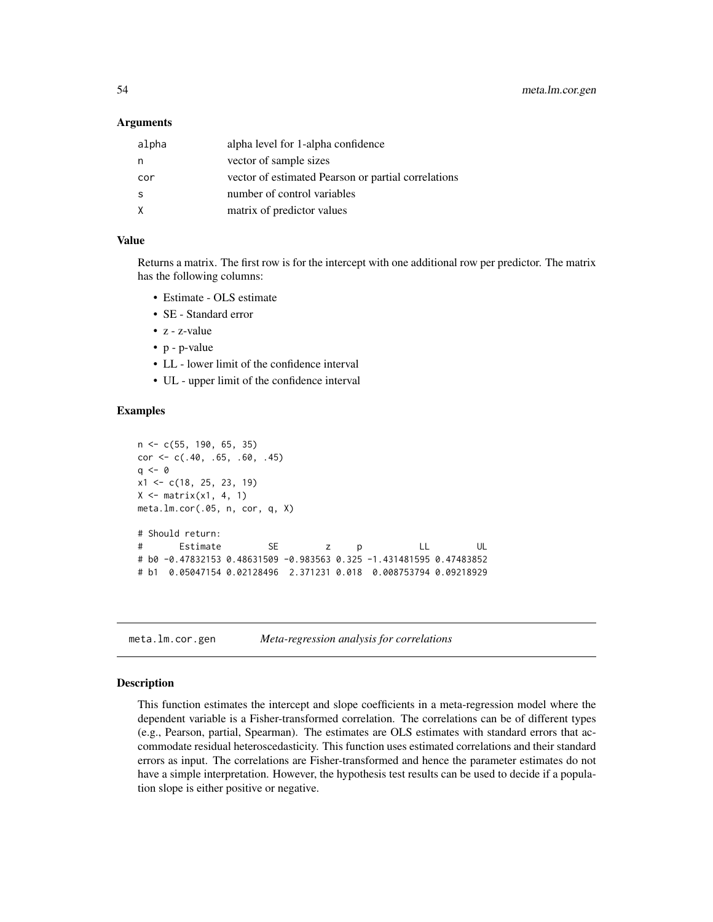### Arguments

| alpha | alpha level for 1-alpha confidence                  |
|-------|-----------------------------------------------------|
| n     | vector of sample sizes                              |
| cor   | vector of estimated Pearson or partial correlations |
| -S    | number of control variables                         |
| X     | matrix of predictor values                          |

### Value

Returns a matrix. The first row is for the intercept with one additional row per predictor. The matrix has the following columns:

- Estimate OLS estimate
- SE Standard error
- z z-value
- p p-value
- LL lower limit of the confidence interval
- UL upper limit of the confidence interval

### Examples

```
n <- c(55, 190, 65, 35)
cor \leq c(.40, .65, .60, .45)
q \leq -\thetax1 \leftarrow c(18, 25, 23, 19)X \leq - matrix(x1, 4, 1)
meta.lm.cor(.05, n, cor, q, X)
# Should return:
# Estimate SE z p LL UL
# b0 -0.47832153 0.48631509 -0.983563 0.325 -1.431481595 0.47483852
# b1 0.05047154 0.02128496 2.371231 0.018 0.008753794 0.09218929
```
### Description

This function estimates the intercept and slope coefficients in a meta-regression model where the dependent variable is a Fisher-transformed correlation. The correlations can be of different types (e.g., Pearson, partial, Spearman). The estimates are OLS estimates with standard errors that accommodate residual heteroscedasticity. This function uses estimated correlations and their standard errors as input. The correlations are Fisher-transformed and hence the parameter estimates do not have a simple interpretation. However, the hypothesis test results can be used to decide if a population slope is either positive or negative.

meta.lm.cor.gen *Meta-regression analysis for correlations*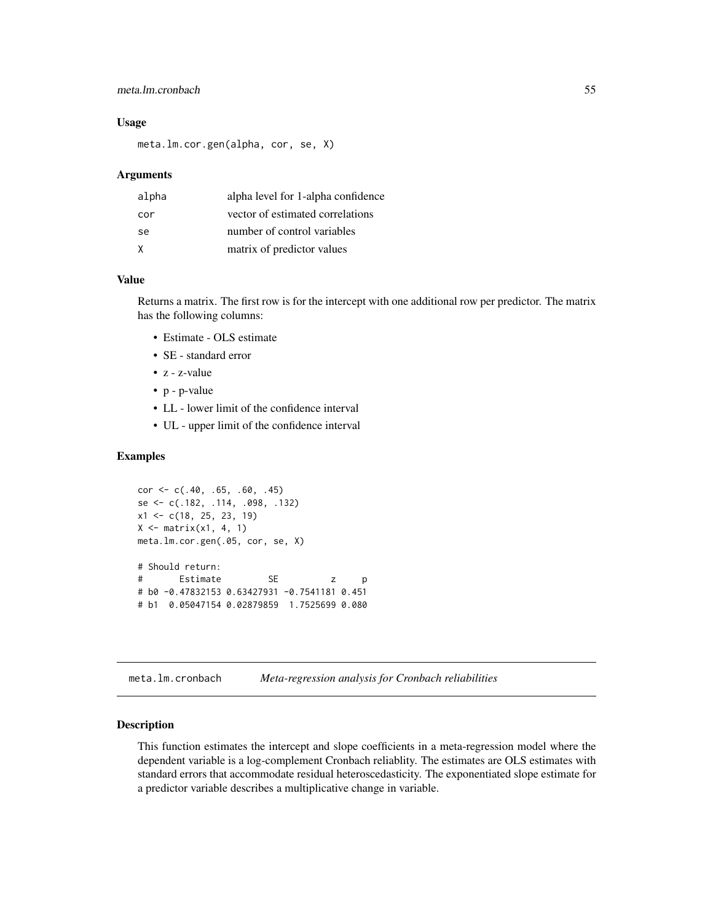## meta.lm.cronbach 55

### Usage

meta.lm.cor.gen(alpha, cor, se, X)

#### Arguments

| alpha | alpha level for 1-alpha confidence |
|-------|------------------------------------|
| cor   | vector of estimated correlations   |
| se    | number of control variables        |
| X     | matrix of predictor values         |

#### Value

Returns a matrix. The first row is for the intercept with one additional row per predictor. The matrix has the following columns:

- Estimate OLS estimate
- SE standard error
- z z-value
- p p-value
- LL lower limit of the confidence interval
- UL upper limit of the confidence interval

## Examples

```
cor \leq c(.40, .65, .60, .45)se <- c(.182, .114, .098, .132)
x1 <- c(18, 25, 23, 19)
X \leq - matrix(x1, 4, 1)
meta.lm.cor.gen(.05, cor, se, X)
# Should return:
# Estimate SE z p
# b0 -0.47832153 0.63427931 -0.7541181 0.451
# b1 0.05047154 0.02879859 1.7525699 0.080
```
meta.lm.cronbach *Meta-regression analysis for Cronbach reliabilities*

#### Description

This function estimates the intercept and slope coefficients in a meta-regression model where the dependent variable is a log-complement Cronbach reliablity. The estimates are OLS estimates with standard errors that accommodate residual heteroscedasticity. The exponentiated slope estimate for a predictor variable describes a multiplicative change in variable.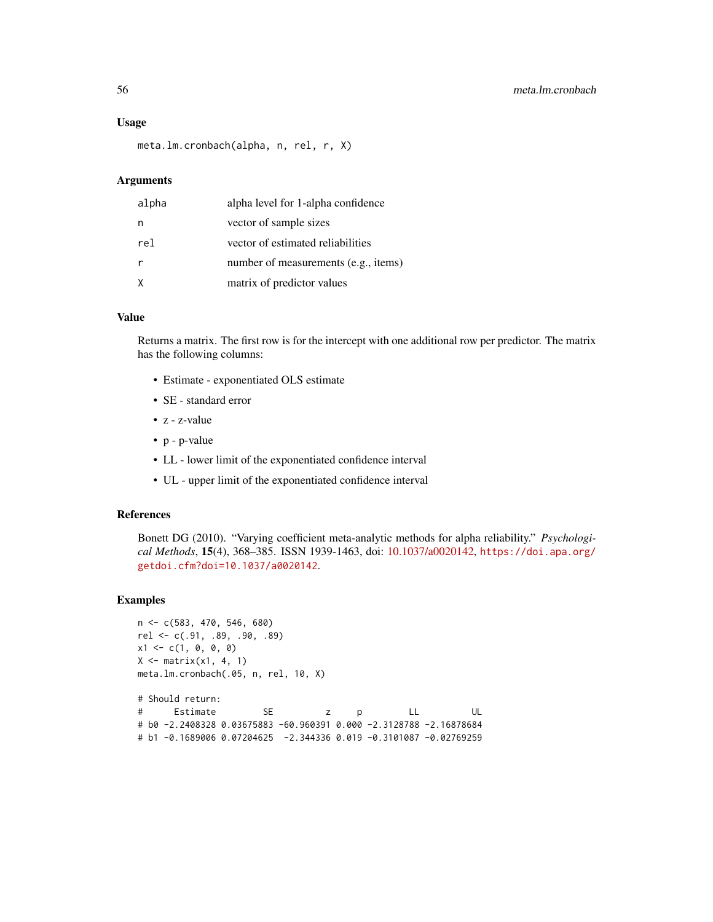#### Usage

meta.lm.cronbach(alpha, n, rel, r, X)

#### Arguments

| alpha        | alpha level for 1-alpha confidence   |
|--------------|--------------------------------------|
| n            | vector of sample sizes               |
| rel          | vector of estimated reliabilities    |
|              | number of measurements (e.g., items) |
| $\mathsf{X}$ | matrix of predictor values           |

## Value

Returns a matrix. The first row is for the intercept with one additional row per predictor. The matrix has the following columns:

- Estimate exponentiated OLS estimate
- SE standard error
- z z-value
- p p-value
- LL lower limit of the exponentiated confidence interval
- UL upper limit of the exponentiated confidence interval

### References

Bonett DG (2010). "Varying coefficient meta-analytic methods for alpha reliability." *Psychological Methods*, 15(4), 368–385. ISSN 1939-1463, doi: [10.1037/a0020142,](https://doi.org/10.1037/a0020142) [https://doi.apa.org/](https://doi.apa.org/getdoi.cfm?doi=10.1037/a0020142) [getdoi.cfm?doi=10.1037/a0020142](https://doi.apa.org/getdoi.cfm?doi=10.1037/a0020142).

```
n <- c(583, 470, 546, 680)
rel <- c(.91, .89, .90, .89)
x1 \leftarrow c(1, 0, 0, 0)X \leftarrow matrix(x1, 4, 1)meta.lm.cronbach(.05, n, rel, 10, X)
# Should return:
```

```
# Estimate SE z p LL UL
# b0 -2.2408328 0.03675883 -60.960391 0.000 -2.3128788 -2.16878684
# b1 -0.1689006 0.07204625 -2.344336 0.019 -0.3101087 -0.02769259
```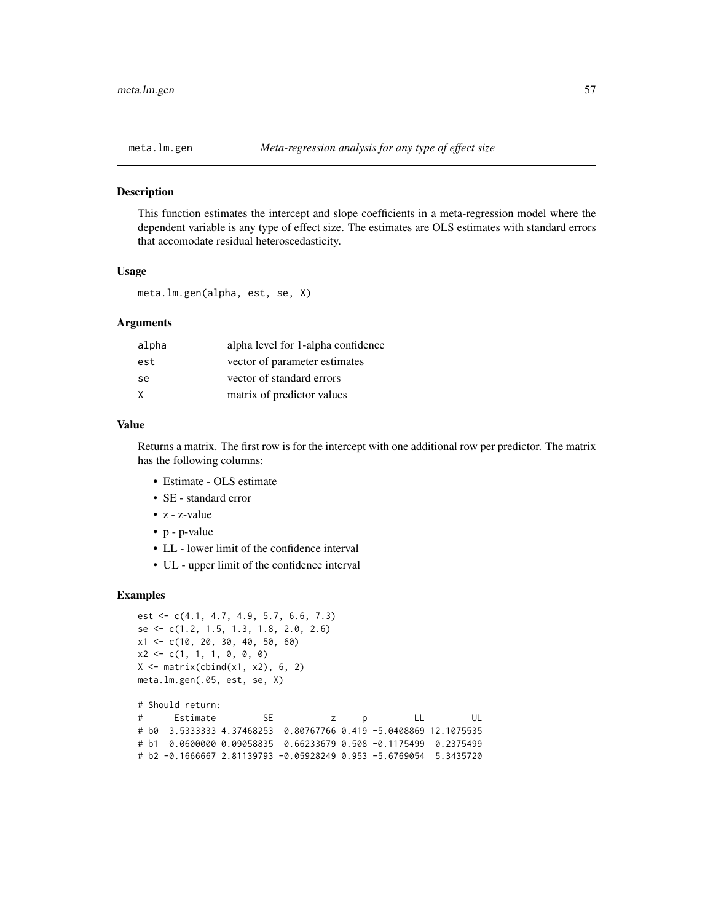### Description

This function estimates the intercept and slope coefficients in a meta-regression model where the dependent variable is any type of effect size. The estimates are OLS estimates with standard errors that accomodate residual heteroscedasticity.

#### Usage

meta.lm.gen(alpha, est, se, X)

### Arguments

| alpha | alpha level for 1-alpha confidence |
|-------|------------------------------------|
| est   | vector of parameter estimates      |
| se.   | vector of standard errors          |
| X     | matrix of predictor values         |

## Value

Returns a matrix. The first row is for the intercept with one additional row per predictor. The matrix has the following columns:

- Estimate OLS estimate
- SE standard error
- z z-value
- p p-value
- LL lower limit of the confidence interval
- UL upper limit of the confidence interval

## Examples

```
est <- c(4.1, 4.7, 4.9, 5.7, 6.6, 7.3)
se <- c(1.2, 1.5, 1.3, 1.8, 2.0, 2.6)
x1 <- c(10, 20, 30, 40, 50, 60)
x2 \leq -c(1, 1, 1, 0, 0, 0)X \leftarrow matrix(cbind(x1, x2), 6, 2)meta.lm.gen(.05, est, se, X)
```
# Should return: # Estimate SE z p LL UL # b0 3.5333333 4.37468253 0.80767766 0.419 -5.0408869 12.1075535 # b1 0.0600000 0.09058835 0.66233679 0.508 -0.1175499 0.2375499 # b2 -0.1666667 2.81139793 -0.05928249 0.953 -5.6769054 5.3435720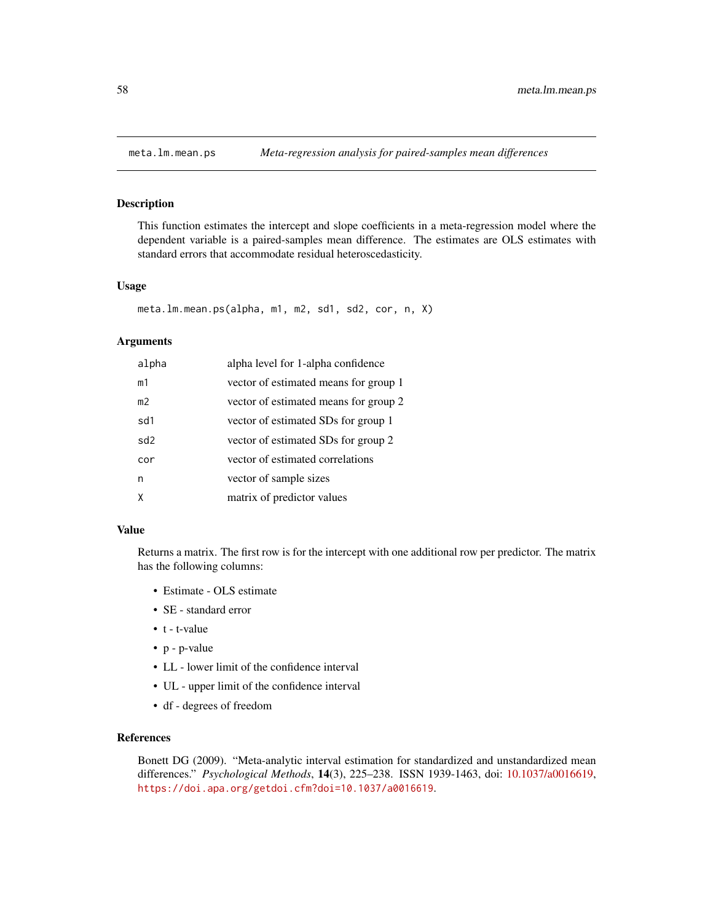## Description

This function estimates the intercept and slope coefficients in a meta-regression model where the dependent variable is a paired-samples mean difference. The estimates are OLS estimates with standard errors that accommodate residual heteroscedasticity.

### Usage

```
meta.lm.mean.ps(alpha, m1, m2, sd1, sd2, cor, n, X)
```
#### Arguments

| alpha          | alpha level for 1-alpha confidence    |
|----------------|---------------------------------------|
| m1             | vector of estimated means for group 1 |
| m <sub>2</sub> | vector of estimated means for group 2 |
| sd1            | vector of estimated SDs for group 1   |
| sd2            | vector of estimated SDs for group 2   |
| cor            | vector of estimated correlations      |
| n              | vector of sample sizes                |
|                | matrix of predictor values            |

### Value

Returns a matrix. The first row is for the intercept with one additional row per predictor. The matrix has the following columns:

- Estimate OLS estimate
- SE standard error
- t t-value
- p p-value
- LL lower limit of the confidence interval
- UL upper limit of the confidence interval
- df degrees of freedom

### References

Bonett DG (2009). "Meta-analytic interval estimation for standardized and unstandardized mean differences." *Psychological Methods*, 14(3), 225–238. ISSN 1939-1463, doi: [10.1037/a0016619,](https://doi.org/10.1037/a0016619) <https://doi.apa.org/getdoi.cfm?doi=10.1037/a0016619>.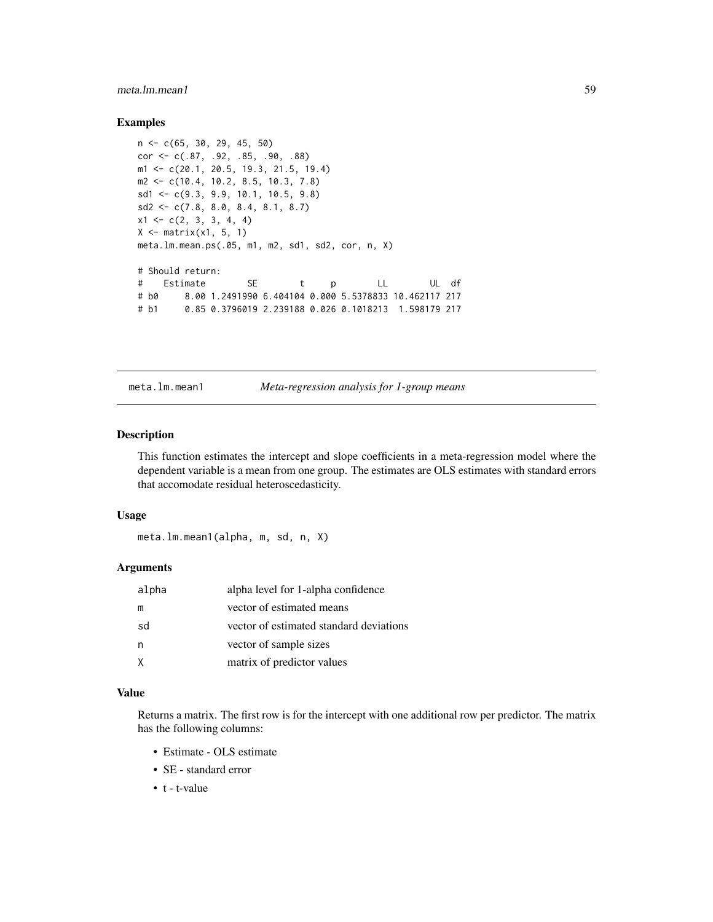## meta.lm.mean1 59

### Examples

```
n <- c(65, 30, 29, 45, 50)
cor <- c(.87, .92, .85, .90, .88)
m1 <- c(20.1, 20.5, 19.3, 21.5, 19.4)
m2 <- c(10.4, 10.2, 8.5, 10.3, 7.8)
sd1 <- c(9.3, 9.9, 10.1, 10.5, 9.8)
sd2 \leq c(7.8, 8.0, 8.4, 8.1, 8.7)x1 \leftarrow c(2, 3, 3, 4, 4)X \leq - matrix(x1, 5, 1)
meta.lm.mean.ps(.05, m1, m2, sd1, sd2, cor, n, X)
# Should return:
# Estimate SE t p LL UL df
# b0 8.00 1.2491990 6.404104 0.000 5.5378833 10.462117 217
# b1 0.85 0.3796019 2.239188 0.026 0.1018213 1.598179 217
```
meta.lm.mean1 *Meta-regression analysis for 1-group means*

### Description

This function estimates the intercept and slope coefficients in a meta-regression model where the dependent variable is a mean from one group. The estimates are OLS estimates with standard errors that accomodate residual heteroscedasticity.

### Usage

meta.lm.mean1(alpha, m, sd, n, X)

## Arguments

| alpha | alpha level for 1-alpha confidence      |
|-------|-----------------------------------------|
| m     | vector of estimated means               |
| sd    | vector of estimated standard deviations |
| n     | vector of sample sizes                  |
|       | matrix of predictor values              |

### Value

Returns a matrix. The first row is for the intercept with one additional row per predictor. The matrix has the following columns:

- Estimate OLS estimate
- SE standard error
- t t-value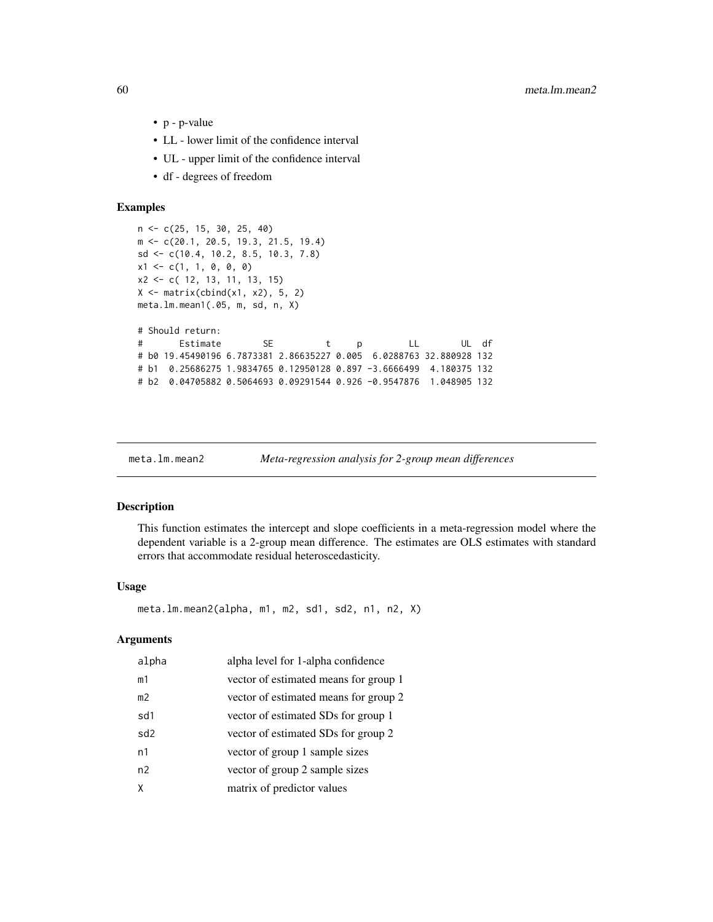- p p-value
- LL lower limit of the confidence interval
- UL upper limit of the confidence interval
- df degrees of freedom

### Examples

```
n <- c(25, 15, 30, 25, 40)
m <- c(20.1, 20.5, 19.3, 21.5, 19.4)
sd <- c(10.4, 10.2, 8.5, 10.3, 7.8)
x1 \leftarrow c(1, 1, 0, 0, 0)x2 <- c( 12, 13, 11, 13, 15)
X \leftarrow matrix(cbind(x1, x2), 5, 2)meta.lm.mean1(.05, m, sd, n, X)
# Should return:
# Estimate SE t p LL UL df
# b0 19.45490196 6.7873381 2.86635227 0.005 6.0288763 32.880928 132
# b1 0.25686275 1.9834765 0.12950128 0.897 -3.6666499 4.180375 132
# b2 0.04705882 0.5064693 0.09291544 0.926 -0.9547876 1.048905 132
```
meta.lm.mean2 *Meta-regression analysis for 2-group mean differences*

### Description

This function estimates the intercept and slope coefficients in a meta-regression model where the dependent variable is a 2-group mean difference. The estimates are OLS estimates with standard errors that accommodate residual heteroscedasticity.

#### Usage

meta.lm.mean2(alpha, m1, m2, sd1, sd2, n1, n2, X)

## Arguments

| alpha           | alpha level for 1-alpha confidence    |
|-----------------|---------------------------------------|
| m1              | vector of estimated means for group 1 |
| m <sub>2</sub>  | vector of estimated means for group 2 |
| sd1             | vector of estimated SDs for group 1   |
| sd <sub>2</sub> | vector of estimated SDs for group 2   |
| n1              | vector of group 1 sample sizes        |
| n2              | vector of group 2 sample sizes        |
| χ               | matrix of predictor values            |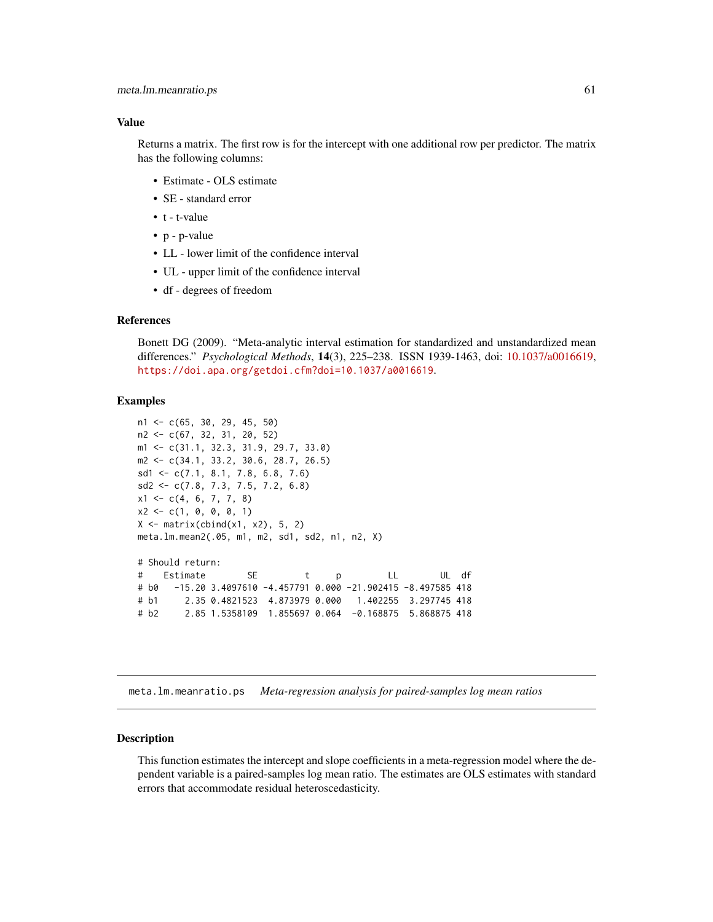#### Value

Returns a matrix. The first row is for the intercept with one additional row per predictor. The matrix has the following columns:

- Estimate OLS estimate
- SE standard error
- t t-value
- p p-value
- LL lower limit of the confidence interval
- UL upper limit of the confidence interval
- df degrees of freedom

## References

Bonett DG (2009). "Meta-analytic interval estimation for standardized and unstandardized mean differences." *Psychological Methods*, 14(3), 225–238. ISSN 1939-1463, doi: [10.1037/a0016619,](https://doi.org/10.1037/a0016619) <https://doi.apa.org/getdoi.cfm?doi=10.1037/a0016619>.

### Examples

```
n1 <- c(65, 30, 29, 45, 50)
n2 <- c(67, 32, 31, 20, 52)
m1 <- c(31.1, 32.3, 31.9, 29.7, 33.0)
m2 <- c(34.1, 33.2, 30.6, 28.7, 26.5)
sd1 <- c(7.1, 8.1, 7.8, 6.8, 7.6)
sd2 <- c(7.8, 7.3, 7.5, 7.2, 6.8)
x1 \leftarrow c(4, 6, 7, 7, 8)x2 \leq -c(1, 0, 0, 0, 1)X \leftarrow matrix(cbind(x1, x2), 5, 2)meta.lm.mean2(.05, m1, m2, sd1, sd2, n1, n2, X)
# Should return:
# Estimate SE t p LL UL df
# b0 -15.20 3.4097610 -4.457791 0.000 -21.902415 -8.497585 418
# b1 2.35 0.4821523 4.873979 0.000 1.402255 3.297745 418
# b2 2.85 1.5358109 1.855697 0.064 -0.168875 5.868875 418
```
meta.lm.meanratio.ps *Meta-regression analysis for paired-samples log mean ratios*

#### Description

This function estimates the intercept and slope coefficients in a meta-regression model where the dependent variable is a paired-samples log mean ratio. The estimates are OLS estimates with standard errors that accommodate residual heteroscedasticity.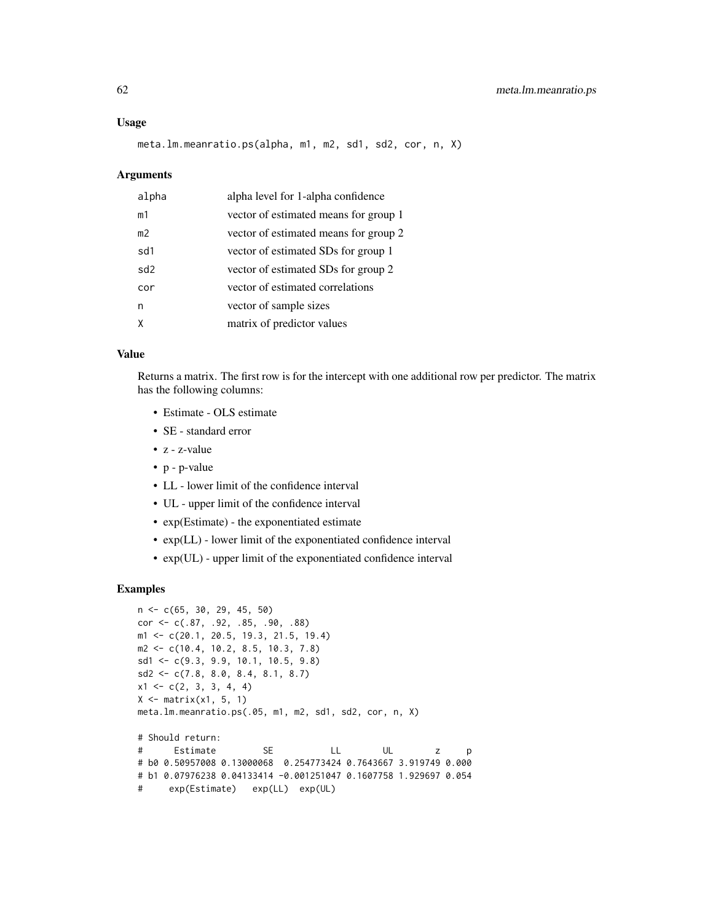#### Usage

meta.lm.meanratio.ps(alpha, m1, m2, sd1, sd2, cor, n, X)

#### Arguments

| alpha          | alpha level for 1-alpha confidence    |
|----------------|---------------------------------------|
| m1             | vector of estimated means for group 1 |
| m <sub>2</sub> | vector of estimated means for group 2 |
| sd1            | vector of estimated SDs for group 1   |
| sd2            | vector of estimated SDs for group 2   |
| cor            | vector of estimated correlations      |
| n              | vector of sample sizes                |
|                | matrix of predictor values            |

## Value

Returns a matrix. The first row is for the intercept with one additional row per predictor. The matrix has the following columns:

- Estimate OLS estimate
- SE standard error
- z z-value
- p p-value
- LL lower limit of the confidence interval
- UL upper limit of the confidence interval
- exp(Estimate) the exponentiated estimate
- exp(LL) lower limit of the exponentiated confidence interval
- exp(UL) upper limit of the exponentiated confidence interval

```
n <- c(65, 30, 29, 45, 50)
cor <- c(.87, .92, .85, .90, .88)
m1 <- c(20.1, 20.5, 19.3, 21.5, 19.4)
m2 <- c(10.4, 10.2, 8.5, 10.3, 7.8)
sd1 <- c(9.3, 9.9, 10.1, 10.5, 9.8)
sd2 \leq c(7.8, 8.0, 8.4, 8.1, 8.7)x1 \leftarrow c(2, 3, 3, 4, 4)X \leq - matrix(x1, 5, 1)
meta.lm.meanratio.ps(.05, m1, m2, sd1, sd2, cor, n, X)
# Should return:
# Estimate SE LL UL z p
# b0 0.50957008 0.13000068 0.254773424 0.7643667 3.919749 0.000
# b1 0.07976238 0.04133414 -0.001251047 0.1607758 1.929697 0.054
# exp(Estimate) exp(LL) exp(UL)
```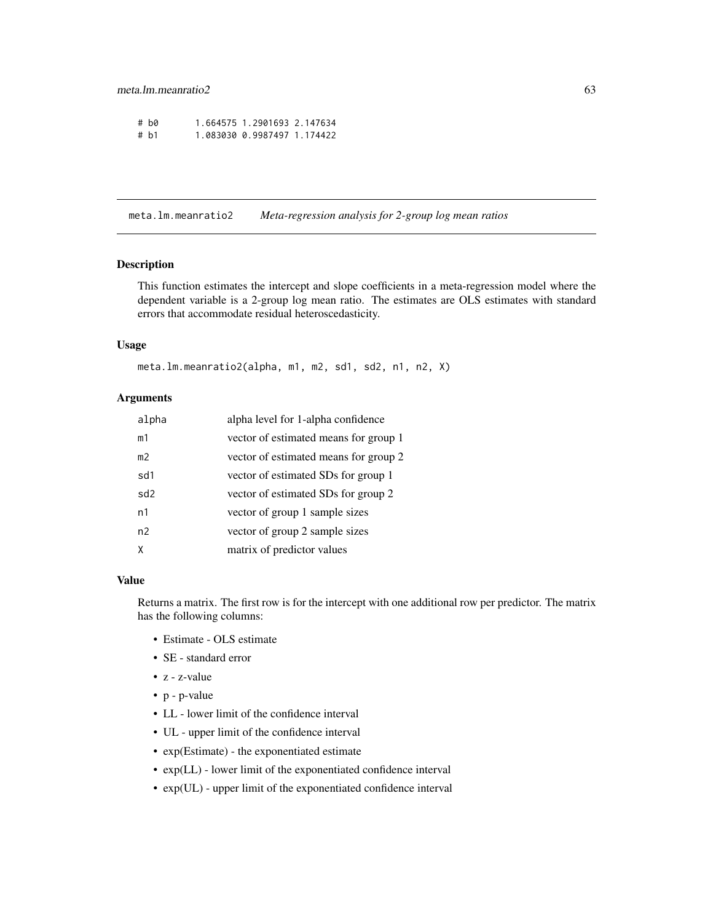| # h0 | 1.664575 1.2901693 2.147634 |  |
|------|-----------------------------|--|
| # b1 | 1.083030 0.9987497 1.174422 |  |

meta.lm.meanratio2 *Meta-regression analysis for 2-group log mean ratios*

### Description

This function estimates the intercept and slope coefficients in a meta-regression model where the dependent variable is a 2-group log mean ratio. The estimates are OLS estimates with standard errors that accommodate residual heteroscedasticity.

## Usage

```
meta.lm.meanratio2(alpha, m1, m2, sd1, sd2, n1, n2, X)
```
## Arguments

| alpha           | alpha level for 1-alpha confidence    |
|-----------------|---------------------------------------|
| m1              | vector of estimated means for group 1 |
| m <sub>2</sub>  | vector of estimated means for group 2 |
| sd1             | vector of estimated SDs for group 1   |
| sd <sub>2</sub> | vector of estimated SDs for group 2   |
| n1              | vector of group 1 sample sizes        |
| n <sub>2</sub>  | vector of group 2 sample sizes        |
| X               | matrix of predictor values            |

#### Value

Returns a matrix. The first row is for the intercept with one additional row per predictor. The matrix has the following columns:

- Estimate OLS estimate
- SE standard error
- z z-value
- p p-value
- LL lower limit of the confidence interval
- UL upper limit of the confidence interval
- exp(Estimate) the exponentiated estimate
- exp(LL) lower limit of the exponentiated confidence interval
- exp(UL) upper limit of the exponentiated confidence interval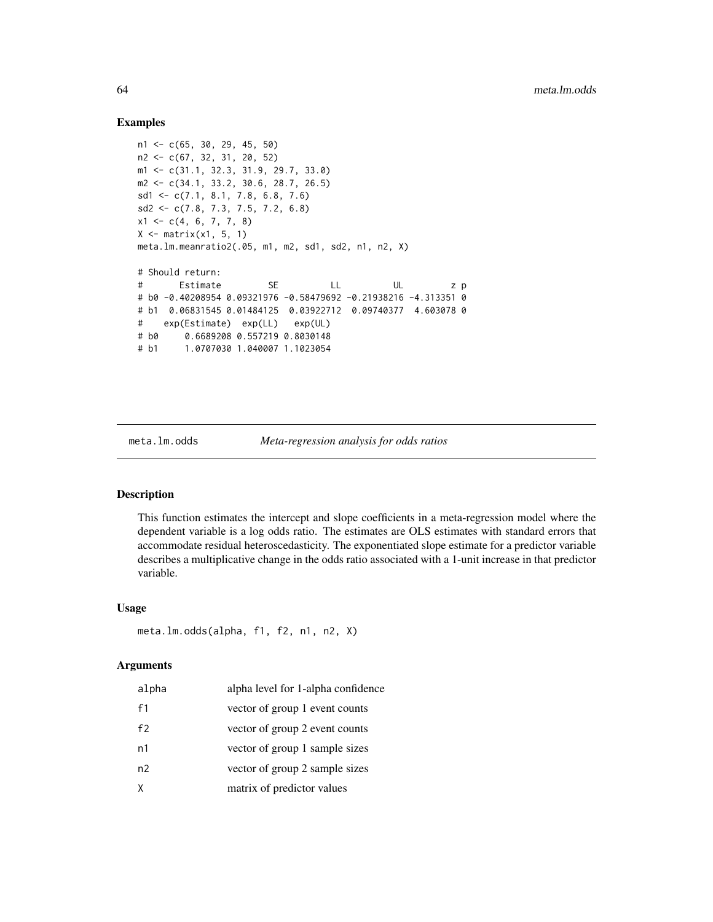## Examples

```
n1 <- c(65, 30, 29, 45, 50)
n2 <- c(67, 32, 31, 20, 52)
m1 <- c(31.1, 32.3, 31.9, 29.7, 33.0)
m2 <- c(34.1, 33.2, 30.6, 28.7, 26.5)
sd1 <- c(7.1, 8.1, 7.8, 6.8, 7.6)
sd2 <- c(7.8, 7.3, 7.5, 7.2, 6.8)
x1 \leftarrow c(4, 6, 7, 7, 8)X \leftarrow matrix(x1, 5, 1)meta.lm.meanratio2(.05, m1, m2, sd1, sd2, n1, n2, X)
# Should return:
# Estimate SE LL UL z p
# b0 -0.40208954 0.09321976 -0.58479692 -0.21938216 -4.313351 0
# b1 0.06831545 0.01484125 0.03922712 0.09740377 4.603078 0
# exp(Estimate) exp(LL) exp(UL)
# b0 0.6689208 0.557219 0.8030148
# b1 1.0707030 1.040007 1.1023054
```
meta.lm.odds *Meta-regression analysis for odds ratios*

### Description

This function estimates the intercept and slope coefficients in a meta-regression model where the dependent variable is a log odds ratio. The estimates are OLS estimates with standard errors that accommodate residual heteroscedasticity. The exponentiated slope estimate for a predictor variable describes a multiplicative change in the odds ratio associated with a 1-unit increase in that predictor variable.

#### Usage

```
meta.lm.odds(alpha, f1, f2, n1, n2, X)
```
#### Arguments

| alpha | alpha level for 1-alpha confidence |
|-------|------------------------------------|
| f1    | vector of group 1 event counts     |
| f2    | vector of group 2 event counts     |
| n1    | vector of group 1 sample sizes     |
| n2    | vector of group 2 sample sizes     |
| χ     | matrix of predictor values         |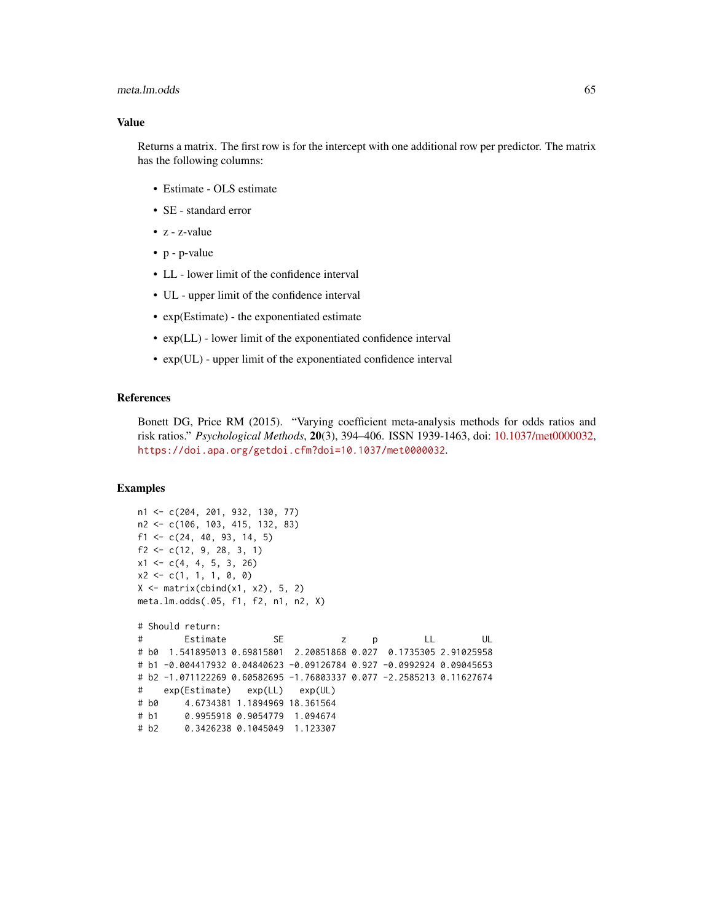#### meta.lm.odds 65

### Value

Returns a matrix. The first row is for the intercept with one additional row per predictor. The matrix has the following columns:

- Estimate OLS estimate
- SE standard error
- z z-value
- p p-value
- LL lower limit of the confidence interval
- UL upper limit of the confidence interval
- exp(Estimate) the exponentiated estimate
- exp(LL) lower limit of the exponentiated confidence interval
- exp(UL) upper limit of the exponentiated confidence interval

## References

Bonett DG, Price RM (2015). "Varying coefficient meta-analysis methods for odds ratios and risk ratios." *Psychological Methods*, 20(3), 394–406. ISSN 1939-1463, doi: [10.1037/met0000032,](https://doi.org/10.1037/met0000032) <https://doi.apa.org/getdoi.cfm?doi=10.1037/met0000032>.

```
n1 <- c(204, 201, 932, 130, 77)
n2 <- c(106, 103, 415, 132, 83)
f1 <- c(24, 40, 93, 14, 5)
f2 \leftarrow c(12, 9, 28, 3, 1)x1 \leftarrow c(4, 4, 5, 3, 26)x2 \leq -c(1, 1, 1, 0, 0)X \leftarrow matrix(cbind(x1, x2), 5, 2)meta.lm.odds(.05, f1, f2, n1, n2, X)
# Should return:
# Estimate SE z p LL UL
# b0 1.541895013 0.69815801 2.20851868 0.027 0.1735305 2.91025958
# b1 -0.004417932 0.04840623 -0.09126784 0.927 -0.0992924 0.09045653
# b2 -1.071122269 0.60582695 -1.76803337 0.077 -2.2585213 0.11627674
# exp(Estimate) exp(LL) exp(UL)
# b0 4.6734381 1.1894969 18.361564
# b1 0.9955918 0.9054779 1.094674
# b2 0.3426238 0.1045049 1.123307
```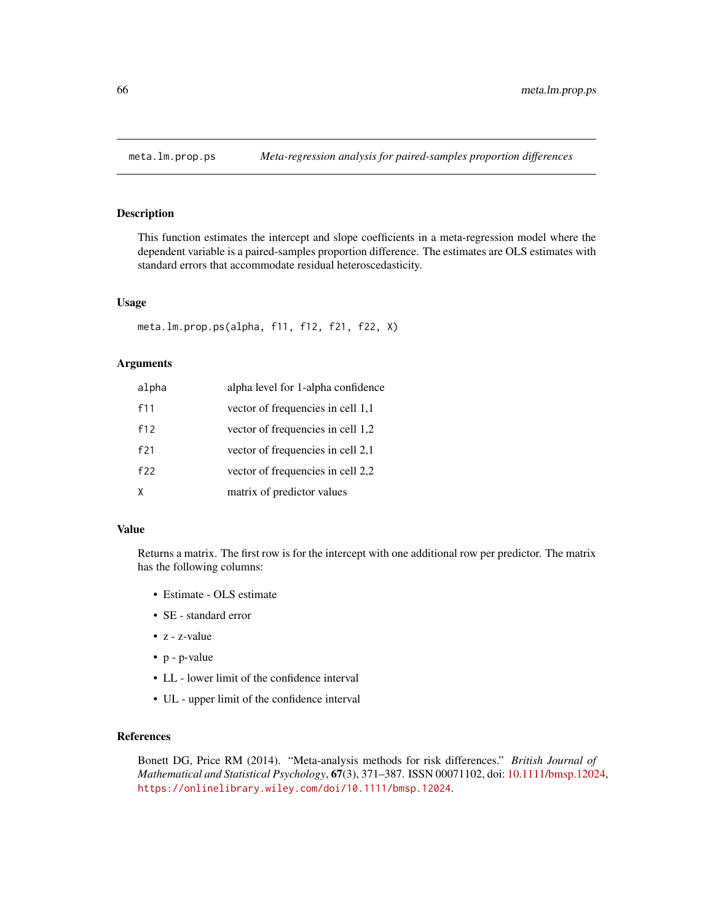## Description

This function estimates the intercept and slope coefficients in a meta-regression model where the dependent variable is a paired-samples proportion difference. The estimates are OLS estimates with standard errors that accommodate residual heteroscedasticity.

## Usage

```
meta.lm.prop.ps(alpha, f11, f12, f21, f22, X)
```
## Arguments

| alpha | alpha level for 1-alpha confidence |
|-------|------------------------------------|
| f11   | vector of frequencies in cell 1,1  |
| f12   | vector of frequencies in cell 1,2  |
| f21   | vector of frequencies in cell 2,1  |
| f22   | vector of frequencies in cell 2,2  |
| X     | matrix of predictor values         |

#### Value

Returns a matrix. The first row is for the intercept with one additional row per predictor. The matrix has the following columns:

- Estimate OLS estimate
- SE standard error
- z z-value
- p p-value
- LL lower limit of the confidence interval
- UL upper limit of the confidence interval

## References

Bonett DG, Price RM (2014). "Meta-analysis methods for risk differences." *British Journal of Mathematical and Statistical Psychology*, 67(3), 371–387. ISSN 00071102, doi: [10.1111/bmsp.12024,](https://doi.org/10.1111/bmsp.12024) <https://onlinelibrary.wiley.com/doi/10.1111/bmsp.12024>.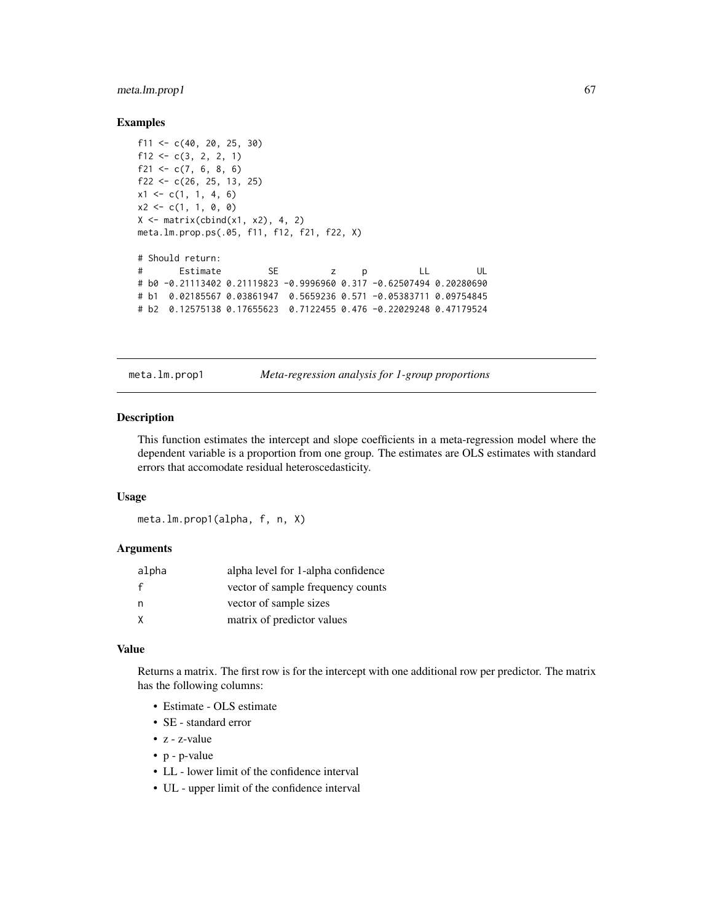## meta.lm.prop1 67

### Examples

```
f11 <- c(40, 20, 25, 30)
f12 <- c(3, 2, 2, 1)f21 \leq c(7, 6, 8, 6)
f22 \leq c(26, 25, 13, 25)
x1 \leftarrow c(1, 1, 4, 6)x2 \leq -c(1, 1, 0, 0)X \leftarrow matrix(cbind(x1, x2), 4, 2)meta.lm.prop.ps(.05, f11, f12, f21, f22, X)
# Should return:
# Estimate SE z p LL UL
# b0 -0.21113402 0.21119823 -0.9996960 0.317 -0.62507494 0.20280690
# b1 0.02185567 0.03861947 0.5659236 0.571 -0.05383711 0.09754845
# b2 0.12575138 0.17655623 0.7122455 0.476 -0.22029248 0.47179524
```
meta.lm.prop1 *Meta-regression analysis for 1-group proportions*

#### Description

This function estimates the intercept and slope coefficients in a meta-regression model where the dependent variable is a proportion from one group. The estimates are OLS estimates with standard errors that accomodate residual heteroscedasticity.

#### Usage

meta.lm.prop1(alpha, f, n, X)

### Arguments

| alpha        | alpha level for 1-alpha confidence |
|--------------|------------------------------------|
| $\mathbf{f}$ | vector of sample frequency counts  |
| n,           | vector of sample sizes             |
| X            | matrix of predictor values         |

### Value

Returns a matrix. The first row is for the intercept with one additional row per predictor. The matrix has the following columns:

- Estimate OLS estimate
- SE standard error
- z z-value
- p p-value
- LL lower limit of the confidence interval
- UL upper limit of the confidence interval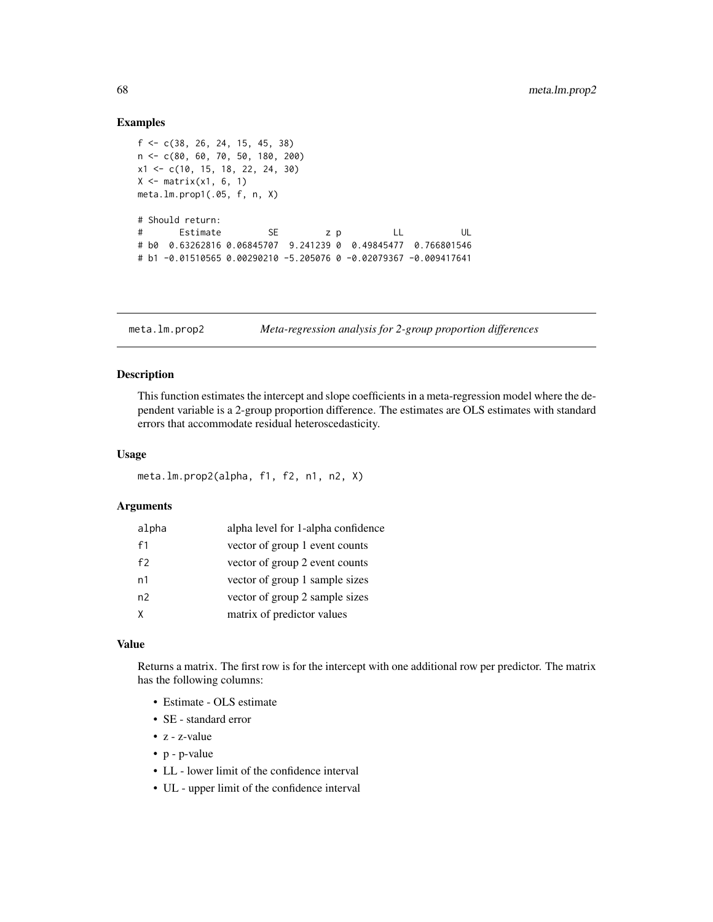### Examples

```
f <- c(38, 26, 24, 15, 45, 38)
n <- c(80, 60, 70, 50, 180, 200)
x1 <- c(10, 15, 18, 22, 24, 30)
X \leftarrow matrix(x1, 6, 1)meta.lm.prop1(.05, f, n, X)
# Should return:
# Estimate SE z p LL UL
# b0 0.63262816 0.06845707 9.241239 0 0.49845477 0.766801546
# b1 -0.01510565 0.00290210 -5.205076 0 -0.02079367 -0.009417641
```
meta.lm.prop2 *Meta-regression analysis for 2-group proportion differences*

### Description

This function estimates the intercept and slope coefficients in a meta-regression model where the dependent variable is a 2-group proportion difference. The estimates are OLS estimates with standard errors that accommodate residual heteroscedasticity.

## Usage

```
meta.lm.prop2(alpha, f1, f2, n1, n2, X)
```
## Arguments

| alpha          | alpha level for 1-alpha confidence |
|----------------|------------------------------------|
| f1             | vector of group 1 event counts     |
| f <sub>2</sub> | vector of group 2 event counts     |
| n1             | vector of group 1 sample sizes     |
| n2             | vector of group 2 sample sizes     |
| X              | matrix of predictor values         |

#### Value

Returns a matrix. The first row is for the intercept with one additional row per predictor. The matrix has the following columns:

- Estimate OLS estimate
- SE standard error
- z z-value
- p p-value
- LL lower limit of the confidence interval
- UL upper limit of the confidence interval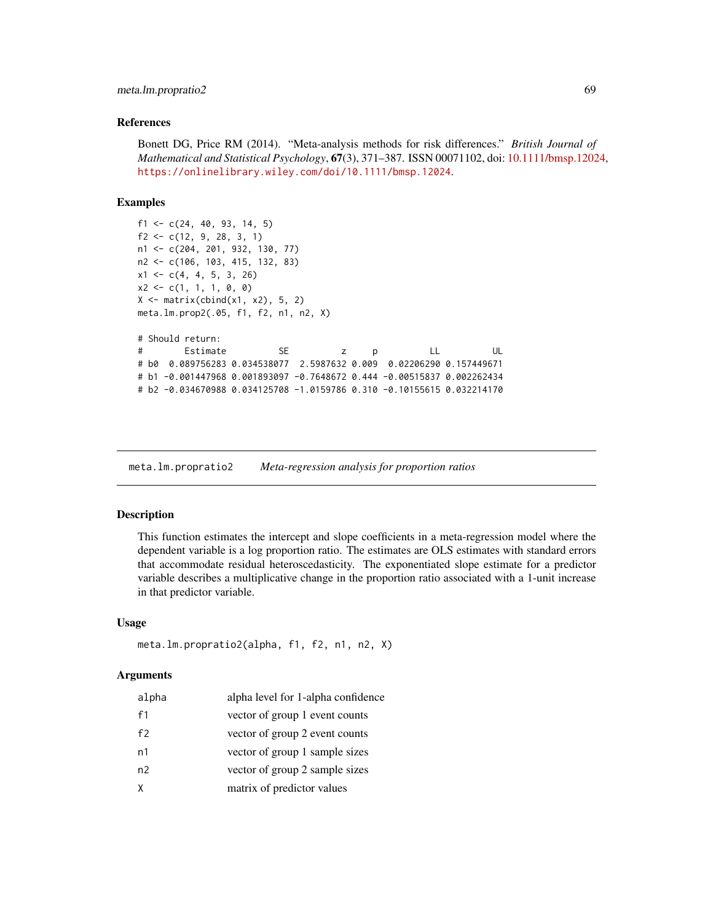## meta.lm.propratio2 69

### References

Bonett DG, Price RM (2014). "Meta-analysis methods for risk differences." *British Journal of Mathematical and Statistical Psychology*, 67(3), 371–387. ISSN 00071102, doi: [10.1111/bmsp.12024,](https://doi.org/10.1111/bmsp.12024) <https://onlinelibrary.wiley.com/doi/10.1111/bmsp.12024>.

#### Examples

```
f1 <- c(24, 40, 93, 14, 5)f2 \leftarrow c(12, 9, 28, 3, 1)n1 <- c(204, 201, 932, 130, 77)
n2 <- c(106, 103, 415, 132, 83)
x1 \leftarrow c(4, 4, 5, 3, 26)x2 \leq -c(1, 1, 1, 0, 0)X \leftarrow matrix(cbind(x1, x2), 5, 2)meta.lm.prop2(.05, f1, f2, n1, n2, X)
# Should return:
# Estimate SE z p LL UL
# b0 0.089756283 0.034538077 2.5987632 0.009 0.02206290 0.157449671
# b1 -0.001447968 0.001893097 -0.7648672 0.444 -0.00515837 0.002262434
# b2 -0.034670988 0.034125708 -1.0159786 0.310 -0.10155615 0.032214170
```
meta.lm.propratio2 *Meta-regression analysis for proportion ratios*

#### Description

This function estimates the intercept and slope coefficients in a meta-regression model where the dependent variable is a log proportion ratio. The estimates are OLS estimates with standard errors that accommodate residual heteroscedasticity. The exponentiated slope estimate for a predictor variable describes a multiplicative change in the proportion ratio associated with a 1-unit increase in that predictor variable.

#### Usage

```
meta.lm.propratio2(alpha, f1, f2, n1, n2, X)
```
#### Arguments

| alpha | alpha level for 1-alpha confidence |
|-------|------------------------------------|
| f1    | vector of group 1 event counts     |
| f2    | vector of group 2 event counts     |
| n1    | vector of group 1 sample sizes     |
| n2    | vector of group 2 sample sizes     |
| X     | matrix of predictor values         |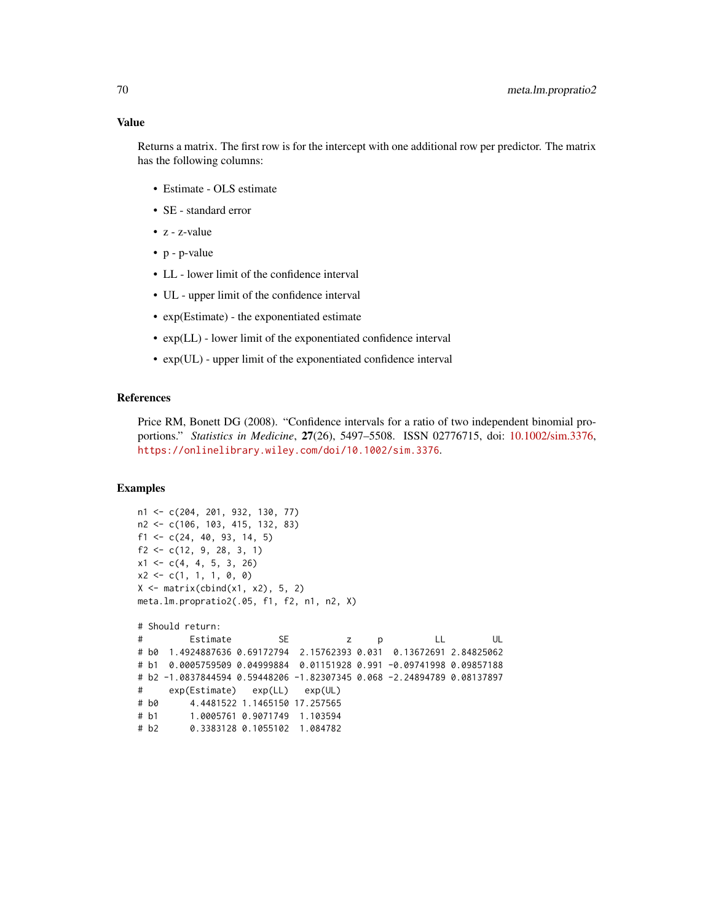Returns a matrix. The first row is for the intercept with one additional row per predictor. The matrix has the following columns:

- Estimate OLS estimate
- SE standard error
- z z-value
- p p-value
- LL lower limit of the confidence interval
- UL upper limit of the confidence interval
- exp(Estimate) the exponentiated estimate
- exp(LL) lower limit of the exponentiated confidence interval
- exp(UL) upper limit of the exponentiated confidence interval

### References

Price RM, Bonett DG (2008). "Confidence intervals for a ratio of two independent binomial proportions." *Statistics in Medicine*, 27(26), 5497–5508. ISSN 02776715, doi: [10.1002/sim.3376,](https://doi.org/10.1002/sim.3376) <https://onlinelibrary.wiley.com/doi/10.1002/sim.3376>.

```
n1 <- c(204, 201, 932, 130, 77)
n2 <- c(106, 103, 415, 132, 83)
f1 <- c(24, 40, 93, 14, 5)
f2 \leftarrow c(12, 9, 28, 3, 1)x1 \leftarrow c(4, 4, 5, 3, 26)x2 \leq -c(1, 1, 1, 0, 0)X \leftarrow matrix(cbind(x1, x2), 5, 2)meta.lm.propratio2(.05, f1, f2, n1, n2, X)
# Should return:
# Estimate SE z p LL UL
# b0 1.4924887636 0.69172794 2.15762393 0.031 0.13672691 2.84825062
# b1 0.0005759509 0.04999884 0.01151928 0.991 -0.09741998 0.09857188
# b2 -1.0837844594 0.59448206 -1.82307345 0.068 -2.24894789 0.08137897
# exp(Estimate) exp(LL) exp(UL)
# b0 4.4481522 1.1465150 17.257565
# b1 1.0005761 0.9071749 1.103594
# b2 0.3383128 0.1055102 1.084782
```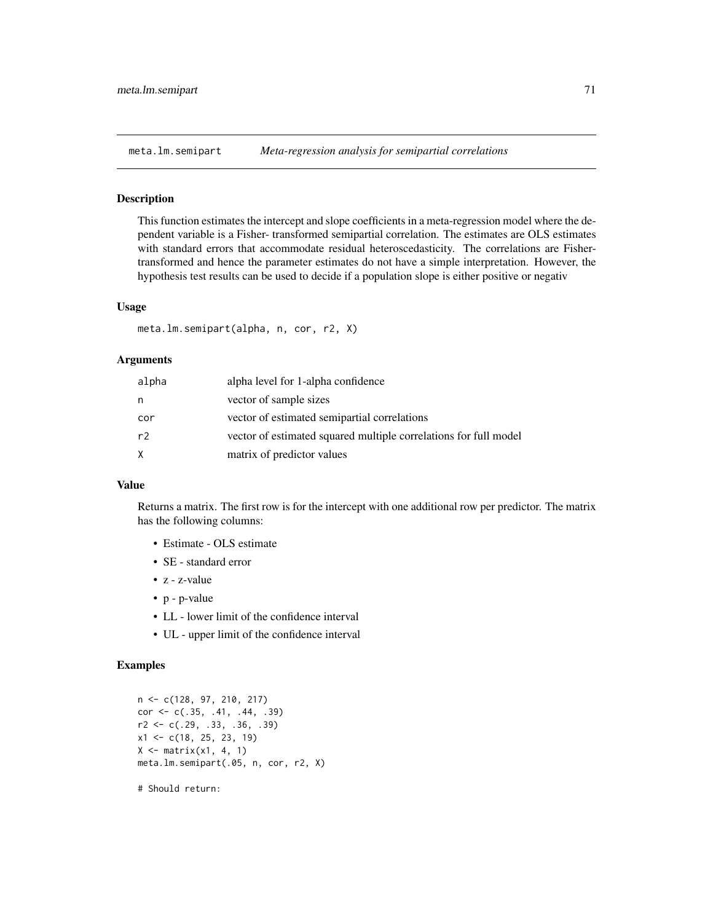### Description

This function estimates the intercept and slope coefficients in a meta-regression model where the dependent variable is a Fisher- transformed semipartial correlation. The estimates are OLS estimates with standard errors that accommodate residual heteroscedasticity. The correlations are Fishertransformed and hence the parameter estimates do not have a simple interpretation. However, the hypothesis test results can be used to decide if a population slope is either positive or negativ

## Usage

meta.lm.semipart(alpha, n, cor, r2, X)

## Arguments

| alpha | alpha level for 1-alpha confidence                               |
|-------|------------------------------------------------------------------|
| n     | vector of sample sizes                                           |
| cor   | vector of estimated semipartial correlations                     |
| r2    | vector of estimated squared multiple correlations for full model |
| X.    | matrix of predictor values                                       |

## Value

Returns a matrix. The first row is for the intercept with one additional row per predictor. The matrix has the following columns:

- Estimate OLS estimate
- SE standard error
- z z-value
- p p-value
- LL lower limit of the confidence interval
- UL upper limit of the confidence interval

### Examples

```
n <- c(128, 97, 210, 217)
cor \leq c(.35, .41, .44, .39)r2 <- c(.29, .33, .36, .39)
x1 \leftarrow c(18, 25, 23, 19)X \leftarrow matrix(x1, 4, 1)meta.lm.semipart(.05, n, cor, r2, X)
```
# Should return: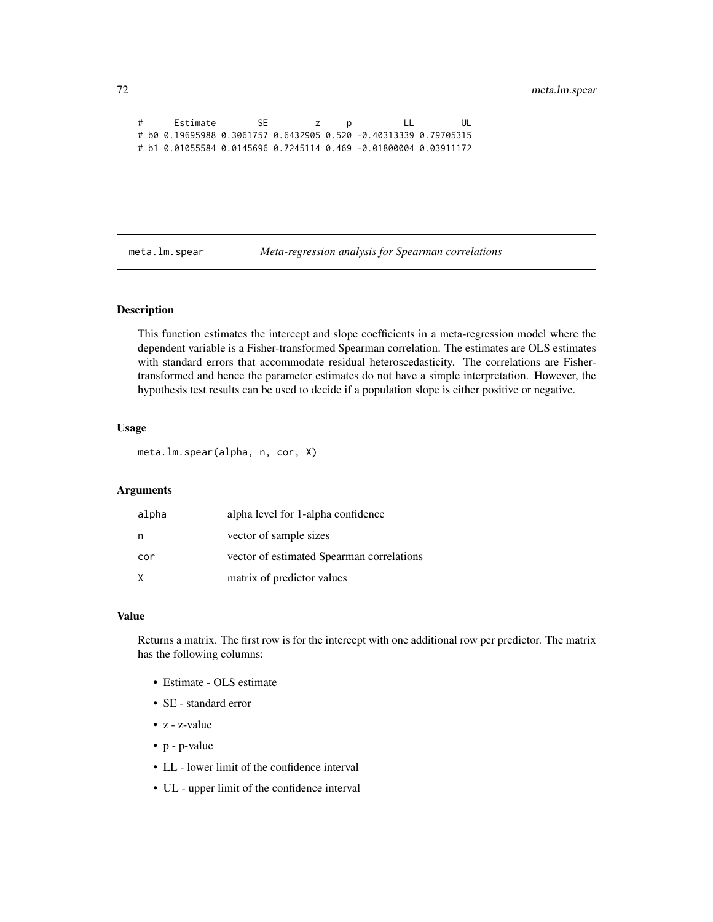```
# Estimate SE z p LL UL
# b0 0.19695988 0.3061757 0.6432905 0.520 -0.40313339 0.79705315
# b1 0.01055584 0.0145696 0.7245114 0.469 -0.01800004 0.03911172
```
meta.lm.spear *Meta-regression analysis for Spearman correlations*

### Description

This function estimates the intercept and slope coefficients in a meta-regression model where the dependent variable is a Fisher-transformed Spearman correlation. The estimates are OLS estimates with standard errors that accommodate residual heteroscedasticity. The correlations are Fishertransformed and hence the parameter estimates do not have a simple interpretation. However, the hypothesis test results can be used to decide if a population slope is either positive or negative.

### Usage

meta.lm.spear(alpha, n, cor, X)

### Arguments

| alpha | alpha level for 1-alpha confidence        |
|-------|-------------------------------------------|
| n     | vector of sample sizes                    |
| cor   | vector of estimated Spearman correlations |
| Χ     | matrix of predictor values                |

### Value

Returns a matrix. The first row is for the intercept with one additional row per predictor. The matrix has the following columns:

- Estimate OLS estimate
- SE standard error
- z z-value
- p p-value
- LL lower limit of the confidence interval
- UL upper limit of the confidence interval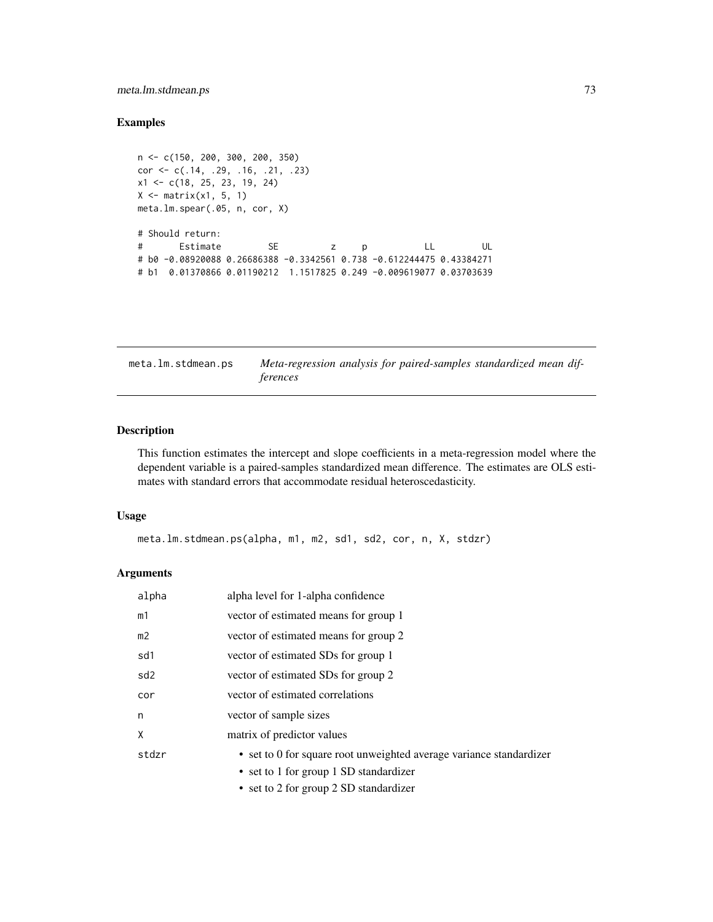# meta.lm.stdmean.ps 73

# Examples

```
n <- c(150, 200, 300, 200, 350)
cor <- c(.14, .29, .16, .21, .23)
x1 <- c(18, 25, 23, 19, 24)
X \leftarrow matrix(x1, 5, 1)meta.lm.spear(.05, n, cor, X)
# Should return:
# Estimate SE z p LL UL
# b0 -0.08920088 0.26686388 -0.3342561 0.738 -0.612244475 0.43384271
# b1 0.01370866 0.01190212 1.1517825 0.249 -0.009619077 0.03703639
```
meta.lm.stdmean.ps *Meta-regression analysis for paired-samples standardized mean differences*

## Description

This function estimates the intercept and slope coefficients in a meta-regression model where the dependent variable is a paired-samples standardized mean difference. The estimates are OLS estimates with standard errors that accommodate residual heteroscedasticity.

#### Usage

meta.lm.stdmean.ps(alpha, m1, m2, sd1, sd2, cor, n, X, stdzr)

| alpha           | alpha level for 1-alpha confidence                                  |  |
|-----------------|---------------------------------------------------------------------|--|
| m1              | vector of estimated means for group 1                               |  |
| m2              | vector of estimated means for group 2                               |  |
| sd1             | vector of estimated SDs for group 1                                 |  |
| sd <sub>2</sub> | vector of estimated SDs for group 2                                 |  |
| cor             | vector of estimated correlations                                    |  |
| n               | vector of sample sizes                                              |  |
| χ               | matrix of predictor values                                          |  |
| stdzr           | • set to 0 for square root unweighted average variance standardizer |  |
|                 | • set to 1 for group 1 SD standardizer                              |  |
|                 | • set to 2 for group 2 SD standardizer                              |  |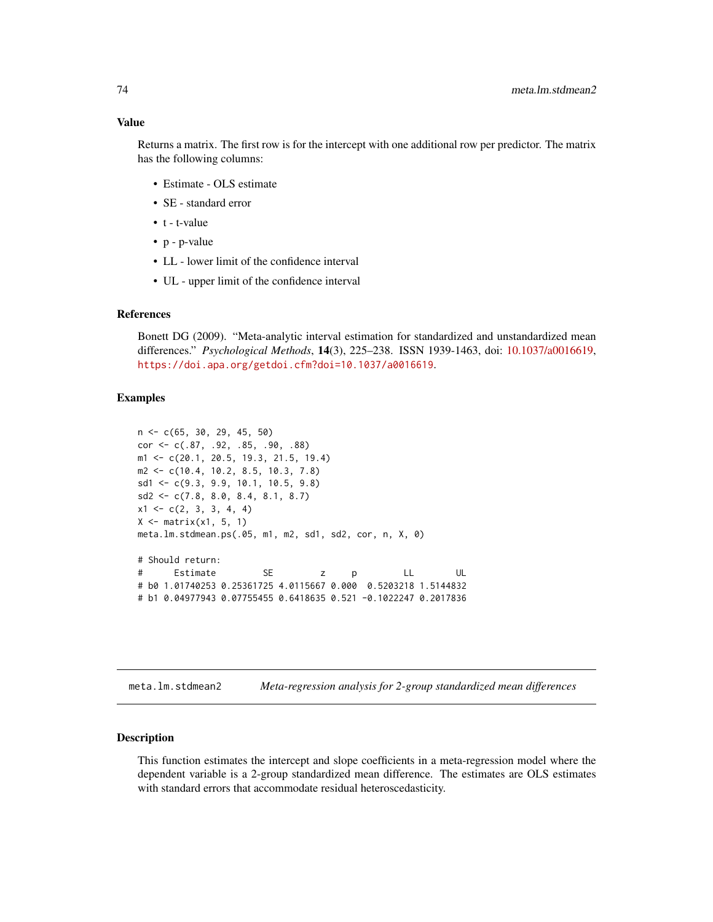#### Value

Returns a matrix. The first row is for the intercept with one additional row per predictor. The matrix has the following columns:

- Estimate OLS estimate
- SE standard error
- t t-value
- p p-value
- LL lower limit of the confidence interval
- UL upper limit of the confidence interval

# References

Bonett DG (2009). "Meta-analytic interval estimation for standardized and unstandardized mean differences." *Psychological Methods*, 14(3), 225–238. ISSN 1939-1463, doi: [10.1037/a0016619,](https://doi.org/10.1037/a0016619) <https://doi.apa.org/getdoi.cfm?doi=10.1037/a0016619>.

#### Examples

```
n <- c(65, 30, 29, 45, 50)
cor <- c(.87, .92, .85, .90, .88)
m1 <- c(20.1, 20.5, 19.3, 21.5, 19.4)
m2 <- c(10.4, 10.2, 8.5, 10.3, 7.8)
sd1 <- c(9.3, 9.9, 10.1, 10.5, 9.8)
sd2 \leq c(7.8, 8.0, 8.4, 8.1, 8.7)x1 \leftarrow c(2, 3, 3, 4, 4)X \leftarrow matrix(x1, 5, 1)meta.lm.stdmean.ps(.05, m1, m2, sd1, sd2, cor, n, X, 0)
# Should return:
# Estimate SE z p LL UL
# b0 1.01740253 0.25361725 4.0115667 0.000 0.5203218 1.5144832
# b1 0.04977943 0.07755455 0.6418635 0.521 -0.1022247 0.2017836
```
meta.lm.stdmean2 *Meta-regression analysis for 2-group standardized mean differences*

#### **Description**

This function estimates the intercept and slope coefficients in a meta-regression model where the dependent variable is a 2-group standardized mean difference. The estimates are OLS estimates with standard errors that accommodate residual heteroscedasticity.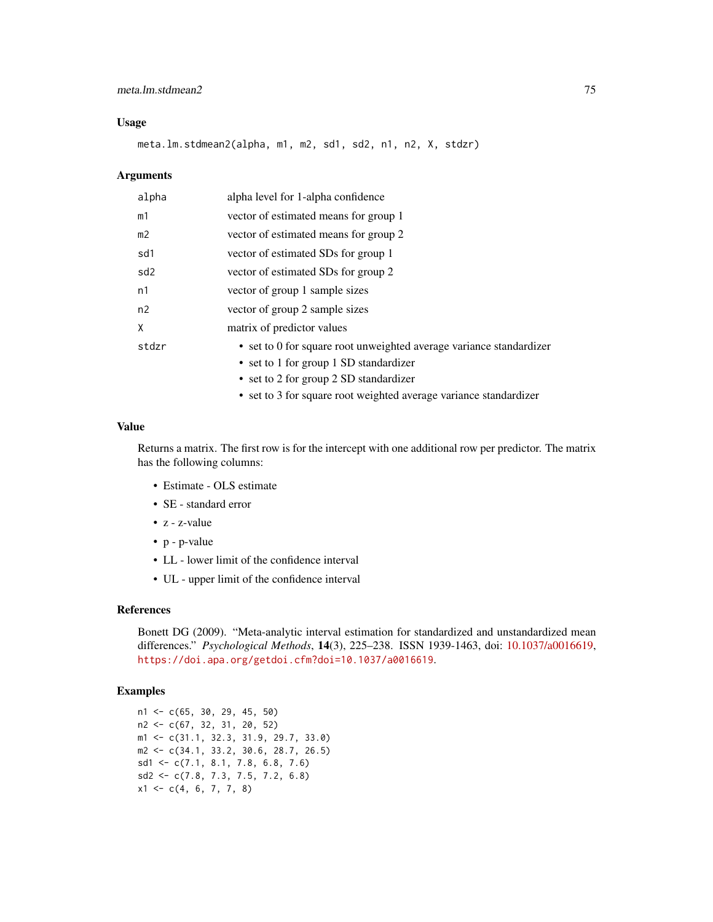## meta.lm.stdmean2 75

## Usage

meta.lm.stdmean2(alpha, m1, m2, sd1, sd2, n1, n2, X, stdzr)

#### Arguments

| alpha           | alpha level for 1-alpha confidence                                  |  |
|-----------------|---------------------------------------------------------------------|--|
| m1              | vector of estimated means for group 1                               |  |
| m <sub>2</sub>  | vector of estimated means for group 2                               |  |
| sd1             | vector of estimated SDs for group 1                                 |  |
| sd <sub>2</sub> | vector of estimated SDs for group 2                                 |  |
| n1              | vector of group 1 sample sizes                                      |  |
| n2              | vector of group 2 sample sizes                                      |  |
| X               | matrix of predictor values                                          |  |
| stdzr           | • set to 0 for square root unweighted average variance standardizer |  |
|                 | • set to 1 for group 1 SD standardizer                              |  |
|                 | • set to 2 for group 2 SD standardizer                              |  |
|                 | • set to 3 for square root weighted average variance standardizer   |  |

## Value

Returns a matrix. The first row is for the intercept with one additional row per predictor. The matrix has the following columns:

- Estimate OLS estimate
- SE standard error
- z z-value
- p p-value
- LL lower limit of the confidence interval
- UL upper limit of the confidence interval

## References

Bonett DG (2009). "Meta-analytic interval estimation for standardized and unstandardized mean differences." *Psychological Methods*, 14(3), 225–238. ISSN 1939-1463, doi: [10.1037/a0016619,](https://doi.org/10.1037/a0016619) <https://doi.apa.org/getdoi.cfm?doi=10.1037/a0016619>.

# Examples

```
n1 \leq c(65, 30, 29, 45, 50)n2 <- c(67, 32, 31, 20, 52)
m1 <- c(31.1, 32.3, 31.9, 29.7, 33.0)
m2 <- c(34.1, 33.2, 30.6, 28.7, 26.5)
sd1 <- c(7.1, 8.1, 7.8, 6.8, 7.6)
sd2 <- c(7.8, 7.3, 7.5, 7.2, 6.8)
x1 \leftarrow c(4, 6, 7, 7, 8)
```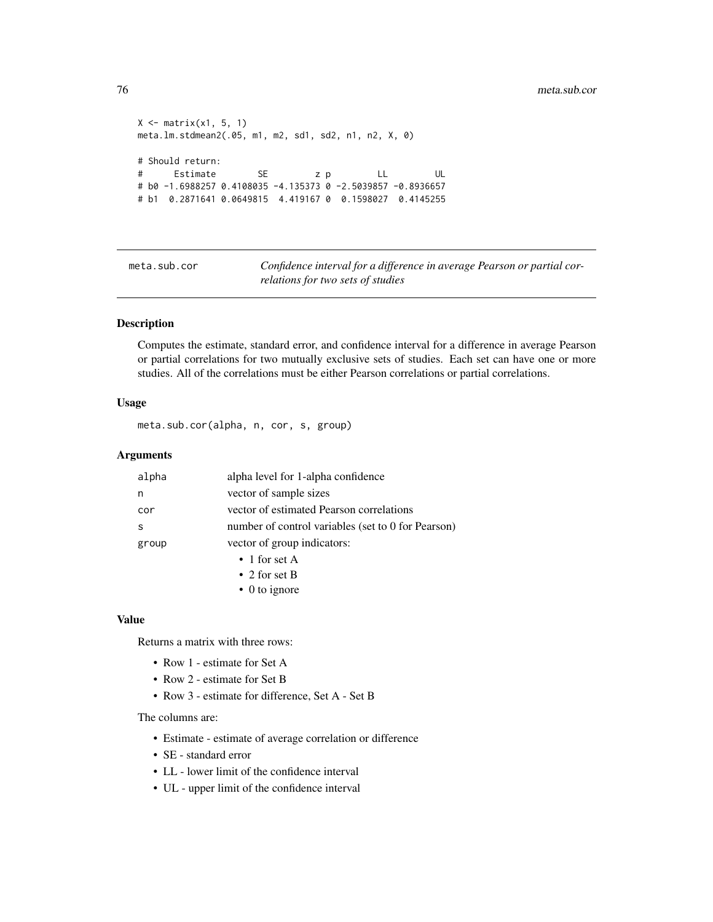```
X \leftarrow matrix(x1, 5, 1)meta.lm.stdmean2(.05, m1, m2, sd1, sd2, n1, n2, X, 0)
# Should return:
# Estimate SE z p LL UL
# b0 -1.6988257 0.4108035 -4.135373 0 -2.5039857 -0.8936657
# b1 0.2871641 0.0649815 4.419167 0 0.1598027 0.4145255
```
meta.sub.cor *Confidence interval for a difference in average Pearson or partial correlations for two sets of studies*

## Description

Computes the estimate, standard error, and confidence interval for a difference in average Pearson or partial correlations for two mutually exclusive sets of studies. Each set can have one or more studies. All of the correlations must be either Pearson correlations or partial correlations.

# Usage

meta.sub.cor(alpha, n, cor, s, group)

## Arguments

| alpha                                | alpha level for 1-alpha confidence                 |  |
|--------------------------------------|----------------------------------------------------|--|
| n                                    | vector of sample sizes                             |  |
| cor                                  | vector of estimated Pearson correlations           |  |
| S                                    | number of control variables (set to 0 for Pearson) |  |
| vector of group indicators:<br>group |                                                    |  |
|                                      | $\bullet$ 1 for set A                              |  |
|                                      | • 2 for set B                                      |  |
|                                      | $\bullet$ 0 to ignore                              |  |

#### Value

Returns a matrix with three rows:

- Row 1 estimate for Set A
- Row 2 estimate for Set B
- Row 3 estimate for difference, Set A Set B

The columns are:

- Estimate estimate of average correlation or difference
- SE standard error
- LL lower limit of the confidence interval
- UL upper limit of the confidence interval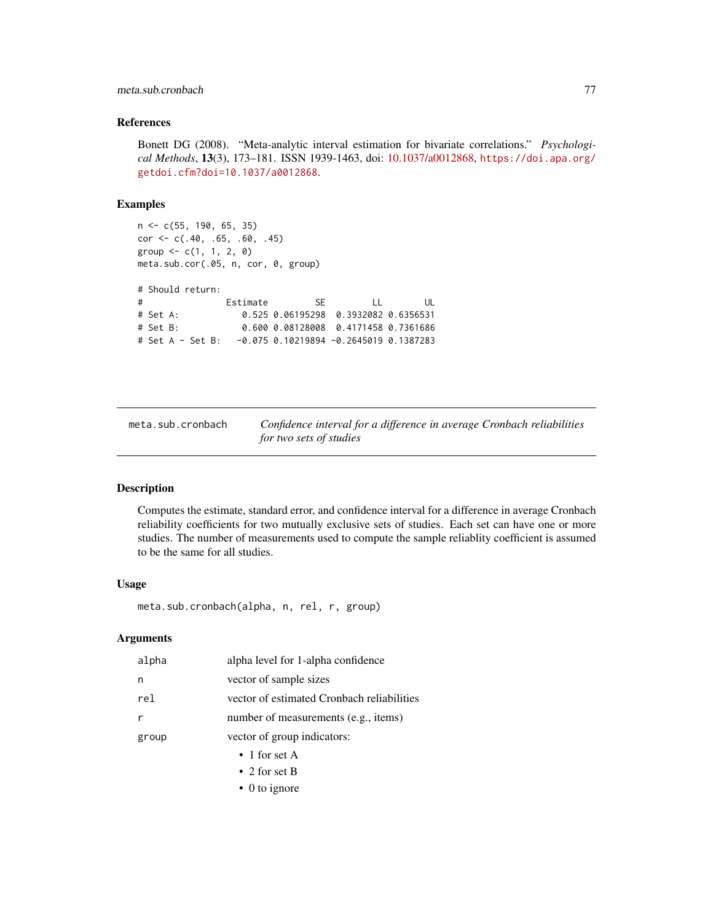## meta.sub.cronbach 77

#### References

Bonett DG (2008). "Meta-analytic interval estimation for bivariate correlations." *Psychological Methods*, 13(3), 173–181. ISSN 1939-1463, doi: [10.1037/a0012868,](https://doi.org/10.1037/a0012868) [https://doi.apa.org/](https://doi.apa.org/getdoi.cfm?doi=10.1037/a0012868) [getdoi.cfm?doi=10.1037/a0012868](https://doi.apa.org/getdoi.cfm?doi=10.1037/a0012868).

## Examples

```
n <- c(55, 190, 65, 35)
cor <- c(.40, .65, .60, .45)
group \leq -c(1, 1, 2, 0)meta.sub.cor(.05, n, cor, 0, group)
# Should return:
# Estimate SE LL UL
# Set A: 0.525 0.06195298 0.3932082 0.6356531
# Set B: 0.600 0.08128008 0.4171458 0.7361686
# Set A - Set B: -0.075 0.10219894 -0.2645019 0.1387283
```
meta.sub.cronbach *Confidence interval for a difference in average Cronbach reliabilities for two sets of studies*

## Description

Computes the estimate, standard error, and confidence interval for a difference in average Cronbach reliability coefficients for two mutually exclusive sets of studies. Each set can have one or more studies. The number of measurements used to compute the sample reliablity coefficient is assumed to be the same for all studies.

## Usage

meta.sub.cronbach(alpha, n, rel, r, group)

## **Arguments**

| alpha | alpha level for 1-alpha confidence         |
|-------|--------------------------------------------|
| n     | vector of sample sizes                     |
| rel   | vector of estimated Cronbach reliabilities |
| r     | number of measurements (e.g., items)       |
| group | vector of group indicators:                |
|       | $\bullet$ 1 for set A                      |
|       | • 2 for set B                              |

• 0 to ignore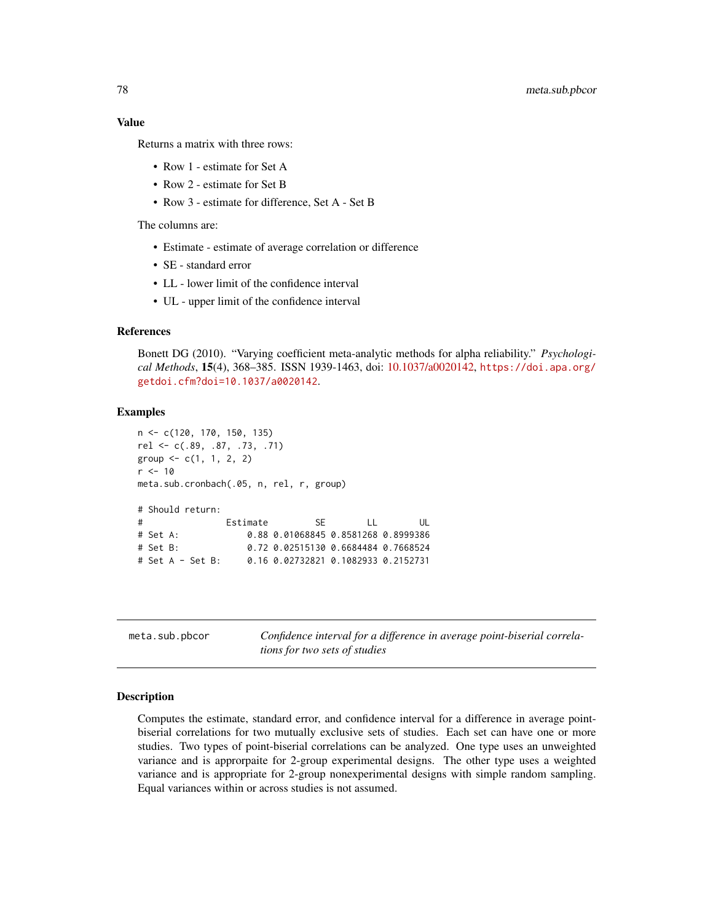## Value

Returns a matrix with three rows:

- Row 1 estimate for Set A
- Row 2 estimate for Set B
- Row 3 estimate for difference, Set A Set B

The columns are:

- Estimate estimate of average correlation or difference
- SE standard error
- LL lower limit of the confidence interval
- UL upper limit of the confidence interval

## References

Bonett DG (2010). "Varying coefficient meta-analytic methods for alpha reliability." *Psychological Methods*, 15(4), 368–385. ISSN 1939-1463, doi: [10.1037/a0020142,](https://doi.org/10.1037/a0020142) [https://doi.apa.org/](https://doi.apa.org/getdoi.cfm?doi=10.1037/a0020142) [getdoi.cfm?doi=10.1037/a0020142](https://doi.apa.org/getdoi.cfm?doi=10.1037/a0020142).

#### Examples

```
n <- c(120, 170, 150, 135)
rel <- c(.89, .87, .73, .71)
group \leq -c(1, 1, 2, 2)r <- 10
meta.sub.cronbach(.05, n, rel, r, group)
# Should return:
# Estimate SE LL UL
# Set A: 0.88 0.01068845 0.8581268 0.8999386
# Set B: 0.72 0.02515130 0.6684484 0.7668524
# Set A - Set B: 0.16 0.02732821 0.1082933 0.2152731
```
meta.sub.pbcor *Confidence interval for a difference in average point-biserial correlations for two sets of studies*

#### Description

Computes the estimate, standard error, and confidence interval for a difference in average pointbiserial correlations for two mutually exclusive sets of studies. Each set can have one or more studies. Two types of point-biserial correlations can be analyzed. One type uses an unweighted variance and is approrpaite for 2-group experimental designs. The other type uses a weighted variance and is appropriate for 2-group nonexperimental designs with simple random sampling. Equal variances within or across studies is not assumed.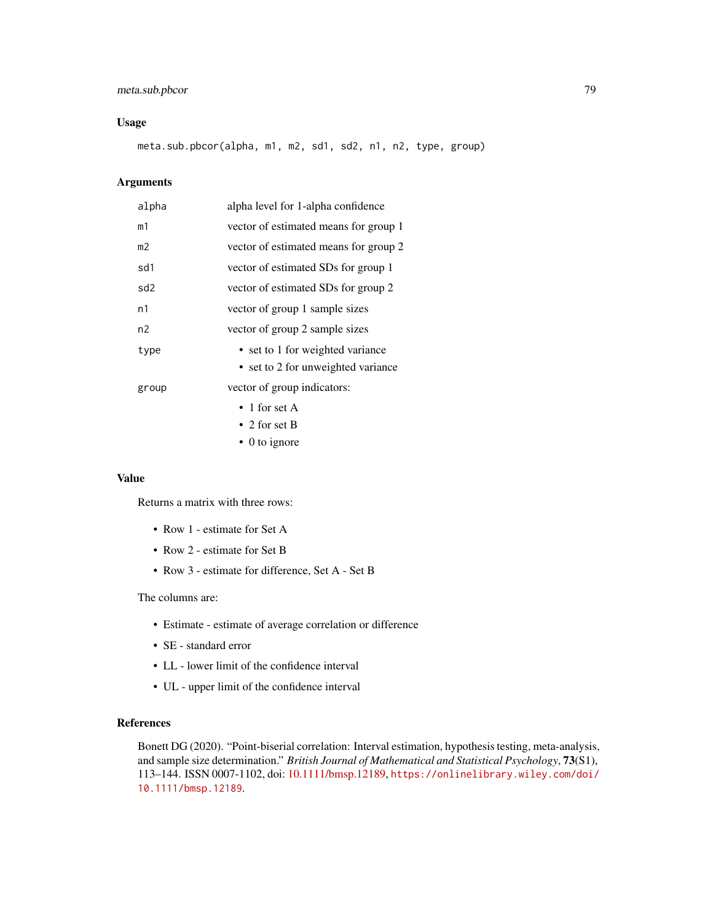# meta.sub.pbcor 79

## Usage

meta.sub.pbcor(alpha, m1, m2, sd1, sd2, n1, n2, type, group)

# Arguments

| alpha          | alpha level for 1-alpha confidence    |  |  |
|----------------|---------------------------------------|--|--|
| m1             | vector of estimated means for group 1 |  |  |
| m <sub>2</sub> | vector of estimated means for group 2 |  |  |
| sd1            | vector of estimated SDs for group 1   |  |  |
| sd2            | vector of estimated SDs for group 2   |  |  |
| n1             | vector of group 1 sample sizes        |  |  |
| n2             | vector of group 2 sample sizes        |  |  |
| type           | • set to 1 for weighted variance      |  |  |
|                | • set to 2 for unweighted variance    |  |  |
| group          | vector of group indicators:           |  |  |
|                | • 1 for set A                         |  |  |
|                | • 2 for set B                         |  |  |

• 0 to ignore

#### Value

Returns a matrix with three rows:

- Row 1 estimate for Set A
- Row 2 estimate for Set B
- Row 3 estimate for difference, Set A Set B

# The columns are:

- Estimate estimate of average correlation or difference
- SE standard error
- LL lower limit of the confidence interval
- UL upper limit of the confidence interval

# References

Bonett DG (2020). "Point-biserial correlation: Interval estimation, hypothesis testing, meta-analysis, and sample size determination." *British Journal of Mathematical and Statistical Psychology*, 73(S1), 113–144. ISSN 0007-1102, doi: [10.1111/bmsp.12189,](https://doi.org/10.1111/bmsp.12189) [https://onlinelibrary.wiley.com/doi/](https://onlinelibrary.wiley.com/doi/10.1111/bmsp.12189) [10.1111/bmsp.12189](https://onlinelibrary.wiley.com/doi/10.1111/bmsp.12189).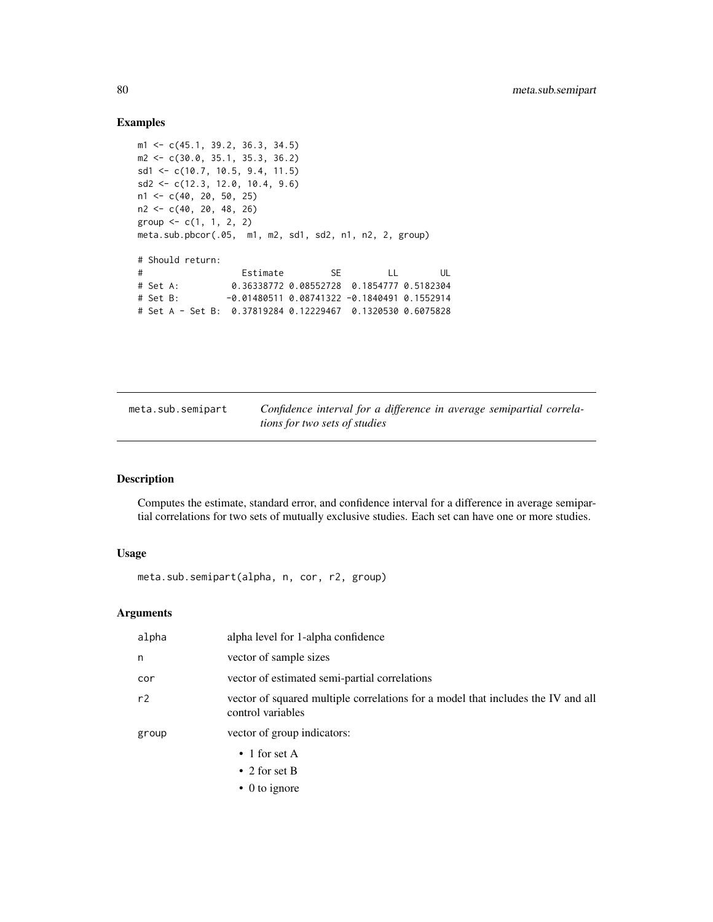## Examples

```
m1 <- c(45.1, 39.2, 36.3, 34.5)
m2 <- c(30.0, 35.1, 35.3, 36.2)
sd1 <- c(10.7, 10.5, 9.4, 11.5)
sd2 <- c(12.3, 12.0, 10.4, 9.6)
n1 <- c(40, 20, 50, 25)
n2 <- c(40, 20, 48, 26)
group <-c(1, 1, 2, 2)meta.sub.pbcor(.05, m1, m2, sd1, sd2, n1, n2, 2, group)
# Should return:
# Estimate SE LL UL
# Set A: 0.36338772 0.08552728 0.1854777 0.5182304
# Set B: -0.01480511 0.08741322 -0.1840491 0.1552914
# Set A - Set B: 0.37819284 0.12229467 0.1320530 0.6075828
```
meta.sub.semipart *Confidence interval for a difference in average semipartial correlations for two sets of studies*

## Description

Computes the estimate, standard error, and confidence interval for a difference in average semipartial correlations for two sets of mutually exclusive studies. Each set can have one or more studies.

#### Usage

meta.sub.semipart(alpha, n, cor, r2, group)

| alpha level for 1-alpha confidence                                                                    |
|-------------------------------------------------------------------------------------------------------|
| vector of sample sizes                                                                                |
| vector of estimated semi-partial correlations                                                         |
| vector of squared multiple correlations for a model that includes the IV and all<br>control variables |
| vector of group indicators:                                                                           |
| $\bullet$ 1 for set A                                                                                 |
| • 2 for set B                                                                                         |
| $\bullet$ 0 to ignore                                                                                 |
|                                                                                                       |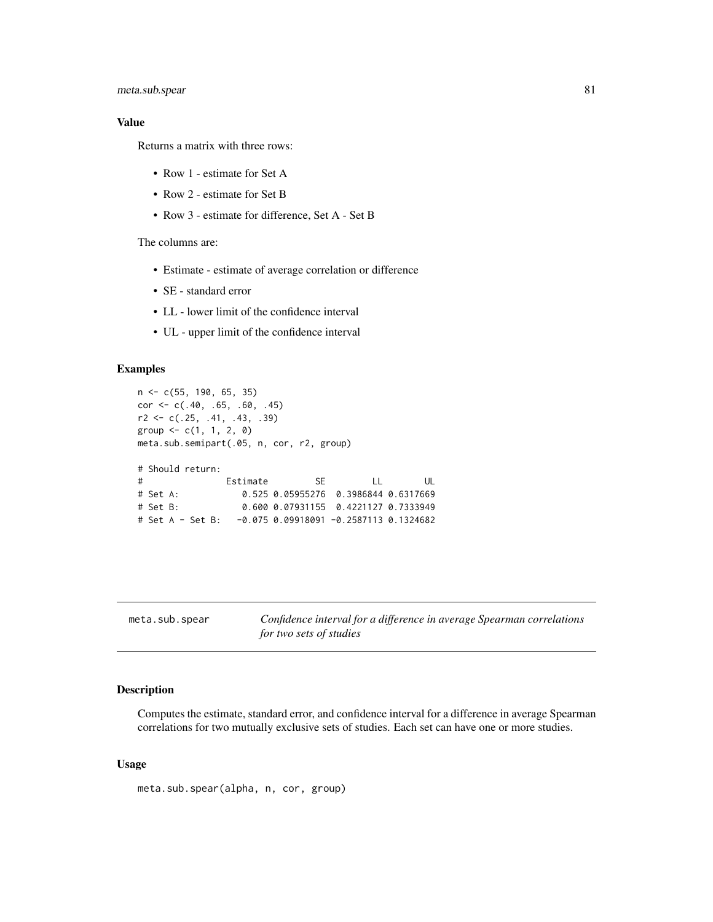# meta.sub.spear 81

## Value

Returns a matrix with three rows:

- Row 1 estimate for Set A
- Row 2 estimate for Set B
- Row 3 estimate for difference, Set A Set B

The columns are:

- Estimate estimate of average correlation or difference
- SE standard error
- LL lower limit of the confidence interval
- UL upper limit of the confidence interval

## Examples

```
n <- c(55, 190, 65, 35)
cor <- c(.40, .65, .60, .45)
r2 \leq c(.25, .41, .43, .39)group \leq -c(1, 1, 2, 0)meta.sub.semipart(.05, n, cor, r2, group)
# Should return:
# Estimate SE LL UL
# Set A: 0.525 0.05955276 0.3986844 0.6317669
# Set B: 0.600 0.07931155 0.4221127 0.7333949
# Set A - Set B: -0.075 0.09918091 -0.2587113 0.1324682
```

|  |  | meta.sub.spear |
|--|--|----------------|
|--|--|----------------|

**b**. spear *Confidence interval for a difference in average Spearman correlations for two sets of studies*

#### Description

Computes the estimate, standard error, and confidence interval for a difference in average Spearman correlations for two mutually exclusive sets of studies. Each set can have one or more studies.

#### Usage

meta.sub.spear(alpha, n, cor, group)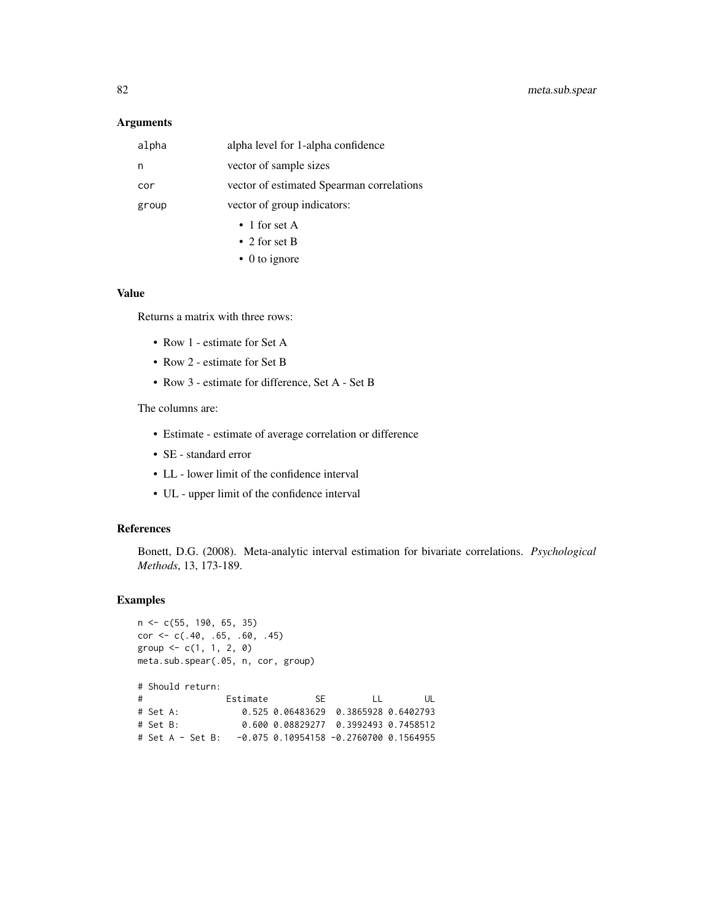## Arguments

| alpha                                | alpha level for 1-alpha confidence        |  |  |
|--------------------------------------|-------------------------------------------|--|--|
| n                                    | vector of sample sizes                    |  |  |
| cor                                  | vector of estimated Spearman correlations |  |  |
| vector of group indicators:<br>group |                                           |  |  |
|                                      | $\bullet$ 1 for set A                     |  |  |
|                                      | • 2 for set B                             |  |  |

• 0 to ignore

# Value

Returns a matrix with three rows:

- Row 1 estimate for Set A
- Row 2 estimate for Set B
- Row 3 estimate for difference, Set A Set B

The columns are:

- Estimate estimate of average correlation or difference
- SE standard error
- LL lower limit of the confidence interval
- UL upper limit of the confidence interval

#### References

Bonett, D.G. (2008). Meta-analytic interval estimation for bivariate correlations. *Psychological Methods*, 13, 173-189.

## Examples

```
n <- c(55, 190, 65, 35)
cor <- c(.40, .65, .60, .45)
group \leq -c(1, 1, 2, 0)meta.sub.spear(.05, n, cor, group)
# Should return:
# Estimate SE LL UL
# Set A: 0.525 0.06483629 0.3865928 0.6402793
# Set B: 0.600 0.08829277 0.3992493 0.7458512
# Set A - Set B: -0.075 0.10954158 -0.2760700 0.1564955
```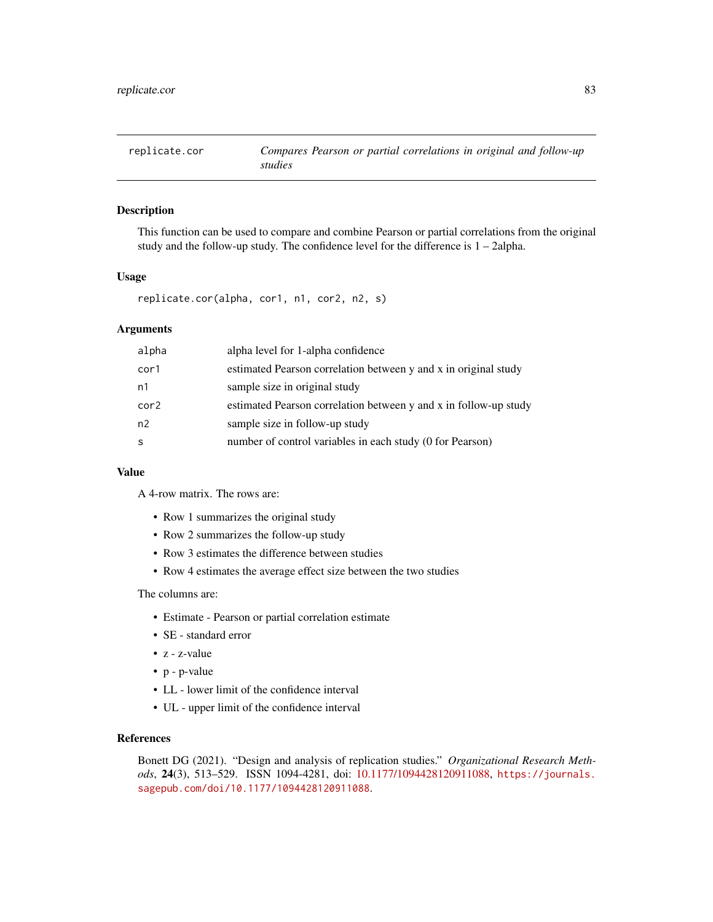# Description

This function can be used to compare and combine Pearson or partial correlations from the original study and the follow-up study. The confidence level for the difference is 1 – 2alpha.

#### Usage

replicate.cor(alpha, cor1, n1, cor2, n2, s)

#### Arguments

| alpha level for 1-alpha confidence                               |
|------------------------------------------------------------------|
| estimated Pearson correlation between y and x in original study  |
| sample size in original study                                    |
| estimated Pearson correlation between y and x in follow-up study |
| sample size in follow-up study                                   |
| number of control variables in each study (0 for Pearson)        |
|                                                                  |

## Value

A 4-row matrix. The rows are:

- Row 1 summarizes the original study
- Row 2 summarizes the follow-up study
- Row 3 estimates the difference between studies
- Row 4 estimates the average effect size between the two studies

## The columns are:

- Estimate Pearson or partial correlation estimate
- SE standard error
- z z-value
- p p-value
- LL lower limit of the confidence interval
- UL upper limit of the confidence interval

# References

Bonett DG (2021). "Design and analysis of replication studies." *Organizational Research Methods*, 24(3), 513–529. ISSN 1094-4281, doi: [10.1177/1094428120911088,](https://doi.org/10.1177/1094428120911088) [https://journals.](https://journals.sagepub.com/doi/10.1177/1094428120911088) [sagepub.com/doi/10.1177/1094428120911088](https://journals.sagepub.com/doi/10.1177/1094428120911088).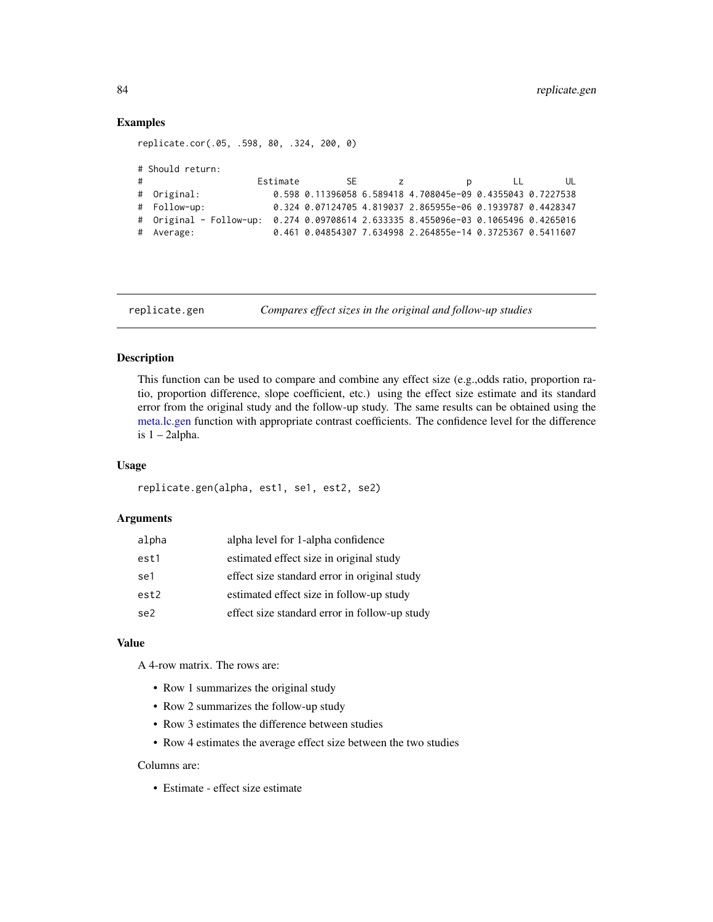## Examples

```
replicate.cor(.05, .598, 80, .324, 200, 0)
# Should return:
# Estimate SE z p LL UL
# Original: 0.598 0.11396058 6.589418 4.708045e-09 0.4355043 0.7227538
# Follow-up: 0.324 0.07124705 4.819037 2.865955e-06 0.1939787 0.4428347
```
# Original - Follow-up: 0.274 0.09708614 2.633335 8.455096e-03 0.1065496 0.4265016 # Average: 0.461 0.04854307 7.634998 2.264855e-14 0.3725367 0.5411607

replicate.gen *Compares effect sizes in the original and follow-up studies*

# Description

This function can be used to compare and combine any effect size (e.g.,odds ratio, proportion ratio, proportion difference, slope coefficient, etc.) using the effect size estimate and its standard error from the original study and the follow-up study. The same results can be obtained using the [meta.lc.gen](#page-35-0) function with appropriate contrast coefficients. The confidence level for the difference is  $1 - 2$ alpha.

#### Usage

```
replicate.gen(alpha, est1, se1, est2, se2)
```
## Arguments

| alpha | alpha level for 1-alpha confidence            |
|-------|-----------------------------------------------|
| est1  | estimated effect size in original study       |
| se1   | effect size standard error in original study  |
| est2  | estimated effect size in follow-up study      |
| se2.  | effect size standard error in follow-up study |

## Value

A 4-row matrix. The rows are:

- Row 1 summarizes the original study
- Row 2 summarizes the follow-up study
- Row 3 estimates the difference between studies
- Row 4 estimates the average effect size between the two studies

#### Columns are:

• Estimate - effect size estimate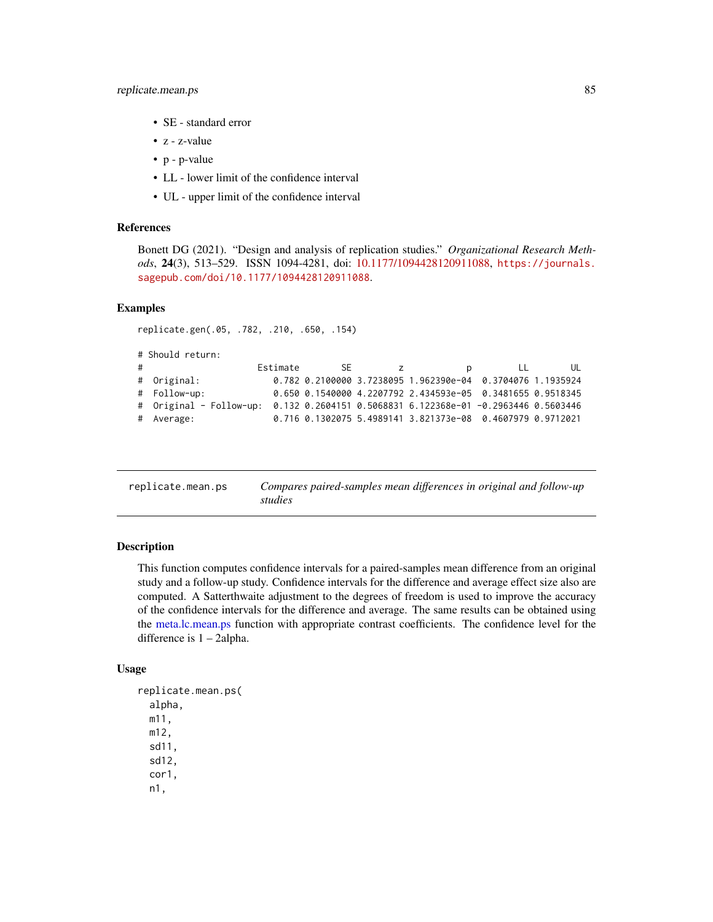- SE standard error
- z z-value
- p p-value
- LL lower limit of the confidence interval
- UL upper limit of the confidence interval

#### References

Bonett DG (2021). "Design and analysis of replication studies." *Organizational Research Methods*, 24(3), 513–529. ISSN 1094-4281, doi: [10.1177/1094428120911088,](https://doi.org/10.1177/1094428120911088) [https://journals.](https://journals.sagepub.com/doi/10.1177/1094428120911088) [sagepub.com/doi/10.1177/1094428120911088](https://journals.sagepub.com/doi/10.1177/1094428120911088).

# Examples

replicate.gen(.05, .782, .210, .650, .154)

```
# Should return:
# Estimate SE z p LL UL
# Original: 0.782 0.2100000 3.7238095 1.962390e-04 0.3704076 1.1935924
# Follow-up: 0.650 0.1540000 4.2207792 2.434593e-05 0.3481655 0.9518345
# Original - Follow-up: 0.132 0.2604151 0.5068831 6.122368e-01 -0.2963446 0.5603446
# Average: 0.716 0.1302075 5.4989141 3.821373e-08 0.4607979 0.9712021
```
replicate.mean.ps *Compares paired-samples mean differences in original and follow-up studies*

## Description

This function computes confidence intervals for a paired-samples mean difference from an original study and a follow-up study. Confidence intervals for the difference and average effect size also are computed. A Satterthwaite adjustment to the degrees of freedom is used to improve the accuracy of the confidence intervals for the difference and average. The same results can be obtained using the [meta.lc.mean.ps](#page-36-0) function with appropriate contrast coefficients. The confidence level for the difference is 1 – 2alpha.

#### Usage

```
replicate.mean.ps(
  alpha,
 m11,
 m12,
  sd11,
  sd12,
  cor1,
  n1,
```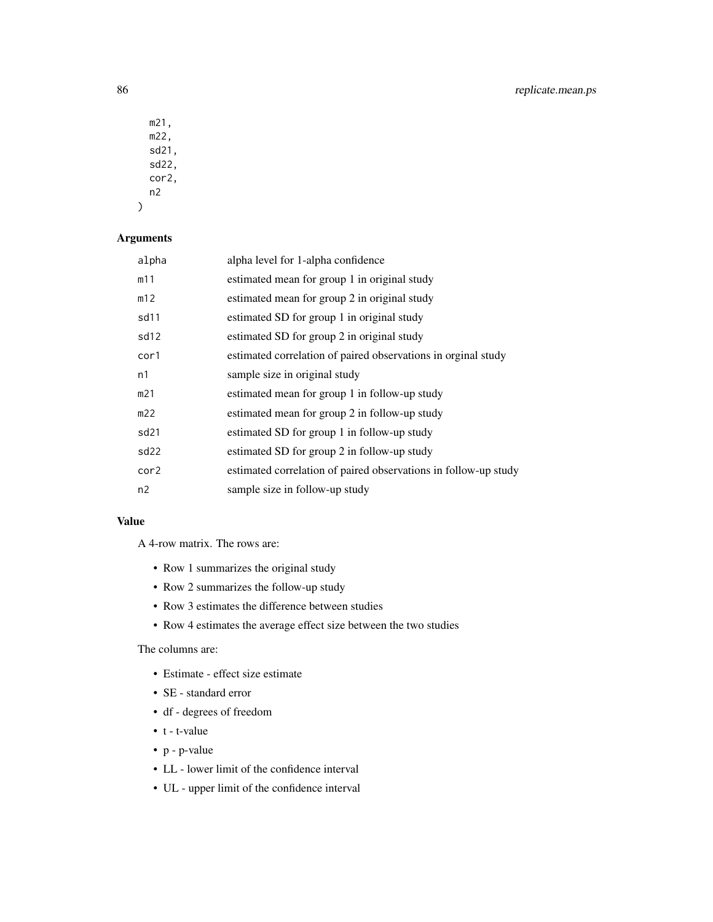m21, m22, sd21, sd22, cor2, n2

# Arguments

)

| alpha            | alpha level for 1-alpha confidence                              |
|------------------|-----------------------------------------------------------------|
| m11              | estimated mean for group 1 in original study                    |
| m12              | estimated mean for group 2 in original study                    |
| sd11             | estimated SD for group 1 in original study                      |
| sd <sub>12</sub> | estimated SD for group 2 in original study                      |
| cor1             | estimated correlation of paired observations in orginal study   |
| n1               | sample size in original study                                   |
| m21              | estimated mean for group 1 in follow-up study                   |
| m22              | estimated mean for group 2 in follow-up study                   |
| sd21             | estimated SD for group 1 in follow-up study                     |
| sd22             | estimated SD for group 2 in follow-up study                     |
| cor2             | estimated correlation of paired observations in follow-up study |
| n2               | sample size in follow-up study                                  |
|                  |                                                                 |

# Value

A 4-row matrix. The rows are:

- Row 1 summarizes the original study
- Row 2 summarizes the follow-up study
- Row 3 estimates the difference between studies
- Row 4 estimates the average effect size between the two studies

# The columns are:

- Estimate effect size estimate
- SE standard error
- df degrees of freedom
- t t-value
- p p-value
- LL lower limit of the confidence interval
- UL upper limit of the confidence interval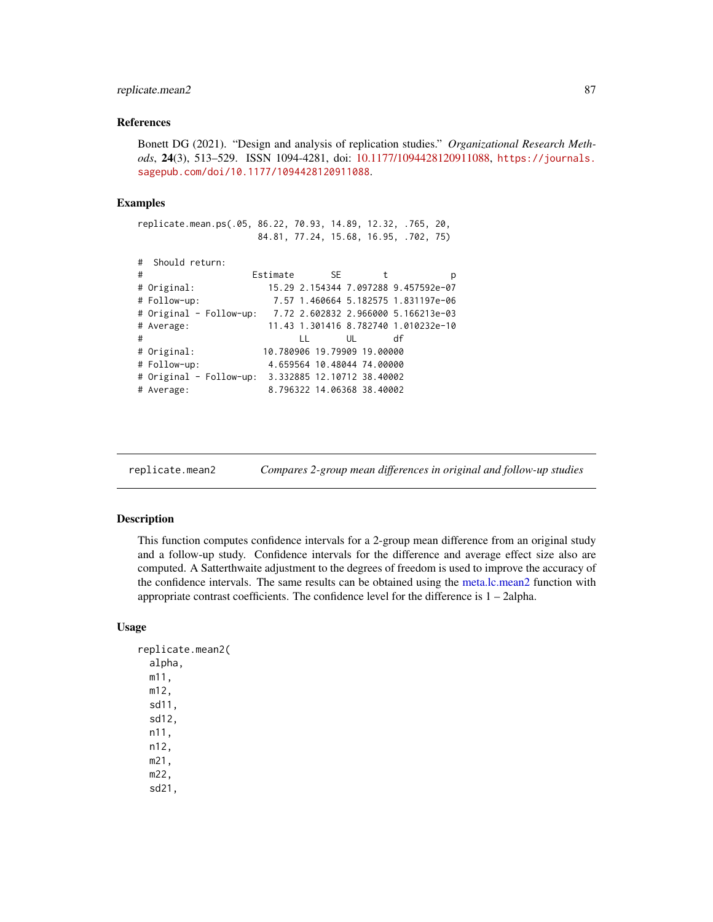# replicate.mean2 87

## References

Bonett DG (2021). "Design and analysis of replication studies." *Organizational Research Methods*, 24(3), 513–529. ISSN 1094-4281, doi: [10.1177/1094428120911088,](https://doi.org/10.1177/1094428120911088) [https://journals.](https://journals.sagepub.com/doi/10.1177/1094428120911088) [sagepub.com/doi/10.1177/1094428120911088](https://journals.sagepub.com/doi/10.1177/1094428120911088).

#### Examples

replicate.mean.ps(.05, 86.22, 70.93, 14.89, 12.32, .765, 20, 84.81, 77.24, 15.68, 16.95, .702, 75)

```
# Should return:
```

| # |                                                                                   | Estimate | SE           | t                           | p                                    |
|---|-----------------------------------------------------------------------------------|----------|--------------|-----------------------------|--------------------------------------|
|   | # Original:                                                                       |          |              |                             | 15.29 2.154344 7.097288 9.457592e-07 |
|   | # Follow-up:                                                                      |          |              |                             | 7.57 1.460664 5.182575 1.831197e-06  |
|   | # Original - Follow-up:                       7.72 2.602832 2.966000 5.166213e-03 |          |              |                             |                                      |
|   | # Average:                                                                        |          |              |                             | 11.43 1.301416 8.782740 1.010232e-10 |
| # |                                                                                   |          | $\mathbf{L}$ | UL                          | df                                   |
|   | # Original:                                                                       |          |              | 10.780906 19.79909 19.00000 |                                      |
|   | # Follow-up:                                                                      |          |              | 4.659564 10.48044 74.00000  |                                      |
|   | # Original - Follow-up: 3.332885 12.10712 38.40002                                |          |              |                             |                                      |
|   | # Average:                                                                        |          |              | 8.796322 14.06368 38.40002  |                                      |
|   |                                                                                   |          |              |                             |                                      |

replicate.mean2 *Compares 2-group mean differences in original and follow-up studies*

# Description

This function computes confidence intervals for a 2-group mean difference from an original study and a follow-up study. Confidence intervals for the difference and average effect size also are computed. A Satterthwaite adjustment to the degrees of freedom is used to improve the accuracy of the confidence intervals. The same results can be obtained using the [meta.lc.mean2](#page-38-0) function with appropriate contrast coefficients. The confidence level for the difference is 1 – 2alpha.

## Usage

```
replicate.mean2(
  alpha,
  m11,
  m12,
  sd11,
  sd12,
  n11,
  n12,
  m21,
  m22,
  sd21,
```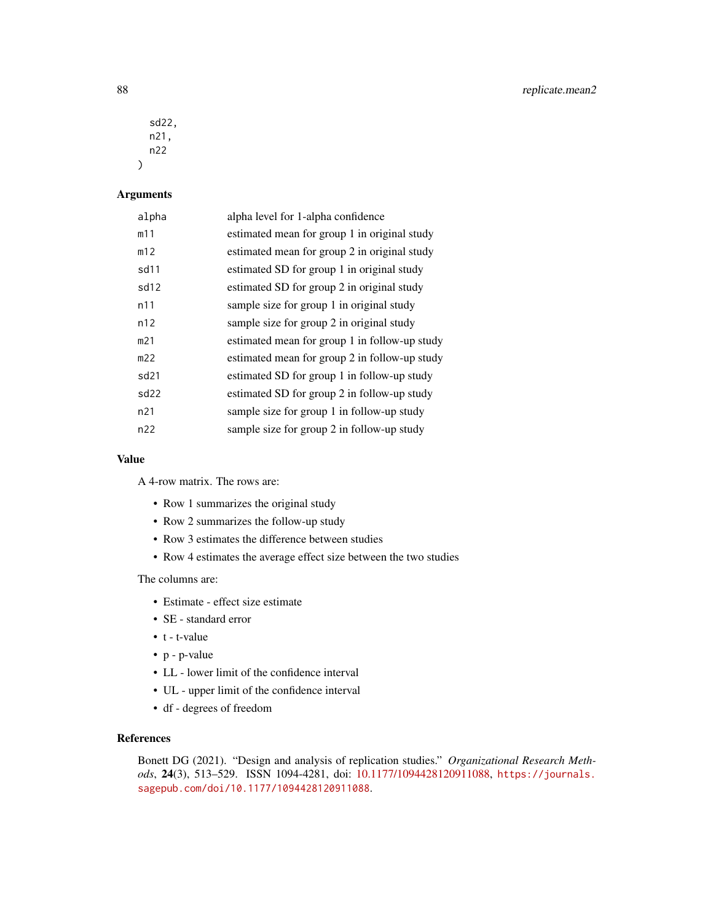sd22, n21, n22  $\lambda$ 

# Arguments

| alpha            | alpha level for 1-alpha confidence            |
|------------------|-----------------------------------------------|
| m11              | estimated mean for group 1 in original study  |
| m12              | estimated mean for group 2 in original study  |
| sd11             | estimated SD for group 1 in original study    |
| sd12             | estimated SD for group 2 in original study    |
| n11              | sample size for group 1 in original study     |
| n12              | sample size for group 2 in original study     |
| m21              | estimated mean for group 1 in follow-up study |
| m22              | estimated mean for group 2 in follow-up study |
| sd <sub>21</sub> | estimated SD for group 1 in follow-up study   |
| sd22             | estimated SD for group 2 in follow-up study   |
| n21              | sample size for group 1 in follow-up study    |
| n22              | sample size for group 2 in follow-up study    |
|                  |                                               |

## Value

A 4-row matrix. The rows are:

- Row 1 summarizes the original study
- Row 2 summarizes the follow-up study
- Row 3 estimates the difference between studies
- Row 4 estimates the average effect size between the two studies

The columns are:

- Estimate effect size estimate
- SE standard error
- t t-value
- p p-value
- LL lower limit of the confidence interval
- UL upper limit of the confidence interval
- df degrees of freedom

# References

Bonett DG (2021). "Design and analysis of replication studies." *Organizational Research Methods*, 24(3), 513–529. ISSN 1094-4281, doi: [10.1177/1094428120911088,](https://doi.org/10.1177/1094428120911088) [https://journals.](https://journals.sagepub.com/doi/10.1177/1094428120911088) [sagepub.com/doi/10.1177/1094428120911088](https://journals.sagepub.com/doi/10.1177/1094428120911088).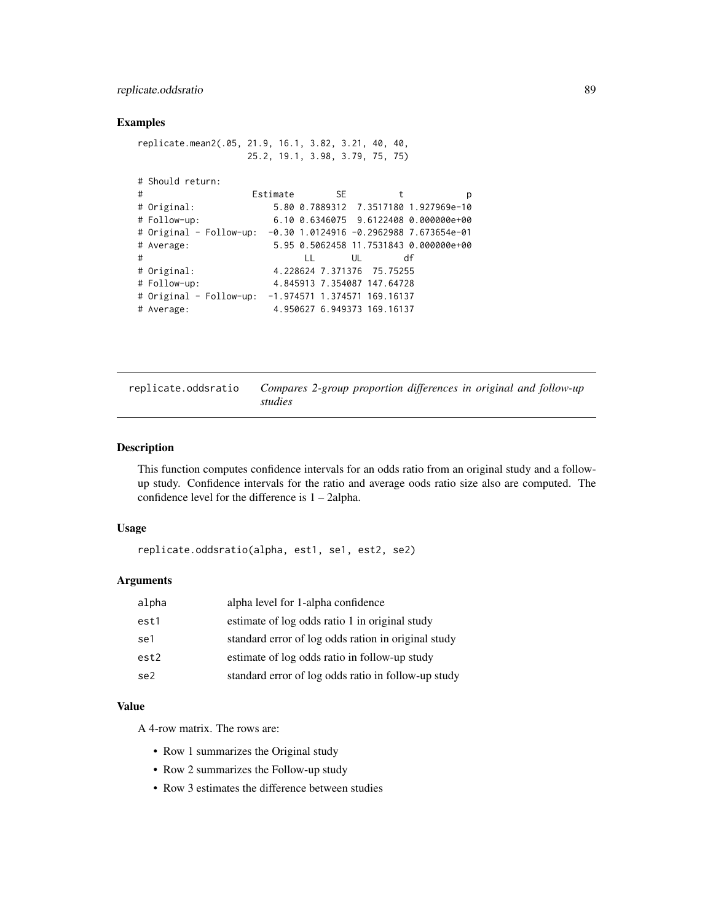# replicate.oddsratio 89

## Examples

```
replicate.mean2(.05, 21.9, 16.1, 3.82, 3.21, 40, 40,
                25.2, 19.1, 3.98, 3.79, 75, 75)
# Should return:
# Estimate SE t p
# Original: 5.80 0.7889312 7.3517180 1.927969e-10
                  # Follow-up: 6.10 0.6346075 9.6122408 0.000000e+00
# Original - Follow-up: -0.30 1.0124916 -0.2962988 7.673654e-01
# Average: 5.95 0.5062458 11.7531843 0.000000e+00
# LL UL df
# Original: 4.228624 7.371376 75.75255
# Follow-up: 4.845913 7.354087 147.64728
# Original - Follow-up: -1.974571 1.374571 169.16137
# Average: 4.950627 6.949373 169.16137
```

| replicate.oddsratio | Compares 2-group proportion differences in original and follow-up |  |  |
|---------------------|-------------------------------------------------------------------|--|--|
|                     | studies                                                           |  |  |

# Description

This function computes confidence intervals for an odds ratio from an original study and a followup study. Confidence intervals for the ratio and average oods ratio size also are computed. The confidence level for the difference is 1 – 2alpha.

#### Usage

replicate.oddsratio(alpha, est1, se1, est2, se2)

#### Arguments

| alpha | alpha level for 1-alpha confidence                  |
|-------|-----------------------------------------------------|
| est1  | estimate of log odds ratio 1 in original study      |
| se1   | standard error of log odds ration in original study |
| est2  | estimate of log odds ratio in follow-up study       |
| se2   | standard error of log odds ratio in follow-up study |

#### Value

A 4-row matrix. The rows are:

- Row 1 summarizes the Original study
- Row 2 summarizes the Follow-up study
- Row 3 estimates the difference between studies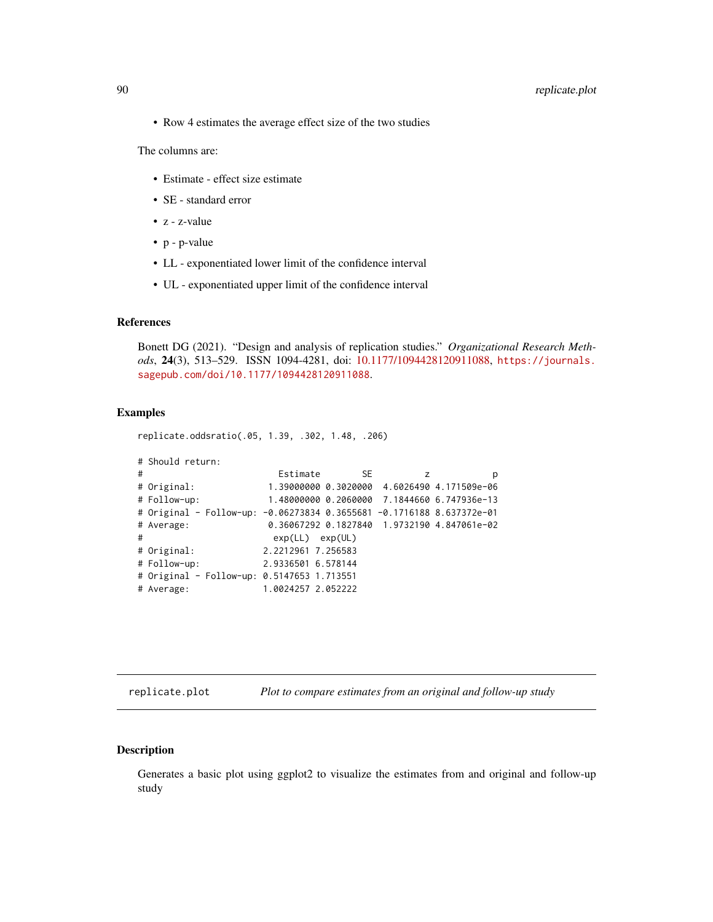# 90 replicate.plot

• Row 4 estimates the average effect size of the two studies

The columns are:

- Estimate effect size estimate
- SE standard error
- z z-value
- p p-value
- LL exponentiated lower limit of the confidence interval
- UL exponentiated upper limit of the confidence interval

#### References

Bonett DG (2021). "Design and analysis of replication studies." *Organizational Research Methods*, 24(3), 513–529. ISSN 1094-4281, doi: [10.1177/1094428120911088,](https://doi.org/10.1177/1094428120911088) [https://journals.](https://journals.sagepub.com/doi/10.1177/1094428120911088) [sagepub.com/doi/10.1177/1094428120911088](https://journals.sagepub.com/doi/10.1177/1094428120911088).

#### Examples

replicate.oddsratio(.05, 1.39, .302, 1.48, .206)

```
# Should return:
# Estimate SE z p
# Original: 1.39000000 0.3020000 4.6026490 4.171509e-06
# Follow-up: 1.48000000 0.2060000 7.1844660 6.747936e-13
# Original - Follow-up: -0.06273834 0.3655681 -0.1716188 8.637372e-01
# Average: 0.36067292 0.1827840 1.9732190 4.847061e-02
# exp(LL) exp(UL)
# Original: 2.2212961 7.256583
# Follow-up: 2.9336501 6.578144
# Original - Follow-up: 0.5147653 1.713551
# Average: 1.0024257 2.052222
```
replicate.plot *Plot to compare estimates from an original and follow-up study*

## Description

Generates a basic plot using ggplot2 to visualize the estimates from and original and follow-up study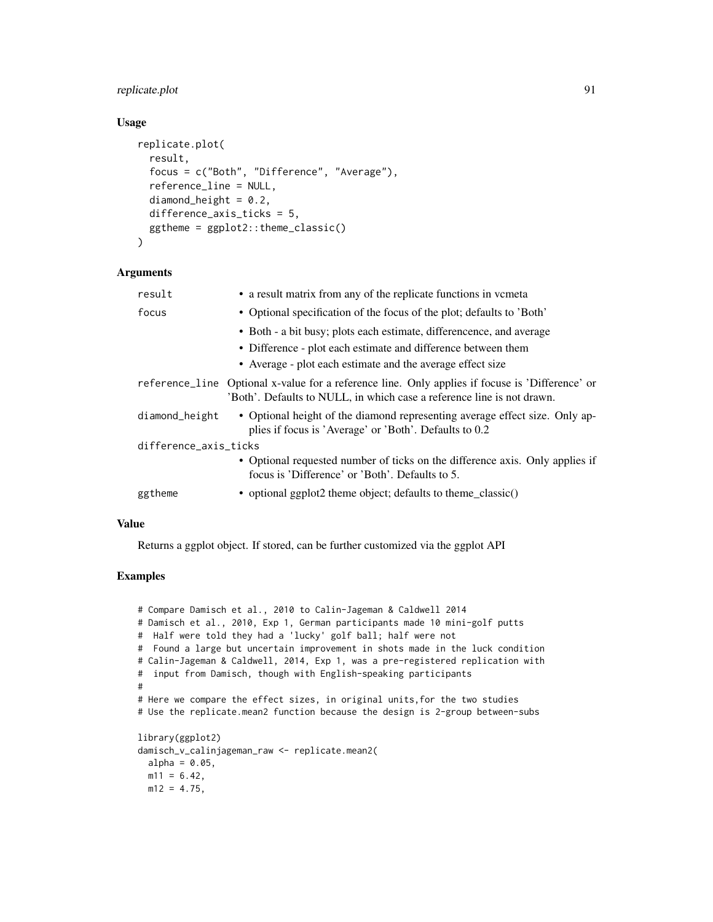# replicate.plot 91

# Usage

```
replicate.plot(
 result,
  focus = c("Both", "Difference", "Average"),
  reference_line = NULL,
  diamond_height = 0.2,
 difference_axis_ticks = 5,
  ggtheme = ggplot2::theme_classic()
\lambda
```
## Arguments

| result                | • a result matrix from any of the replicate functions in vcmeta                                                                                                                                     |  |  |  |  |
|-----------------------|-----------------------------------------------------------------------------------------------------------------------------------------------------------------------------------------------------|--|--|--|--|
| focus                 | • Optional specification of the focus of the plot; defaults to 'Both'                                                                                                                               |  |  |  |  |
|                       | • Both - a bit busy; plots each estimate, differencence, and average<br>• Difference - plot each estimate and difference between them<br>• Average - plot each estimate and the average effect size |  |  |  |  |
|                       | reference_line Optional x-value for a reference line. Only applies if focuse is 'Difference' or<br>'Both'. Defaults to NULL, in which case a reference line is not drawn.                           |  |  |  |  |
| diamond_height        | • Optional height of the diamond representing average effect size. Only ap-<br>plies if focus is 'Average' or 'Both'. Defaults to 0.2                                                               |  |  |  |  |
| difference_axis_ticks |                                                                                                                                                                                                     |  |  |  |  |
|                       | • Optional requested number of ticks on the difference axis. Only applies if<br>focus is 'Difference' or 'Both'. Defaults to 5.                                                                     |  |  |  |  |
| ggtheme               | • optional ggplot2 theme object; defaults to theme_classic()                                                                                                                                        |  |  |  |  |

# Value

Returns a ggplot object. If stored, can be further customized via the ggplot API

# Examples

```
# Compare Damisch et al., 2010 to Calin-Jageman & Caldwell 2014
# Damisch et al., 2010, Exp 1, German participants made 10 mini-golf putts
# Half were told they had a 'lucky' golf ball; half were not
# Found a large but uncertain improvement in shots made in the luck condition
# Calin-Jageman & Caldwell, 2014, Exp 1, was a pre-registered replication with
# input from Damisch, though with English-speaking participants
#
# Here we compare the effect sizes, in original units,for the two studies
# Use the replicate.mean2 function because the design is 2-group between-subs
library(ggplot2)
damisch_v_calinjageman_raw <- replicate.mean2(
  alpha = 0.05,
 m11 = 6.42,
 m12 = 4.75,
```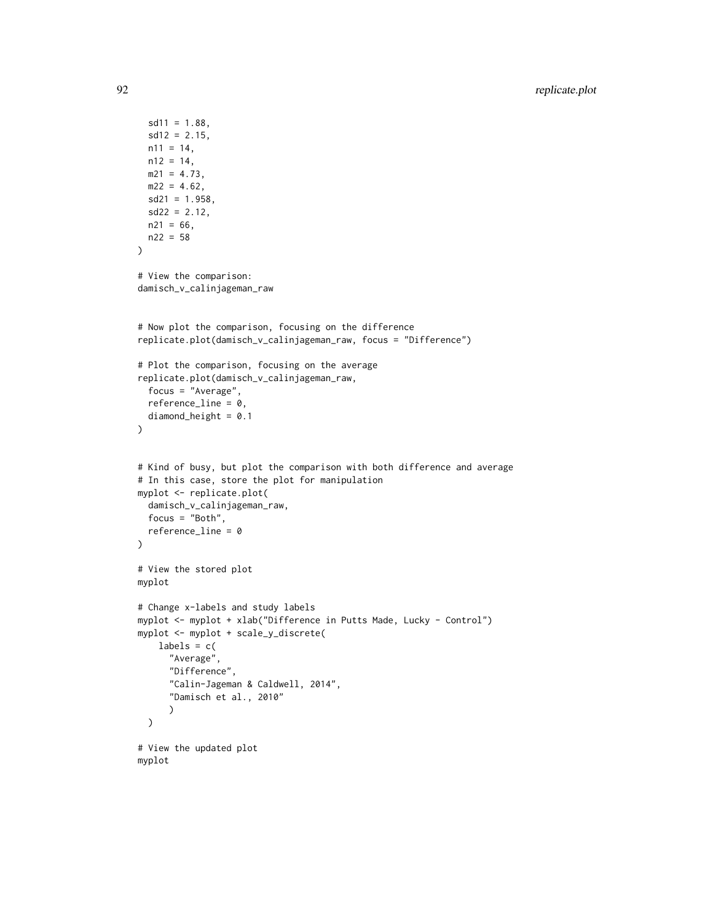```
sd11 = 1.88,
  sd12 = 2.15,
 n11 = 14,
 n12 = 14,
 m21 = 4.73,
 m22 = 4.62,
  sd21 = 1.958,
  sd22 = 2.12,
 n21 = 66,
 n22 = 58)
# View the comparison:
damisch_v_calinjageman_raw
# Now plot the comparison, focusing on the difference
replicate.plot(damisch_v_calinjageman_raw, focus = "Difference")
# Plot the comparison, focusing on the average
replicate.plot(damisch_v_calinjageman_raw,
  focus = "Average",
  reference_line = 0,
  diamond_height = 0.1
\overline{\phantom{a}}# Kind of busy, but plot the comparison with both difference and average
# In this case, store the plot for manipulation
myplot <- replicate.plot(
  damisch_v_calinjageman_raw,
  focus = "Both",
  reference_line = 0
\lambda# View the stored plot
myplot
# Change x-labels and study labels
myplot <- myplot + xlab("Difference in Putts Made, Lucky - Control")
myplot <- myplot + scale_y_discrete(
    labels = c("Average",
      "Difference",
      "Calin-Jageman & Caldwell, 2014",
      "Damisch et al., 2010"
      )
  \mathcal{L}# View the updated plot
myplot
```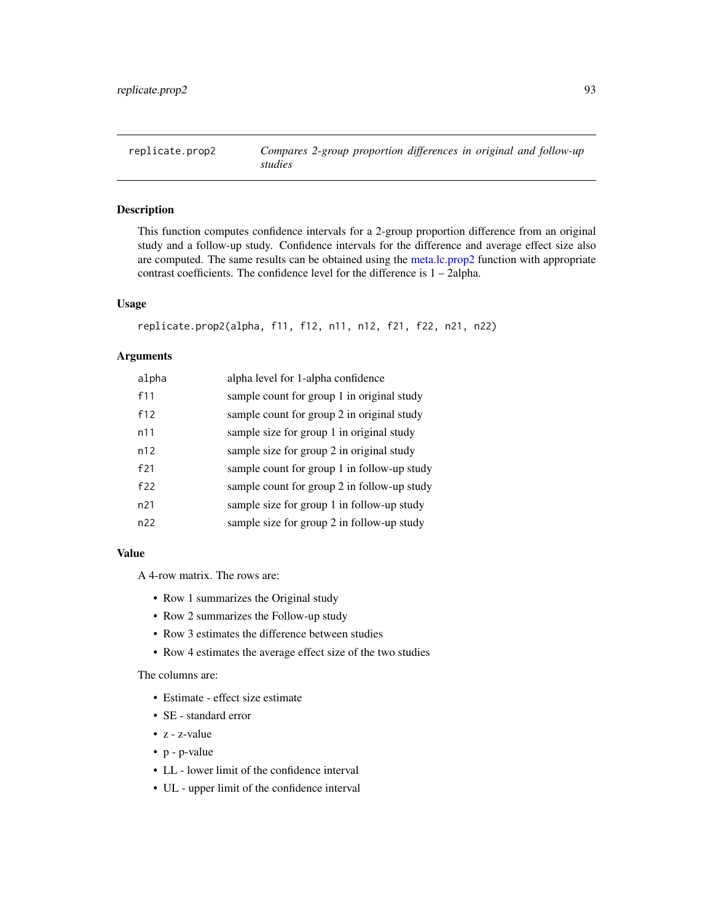replicate.prop2 *Compares 2-group proportion differences in original and follow-up studies*

# Description

This function computes confidence intervals for a 2-group proportion difference from an original study and a follow-up study. Confidence intervals for the difference and average effect size also are computed. The same results can be obtained using the [meta.lc.prop2](#page-46-0) function with appropriate contrast coefficients. The confidence level for the difference is 1 – 2alpha.

#### Usage

```
replicate.prop2(alpha, f11, f12, n11, n12, f21, f22, n21, n22)
```
## Arguments

| alpha           | alpha level for 1-alpha confidence          |
|-----------------|---------------------------------------------|
| f11             | sample count for group 1 in original study  |
| f12             | sample count for group 2 in original study  |
| n11             | sample size for group 1 in original study   |
| n12             | sample size for group 2 in original study   |
| f21             | sample count for group 1 in follow-up study |
| f22             | sample count for group 2 in follow-up study |
| n <sub>21</sub> | sample size for group 1 in follow-up study  |
| n22             | sample size for group 2 in follow-up study  |

#### Value

A 4-row matrix. The rows are:

- Row 1 summarizes the Original study
- Row 2 summarizes the Follow-up study
- Row 3 estimates the difference between studies
- Row 4 estimates the average effect size of the two studies

The columns are:

- Estimate effect size estimate
- SE standard error
- z z-value
- p p-value
- LL lower limit of the confidence interval
- UL upper limit of the confidence interval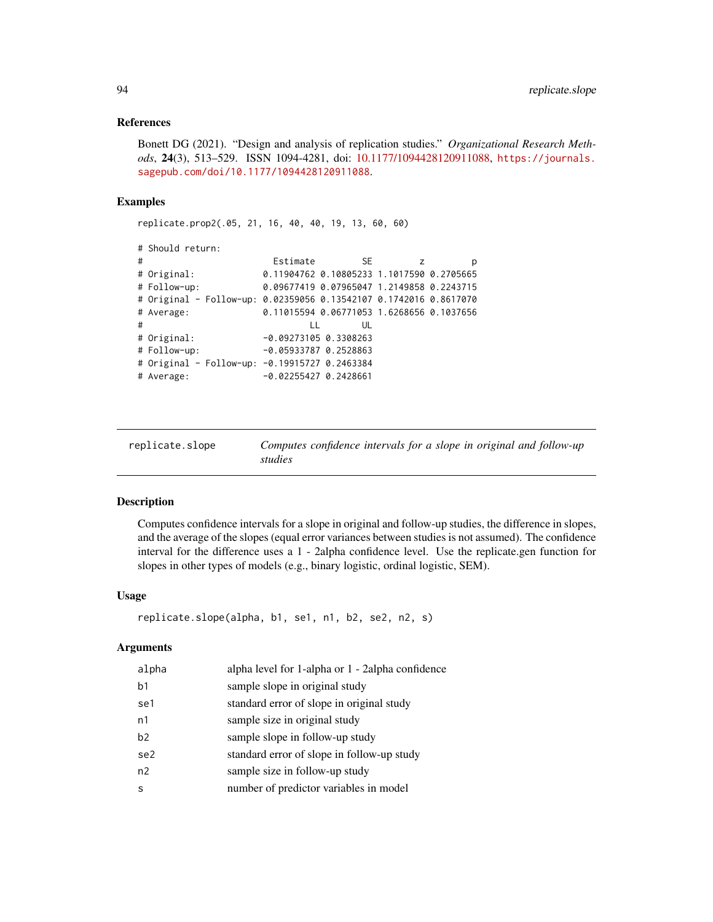#### References

Bonett DG (2021). "Design and analysis of replication studies." *Organizational Research Methods*, 24(3), 513–529. ISSN 1094-4281, doi: [10.1177/1094428120911088,](https://doi.org/10.1177/1094428120911088) [https://journals.](https://journals.sagepub.com/doi/10.1177/1094428120911088) [sagepub.com/doi/10.1177/1094428120911088](https://journals.sagepub.com/doi/10.1177/1094428120911088).

## Examples

replicate.prop2(.05, 21, 16, 40, 40, 19, 13, 60, 60)

```
# Should return:
# Estimate SE z p
# Original: 0.11904762 0.10805233 1.1017590 0.2705665
# Follow-up: 0.09677419 0.07965047 1.2149858 0.2243715
# Original - Follow-up: 0.02359056 0.13542107 0.1742016 0.8617070
# Average: 0.11015594 0.06771053 1.6268656 0.1037656
# LL UL
# Original: -0.09273105 0.3308263
# Follow-up: -0.05933787 0.2528863
# Original - Follow-up: -0.19915727 0.2463384
# Average: -0.02255427 0.2428661
```

| replicate.slope | Computes confidence intervals for a slope in original and follow-up |
|-----------------|---------------------------------------------------------------------|
|                 | studies                                                             |

## Description

Computes confidence intervals for a slope in original and follow-up studies, the difference in slopes, and the average of the slopes (equal error variances between studies is not assumed). The confidence interval for the difference uses a 1 - 2alpha confidence level. Use the replicate.gen function for slopes in other types of models (e.g., binary logistic, ordinal logistic, SEM).

#### Usage

```
replicate.slope(alpha, b1, se1, n1, b2, se2, n2, s)
```

| alpha | alpha level for 1-alpha or 1 - 2alpha confidence |
|-------|--------------------------------------------------|
| b1    | sample slope in original study                   |
| se1   | standard error of slope in original study        |
| n1    | sample size in original study                    |
| b2    | sample slope in follow-up study                  |
| se2   | standard error of slope in follow-up study       |
| n2    | sample size in follow-up study                   |
| S     | number of predictor variables in model           |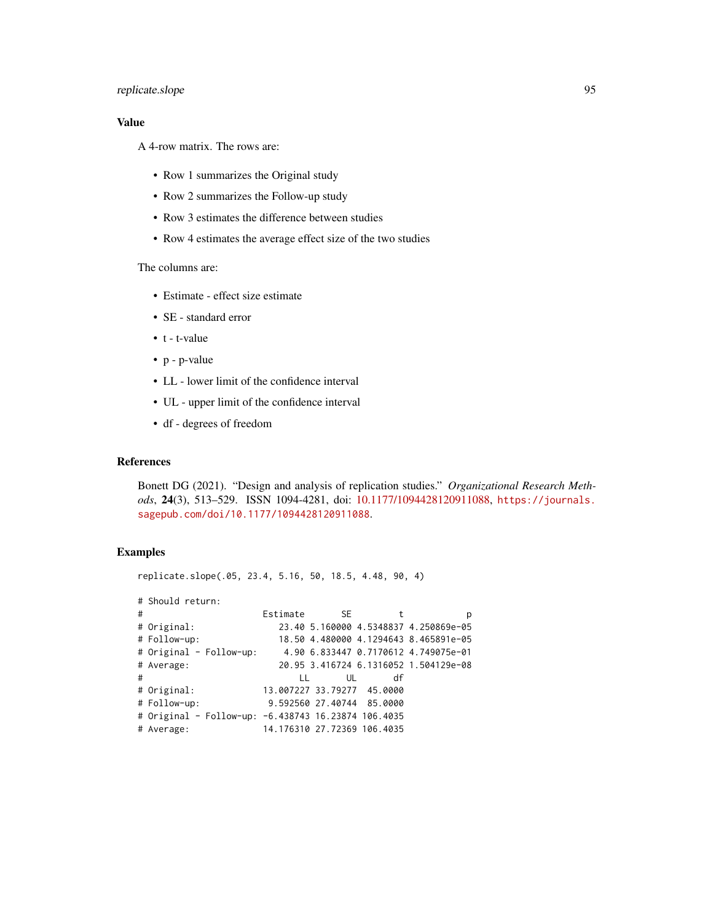# replicate.slope 95

# Value

A 4-row matrix. The rows are:

- Row 1 summarizes the Original study
- Row 2 summarizes the Follow-up study
- Row 3 estimates the difference between studies
- Row 4 estimates the average effect size of the two studies

## The columns are:

- Estimate effect size estimate
- SE standard error
- t t-value
- p p-value
- LL lower limit of the confidence interval
- UL upper limit of the confidence interval
- df degrees of freedom

## References

Bonett DG (2021). "Design and analysis of replication studies." *Organizational Research Methods*, 24(3), 513–529. ISSN 1094-4281, doi: [10.1177/1094428120911088,](https://doi.org/10.1177/1094428120911088) [https://journals.](https://journals.sagepub.com/doi/10.1177/1094428120911088) [sagepub.com/doi/10.1177/1094428120911088](https://journals.sagepub.com/doi/10.1177/1094428120911088).

# Examples

replicate.slope(.05, 23.4, 5.16, 50, 18.5, 4.48, 90, 4)

|   | # Should return:                                    |              |      |                             |                                       |
|---|-----------------------------------------------------|--------------|------|-----------------------------|---------------------------------------|
| # |                                                     | Estimate     | SE S | t                           | р                                     |
|   | # Original:                                         |              |      |                             | 23.40 5.160000 4.5348837 4.250869e-05 |
|   | # Follow-up:                                        |              |      |                             | 18.50 4.480000 4.1294643 8.465891e-05 |
|   | # Original - Follow-up:                             |              |      |                             | 4.90 6.833447 0.7170612 4.749075e-01  |
|   | # Average:                                          |              |      |                             | 20.95 3.416724 6.1316052 1.504129e-08 |
| # |                                                     | $\mathbf{L}$ | UL   | df                          |                                       |
|   | # Original:                                         |              |      | 13.007227 33.79277 45.0000  |                                       |
|   | # Follow-up:                                        |              |      | 9.592560 27.40744 85.0000   |                                       |
|   | # Original - Follow-up: -6.438743 16.23874 106.4035 |              |      |                             |                                       |
|   | # Average:                                          |              |      | 14.176310 27.72369 106.4035 |                                       |
|   |                                                     |              |      |                             |                                       |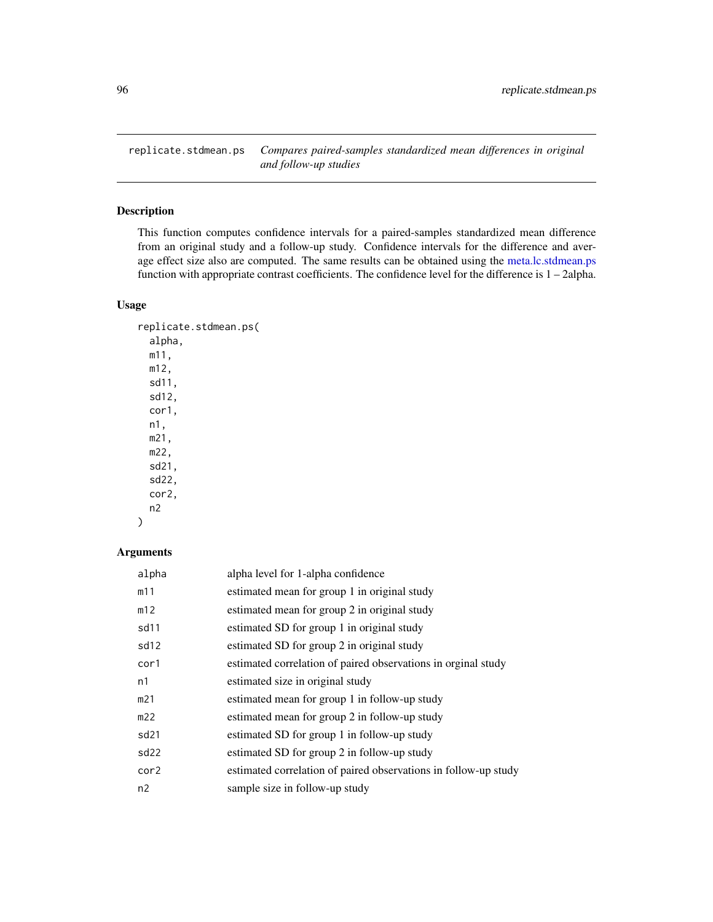replicate.stdmean.ps *Compares paired-samples standardized mean differences in original and follow-up studies*

# Description

This function computes confidence intervals for a paired-samples standardized mean difference from an original study and a follow-up study. Confidence intervals for the difference and average effect size also are computed. The same results can be obtained using the [meta.lc.stdmean.ps](#page-48-0) function with appropriate contrast coefficients. The confidence level for the difference is 1 – 2alpha.

# Usage

```
replicate.stdmean.ps(
  alpha,
 m11,
 m12,
  sd11,
  sd12,
 cor1,
 n1,
 m21,
 m22,
  sd21,
  sd22,
 cor2,
 n2
```
#### )

| alpha            | alpha level for 1-alpha confidence                              |
|------------------|-----------------------------------------------------------------|
| m11              | estimated mean for group 1 in original study                    |
| m12              | estimated mean for group 2 in original study                    |
| sd <sub>11</sub> | estimated SD for group 1 in original study                      |
| sd12             | estimated SD for group 2 in original study                      |
| cor1             | estimated correlation of paired observations in orginal study   |
| n1               | estimated size in original study                                |
| m21              | estimated mean for group 1 in follow-up study                   |
| m22              | estimated mean for group 2 in follow-up study                   |
| sd <sub>21</sub> | estimated SD for group 1 in follow-up study                     |
| sd22             | estimated SD for group 2 in follow-up study                     |
| cor2             | estimated correlation of paired observations in follow-up study |
| n2               | sample size in follow-up study                                  |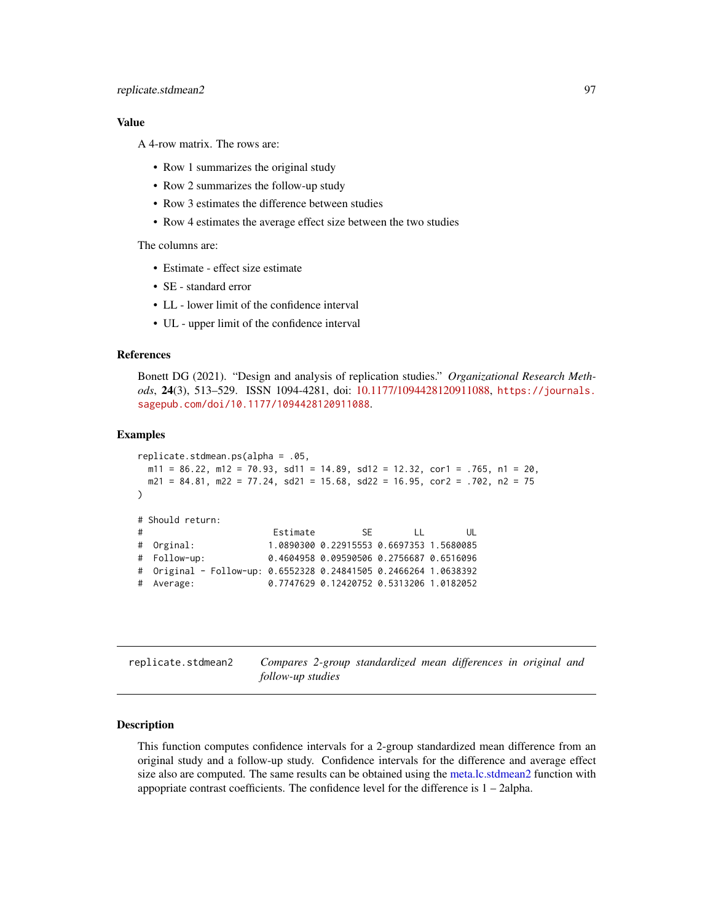## Value

A 4-row matrix. The rows are:

- Row 1 summarizes the original study
- Row 2 summarizes the follow-up study
- Row 3 estimates the difference between studies
- Row 4 estimates the average effect size between the two studies

The columns are:

- Estimate effect size estimate
- SE standard error
- LL lower limit of the confidence interval
- UL upper limit of the confidence interval

# References

Bonett DG (2021). "Design and analysis of replication studies." *Organizational Research Methods*, 24(3), 513–529. ISSN 1094-4281, doi: [10.1177/1094428120911088,](https://doi.org/10.1177/1094428120911088) [https://journals.](https://journals.sagepub.com/doi/10.1177/1094428120911088) [sagepub.com/doi/10.1177/1094428120911088](https://journals.sagepub.com/doi/10.1177/1094428120911088).

#### Examples

```
replicate.stdmean.ps(alpha = .05,
 m11 = 86.22, m12 = 70.93, sd11 = 14.89, sd12 = 12.32, cor1 = .765, n1 = 20,
 m21 = 84.81, m22 = 77.24, sd21 = 15.68, sd22 = 16.95, cor2 = .702, n2 = 75)
# Should return:
# Estimate SE LL UL
# Orginal: 1.0890300 0.22915553 0.6697353 1.5680085
# Follow-up: 0.4604958 0.09590506 0.2756687 0.6516096
# Original - Follow-up: 0.6552328 0.24841505 0.2466264 1.0638392
# Average: 0.7747629 0.12420752 0.5313206 1.0182052
```
replicate.stdmean2 *Compares 2-group standardized mean differences in original and follow-up studies*

#### Description

This function computes confidence intervals for a 2-group standardized mean difference from an original study and a follow-up study. Confidence intervals for the difference and average effect size also are computed. The same results can be obtained using the [meta.lc.stdmean2](#page-50-0) function with appopriate contrast coefficients. The confidence level for the difference is 1 – 2alpha.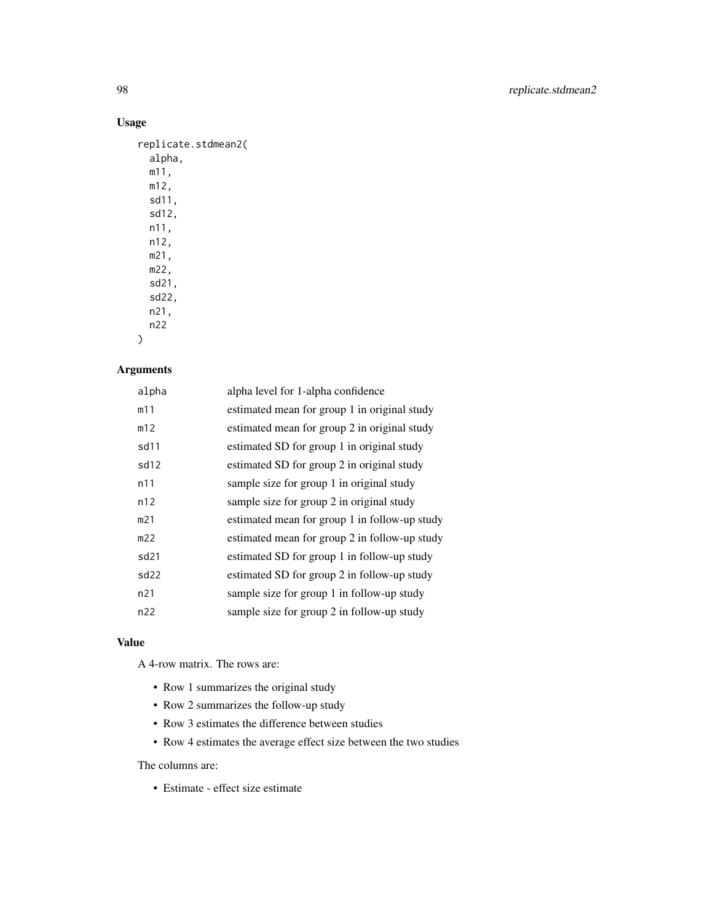# Usage

| replicate.stdmean2( |
|---------------------|
| alpha.              |
| m11.                |
| m12,                |
| sd11,               |
| sd12,               |
| n11,                |
| n12.                |
| m21.                |
| m22.                |
| sd21,               |
| sd22,               |
| n21.                |
| n22                 |
|                     |

# )

# Arguments

| alpha            | alpha level for 1-alpha confidence            |
|------------------|-----------------------------------------------|
| m11              | estimated mean for group 1 in original study  |
| m12              | estimated mean for group 2 in original study  |
| sd11             | estimated SD for group 1 in original study    |
| sd12             | estimated SD for group 2 in original study    |
| n11              | sample size for group 1 in original study     |
| n12              | sample size for group 2 in original study     |
| m21              | estimated mean for group 1 in follow-up study |
| m22              | estimated mean for group 2 in follow-up study |
| sd <sub>21</sub> | estimated SD for group 1 in follow-up study   |
| sd <sub>22</sub> | estimated SD for group 2 in follow-up study   |
| n21              | sample size for group 1 in follow-up study    |
| n22              | sample size for group 2 in follow-up study    |
|                  |                                               |

# Value

A 4-row matrix. The rows are:

- Row 1 summarizes the original study
- Row 2 summarizes the follow-up study
- Row 3 estimates the difference between studies
- Row 4 estimates the average effect size between the two studies

The columns are:

• Estimate - effect size estimate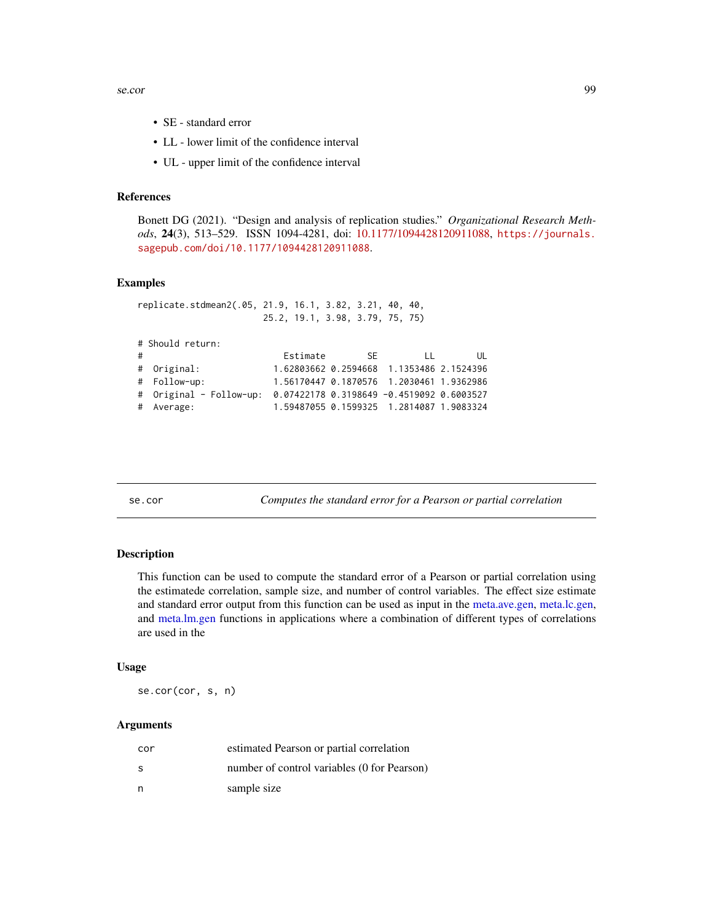se.cor 99

- SE standard error
- LL lower limit of the confidence interval
- UL upper limit of the confidence interval

#### References

Bonett DG (2021). "Design and analysis of replication studies." *Organizational Research Methods*, 24(3), 513–529. ISSN 1094-4281, doi: [10.1177/1094428120911088,](https://doi.org/10.1177/1094428120911088) [https://journals.](https://journals.sagepub.com/doi/10.1177/1094428120911088) [sagepub.com/doi/10.1177/1094428120911088](https://journals.sagepub.com/doi/10.1177/1094428120911088).

# Examples

|   | replicate.stdmean2(.05, 21.9, 16.1, 3.82, 3.21, 40, 40,           |                                 |     |        |                                          |
|---|-------------------------------------------------------------------|---------------------------------|-----|--------|------------------------------------------|
|   |                                                                   | 25.2, 19.1, 3.98, 3.79, 75, 75) |     |        |                                          |
|   |                                                                   |                                 |     |        |                                          |
|   | # Should return:                                                  |                                 |     |        |                                          |
| # |                                                                   | Estimate                        | -SE | $\Box$ | UL                                       |
|   | # Original:                                                       |                                 |     |        | 1.62803662 0.2594668 1.1353486 2.1524396 |
|   | # Follow-up:                                                      |                                 |     |        | 1.56170447 0.1870576 1.2030461 1.9362986 |
|   | # Original - Follow-up: 0.07422178 0.3198649 -0.4519092 0.6003527 |                                 |     |        |                                          |
|   | # Average:                                                        |                                 |     |        | 1.59487055 0.1599325 1.2814087 1.9083324 |

se.cor *Computes the standard error for a Pearson or partial correlation*

# Description

This function can be used to compute the standard error of a Pearson or partial correlation using the estimatede correlation, sample size, and number of control variables. The effect size estimate and standard error output from this function can be used as input in the [meta.ave.gen,](#page-7-0) [meta.lc.gen,](#page-35-0) and [meta.lm.gen](#page-56-0) functions in applications where a combination of different types of correlations are used in the

## Usage

se.cor(cor, s, n)

| cor | estimated Pearson or partial correlation    |
|-----|---------------------------------------------|
| S   | number of control variables (0 for Pearson) |
| n   | sample size                                 |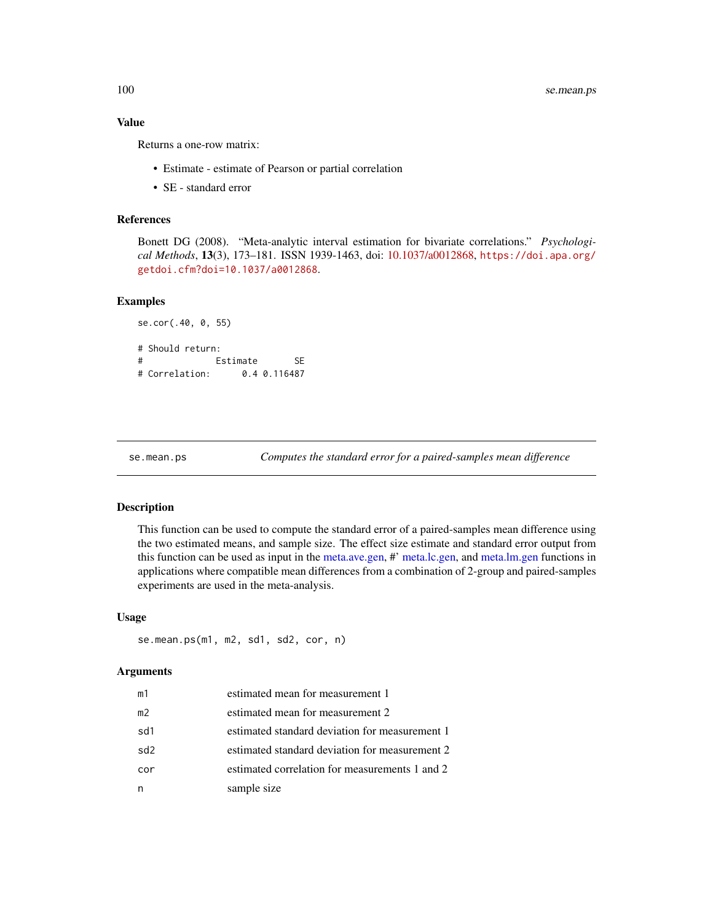100 se.mean.ps

## Value

Returns a one-row matrix:

- Estimate estimate of Pearson or partial correlation
- SE standard error

## References

Bonett DG (2008). "Meta-analytic interval estimation for bivariate correlations." *Psychological Methods*, 13(3), 173–181. ISSN 1939-1463, doi: [10.1037/a0012868,](https://doi.org/10.1037/a0012868) [https://doi.apa.org/](https://doi.apa.org/getdoi.cfm?doi=10.1037/a0012868) [getdoi.cfm?doi=10.1037/a0012868](https://doi.apa.org/getdoi.cfm?doi=10.1037/a0012868).

## Examples

```
se.cor(.40, 0, 55)
# Should return:
# Estimate SE
# Correlation: 0.4 0.116487
```
se.mean.ps *Computes the standard error for a paired-samples mean difference*

#### Description

This function can be used to compute the standard error of a paired-samples mean difference using the two estimated means, and sample size. The effect size estimate and standard error output from this function can be used as input in the [meta.ave.gen,](#page-7-0) #' [meta.lc.gen,](#page-35-0) and [meta.lm.gen](#page-56-0) functions in applications where compatible mean differences from a combination of 2-group and paired-samples experiments are used in the meta-analysis.

#### Usage

```
se.mean.ps(m1, m2, sd1, sd2, cor, n)
```

| m1  | estimated mean for measurement 1               |
|-----|------------------------------------------------|
| m2  | estimated mean for measurement 2               |
| sd1 | estimated standard deviation for measurement 1 |
| sd2 | estimated standard deviation for measurement 2 |
| cor | estimated correlation for measurements 1 and 2 |
| n   | sample size                                    |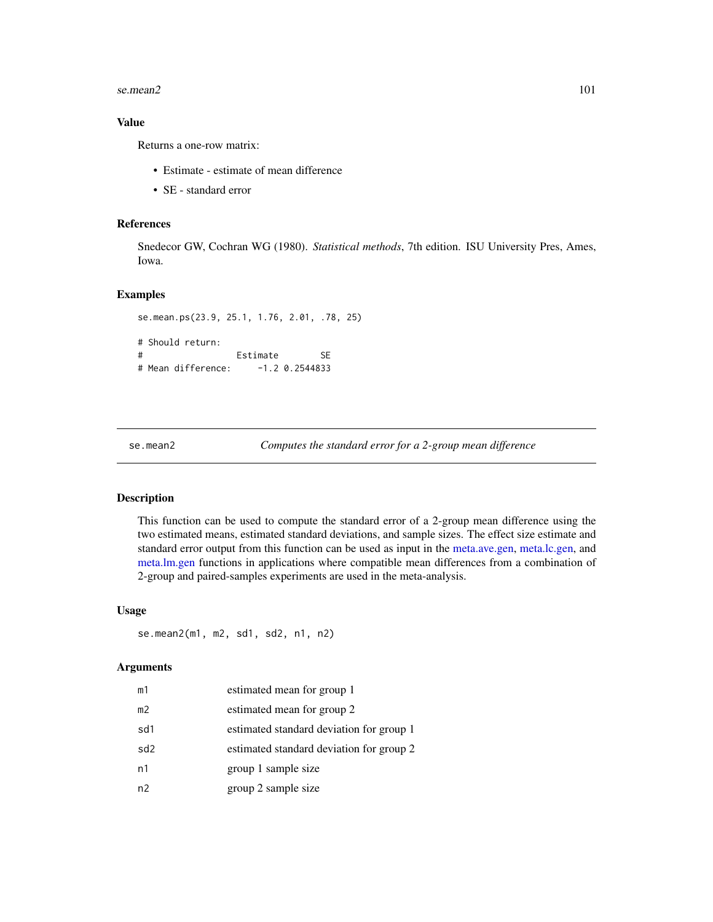#### se.mean2  $101$

## Value

Returns a one-row matrix:

- Estimate estimate of mean difference
- SE standard error

## References

Snedecor GW, Cochran WG (1980). *Statistical methods*, 7th edition. ISU University Pres, Ames, Iowa.

#### Examples

```
se.mean.ps(23.9, 25.1, 1.76, 2.01, .78, 25)
# Should return:
# Estimate SE
# Mean difference: -1.2 0.2544833
```
se.mean2 *Computes the standard error for a 2-group mean difference*

# Description

This function can be used to compute the standard error of a 2-group mean difference using the two estimated means, estimated standard deviations, and sample sizes. The effect size estimate and standard error output from this function can be used as input in the [meta.ave.gen,](#page-7-0) [meta.lc.gen,](#page-35-0) and [meta.lm.gen](#page-56-0) functions in applications where compatible mean differences from a combination of 2-group and paired-samples experiments are used in the meta-analysis.

#### Usage

se.mean2(m1, m2, sd1, sd2, n1, n2)

| m1  | estimated mean for group 1               |
|-----|------------------------------------------|
| m2  | estimated mean for group 2               |
| sd1 | estimated standard deviation for group 1 |
| sd2 | estimated standard deviation for group 2 |
| n1  | group 1 sample size                      |
| n2  | group 2 sample size                      |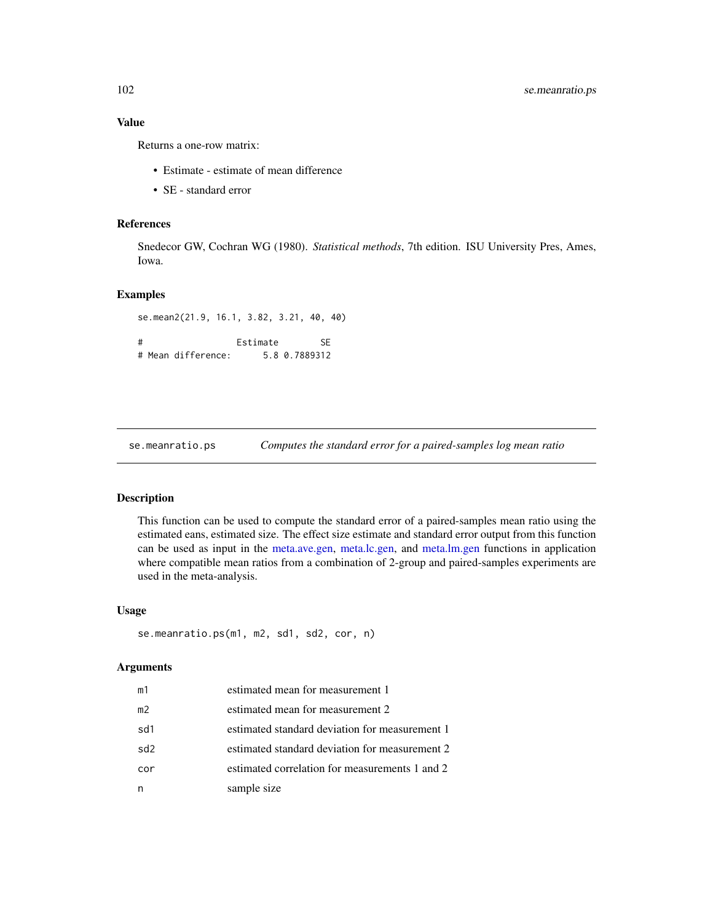## Value

Returns a one-row matrix:

- Estimate estimate of mean difference
- SE standard error

# References

Snedecor GW, Cochran WG (1980). *Statistical methods*, 7th edition. ISU University Pres, Ames, Iowa.

# Examples

se.mean2(21.9, 16.1, 3.82, 3.21, 40, 40) # Estimate SE # Mean difference: 5.8 0.7889312

se.meanratio.ps *Computes the standard error for a paired-samples log mean ratio*

# Description

This function can be used to compute the standard error of a paired-samples mean ratio using the estimated eans, estimated size. The effect size estimate and standard error output from this function can be used as input in the [meta.ave.gen,](#page-7-0) [meta.lc.gen,](#page-35-0) and [meta.lm.gen](#page-56-0) functions in application where compatible mean ratios from a combination of 2-group and paired-samples experiments are used in the meta-analysis.

#### Usage

```
se.meanratio.ps(m1, m2, sd1, sd2, cor, n)
```

| m1  | estimated mean for measurement 1               |
|-----|------------------------------------------------|
| m2  | estimated mean for measurement 2               |
| sd1 | estimated standard deviation for measurement 1 |
| sd2 | estimated standard deviation for measurement 2 |
| cor | estimated correlation for measurements 1 and 2 |
| n   | sample size                                    |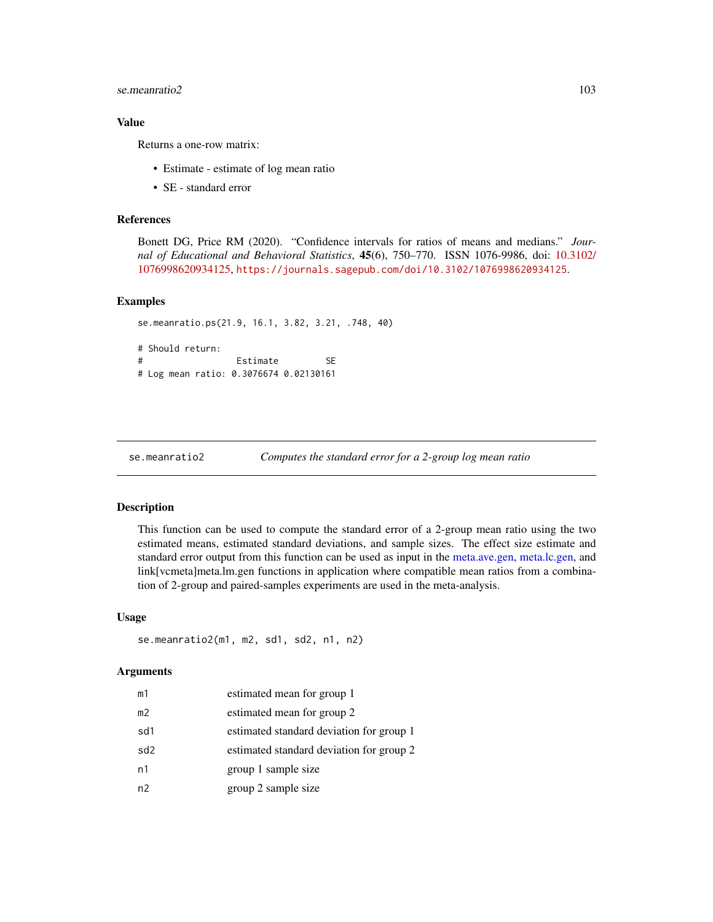## se.meanratio2 103

## Value

Returns a one-row matrix:

- Estimate estimate of log mean ratio
- SE standard error

## References

Bonett DG, Price RM (2020). "Confidence intervals for ratios of means and medians." *Journal of Educational and Behavioral Statistics*, 45(6), 750–770. ISSN 1076-9986, doi: [10.3102/](https://doi.org/10.3102/1076998620934125) [1076998620934125,](https://doi.org/10.3102/1076998620934125) <https://journals.sagepub.com/doi/10.3102/1076998620934125>.

#### Examples

```
se.meanratio.ps(21.9, 16.1, 3.82, 3.21, .748, 40)
# Should return:
# Estimate SE
# Log mean ratio: 0.3076674 0.02130161
```

```
se.meanratio2 Computes the standard error for a 2-group log mean ratio
```
#### Description

This function can be used to compute the standard error of a 2-group mean ratio using the two estimated means, estimated standard deviations, and sample sizes. The effect size estimate and standard error output from this function can be used as input in the [meta.ave.gen,](#page-7-0) [meta.lc.gen,](#page-35-0) and link[vcmeta]meta.lm.gen functions in application where compatible mean ratios from a combination of 2-group and paired-samples experiments are used in the meta-analysis.

#### Usage

```
se.meanratio2(m1, m2, sd1, sd2, n1, n2)
```

| m1  | estimated mean for group 1               |
|-----|------------------------------------------|
| m2  | estimated mean for group 2               |
| sd1 | estimated standard deviation for group 1 |
| sd2 | estimated standard deviation for group 2 |
| n1  | group 1 sample size                      |
| n2  | group 2 sample size                      |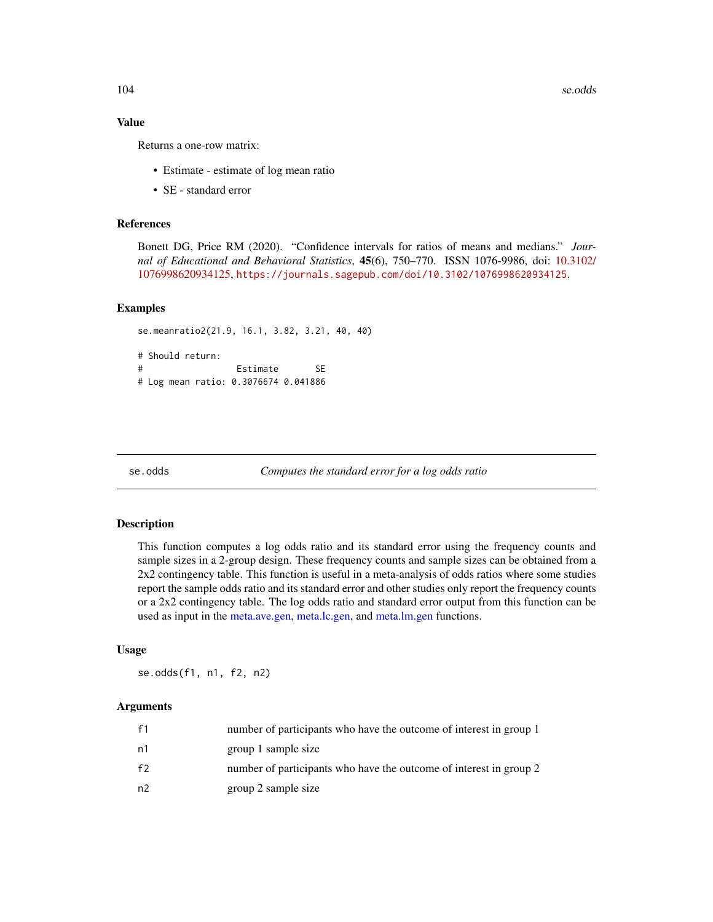104 se.odds

## Value

Returns a one-row matrix:

- Estimate estimate of log mean ratio
- SE standard error

## References

Bonett DG, Price RM (2020). "Confidence intervals for ratios of means and medians." *Journal of Educational and Behavioral Statistics*, 45(6), 750–770. ISSN 1076-9986, doi: [10.3102/](https://doi.org/10.3102/1076998620934125) [1076998620934125,](https://doi.org/10.3102/1076998620934125) <https://journals.sagepub.com/doi/10.3102/1076998620934125>.

## Examples

```
se.meanratio2(21.9, 16.1, 3.82, 3.21, 40, 40)
# Should return:
# Estimate SE
# Log mean ratio: 0.3076674 0.041886
```
se.odds *Computes the standard error for a log odds ratio*

#### Description

This function computes a log odds ratio and its standard error using the frequency counts and sample sizes in a 2-group design. These frequency counts and sample sizes can be obtained from a 2x2 contingency table. This function is useful in a meta-analysis of odds ratios where some studies report the sample odds ratio and its standard error and other studies only report the frequency counts or a 2x2 contingency table. The log odds ratio and standard error output from this function can be used as input in the [meta.ave.gen,](#page-7-0) [meta.lc.gen,](#page-35-0) and [meta.lm.gen](#page-56-0) functions.

#### Usage

se.odds(f1, n1, f2, n2)

| f1 | number of participants who have the outcome of interest in group 1 |
|----|--------------------------------------------------------------------|
| n1 | group 1 sample size                                                |
| f2 | number of participants who have the outcome of interest in group 2 |
| n2 | group 2 sample size                                                |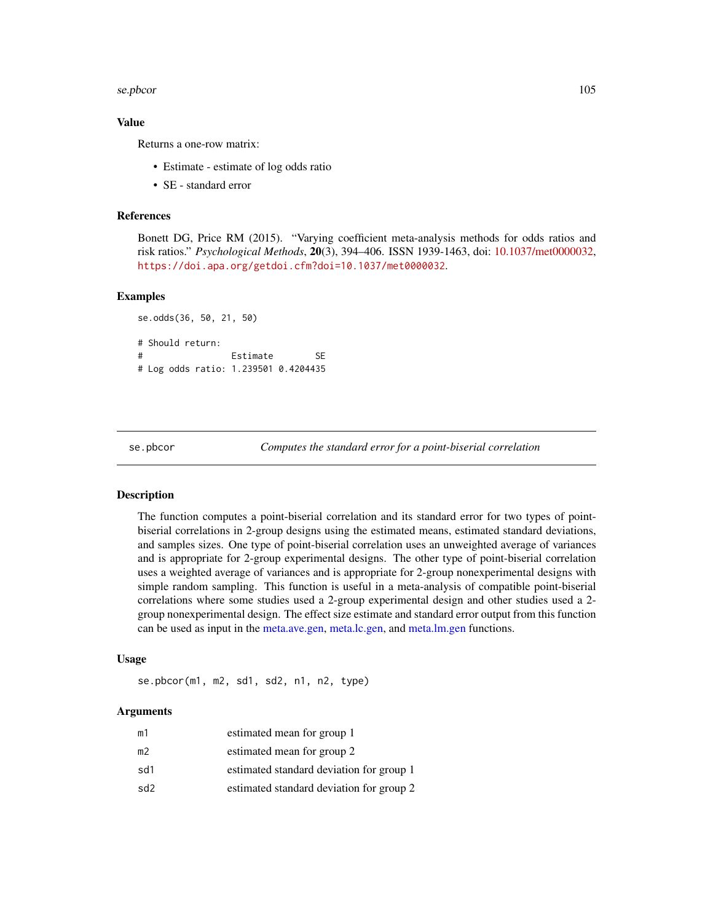#### se.pbcor 105

## Value

Returns a one-row matrix:

- Estimate estimate of log odds ratio
- SE standard error

#### References

Bonett DG, Price RM (2015). "Varying coefficient meta-analysis methods for odds ratios and risk ratios." *Psychological Methods*, 20(3), 394–406. ISSN 1939-1463, doi: [10.1037/met0000032,](https://doi.org/10.1037/met0000032) <https://doi.apa.org/getdoi.cfm?doi=10.1037/met0000032>.

#### Examples

```
se.odds(36, 50, 21, 50)
# Should return:
# Estimate SE
# Log odds ratio: 1.239501 0.4204435
```
se.pbcor *Computes the standard error for a point-biserial correlation*

#### Description

The function computes a point-biserial correlation and its standard error for two types of pointbiserial correlations in 2-group designs using the estimated means, estimated standard deviations, and samples sizes. One type of point-biserial correlation uses an unweighted average of variances and is appropriate for 2-group experimental designs. The other type of point-biserial correlation uses a weighted average of variances and is appropriate for 2-group nonexperimental designs with simple random sampling. This function is useful in a meta-analysis of compatible point-biserial correlations where some studies used a 2-group experimental design and other studies used a 2 group nonexperimental design. The effect size estimate and standard error output from this function can be used as input in the [meta.ave.gen,](#page-7-0) [meta.lc.gen,](#page-35-0) and [meta.lm.gen](#page-56-0) functions.

## Usage

```
se.pbcor(m1, m2, sd1, sd2, n1, n2, type)
```

| m1  | estimated mean for group 1               |
|-----|------------------------------------------|
| m2  | estimated mean for group 2               |
| sd1 | estimated standard deviation for group 1 |
| sd2 | estimated standard deviation for group 2 |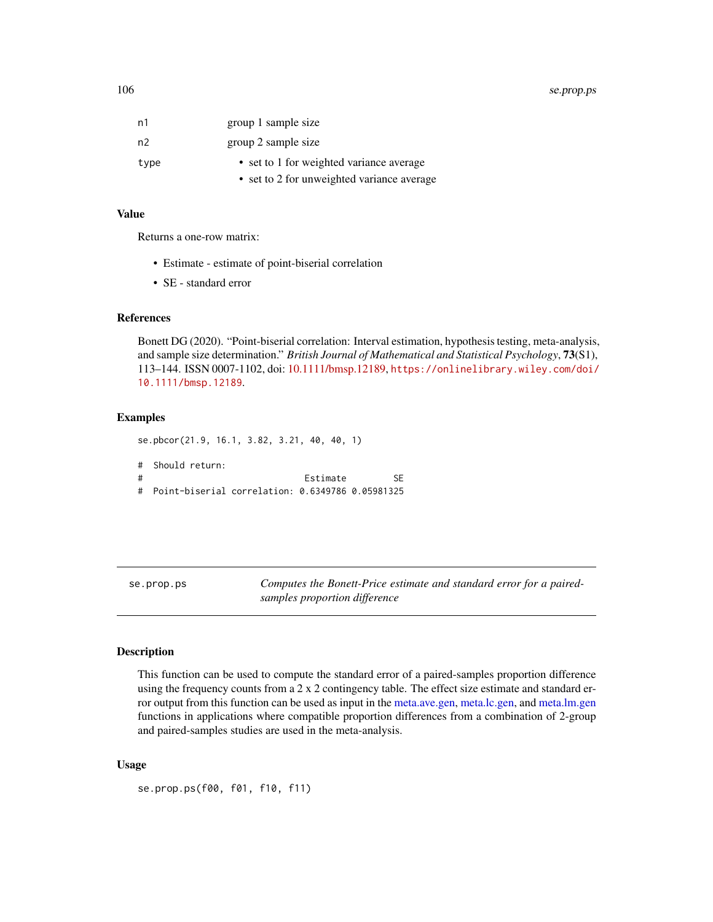#### 106 se.prop.ps

| n1   | group 1 sample size                        |
|------|--------------------------------------------|
| n2   | group 2 sample size                        |
| type | • set to 1 for weighted variance average   |
|      | • set to 2 for unweighted variance average |

# Value

Returns a one-row matrix:

- Estimate estimate of point-biserial correlation
- SE standard error

## References

Bonett DG (2020). "Point-biserial correlation: Interval estimation, hypothesis testing, meta-analysis, and sample size determination." *British Journal of Mathematical and Statistical Psychology*, 73(S1), 113–144. ISSN 0007-1102, doi: [10.1111/bmsp.12189,](https://doi.org/10.1111/bmsp.12189) [https://onlinelibrary.wiley.com/doi/](https://onlinelibrary.wiley.com/doi/10.1111/bmsp.12189) [10.1111/bmsp.12189](https://onlinelibrary.wiley.com/doi/10.1111/bmsp.12189).

#### Examples

se.pbcor(21.9, 16.1, 3.82, 3.21, 40, 40, 1) # Should return: # Estimate SE # Point-biserial correlation: 0.6349786 0.05981325

se.prop.ps *Computes the Bonett-Price estimate and standard error for a pairedsamples proportion difference*

## Description

This function can be used to compute the standard error of a paired-samples proportion difference using the frequency counts from a 2 x 2 contingency table. The effect size estimate and standard error output from this function can be used as input in the [meta.ave.gen,](#page-7-0) [meta.lc.gen,](#page-35-0) and [meta.lm.gen](#page-56-0) functions in applications where compatible proportion differences from a combination of 2-group and paired-samples studies are used in the meta-analysis.

#### Usage

se.prop.ps(f00, f01, f10, f11)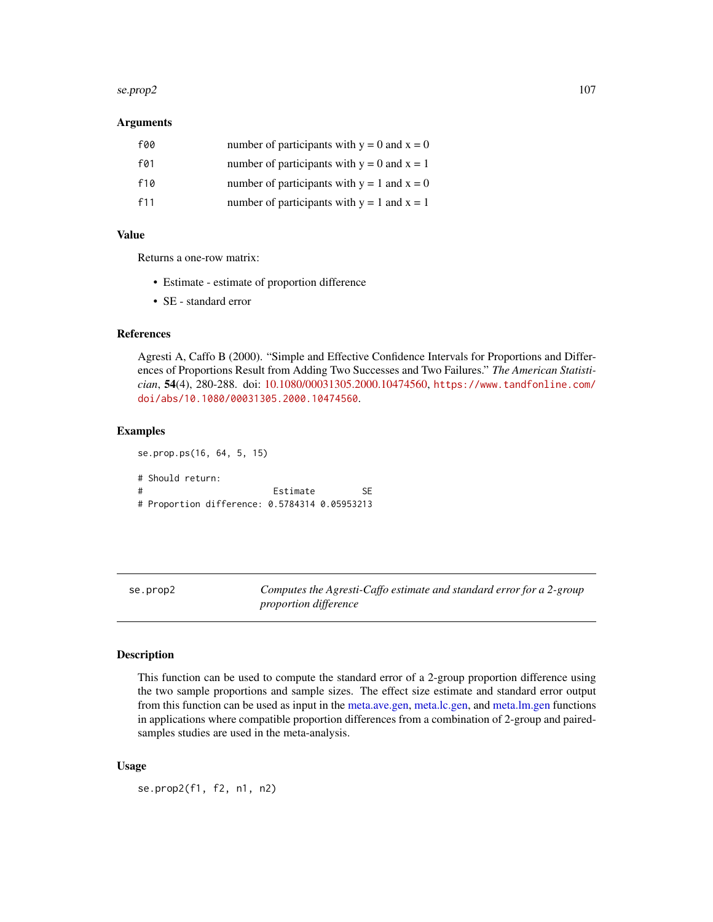#### se.prop2  $107$

# Arguments

| f00 | number of participants with $y = 0$ and $x = 0$ |
|-----|-------------------------------------------------|
| f01 | number of participants with $y = 0$ and $x = 1$ |
| f10 | number of participants with $y = 1$ and $x = 0$ |
| f11 | number of participants with $y = 1$ and $x = 1$ |

## Value

Returns a one-row matrix:

- Estimate estimate of proportion difference
- SE standard error

se.prop.ps(16, 64, 5, 15)

# References

Agresti A, Caffo B (2000). "Simple and Effective Confidence Intervals for Proportions and Differences of Proportions Result from Adding Two Successes and Two Failures." *The American Statistician*, 54(4), 280-288. doi: [10.1080/00031305.2000.10474560,](https://doi.org/10.1080/00031305.2000.10474560) [https://www.tandfonline.com/](https://www.tandfonline.com/doi/abs/10.1080/00031305.2000.10474560) [doi/abs/10.1080/00031305.2000.10474560](https://www.tandfonline.com/doi/abs/10.1080/00031305.2000.10474560).

# Examples

# Should return: # Estimate SE # Proportion difference: 0.5784314 0.05953213

se.prop2 *Computes the Agresti-Caffo estimate and standard error for a 2-group proportion difference*

#### **Description**

This function can be used to compute the standard error of a 2-group proportion difference using the two sample proportions and sample sizes. The effect size estimate and standard error output from this function can be used as input in the [meta.ave.gen,](#page-7-0) [meta.lc.gen,](#page-35-0) and [meta.lm.gen](#page-56-0) functions in applications where compatible proportion differences from a combination of 2-group and pairedsamples studies are used in the meta-analysis.

#### Usage

se.prop2(f1, f2, n1, n2)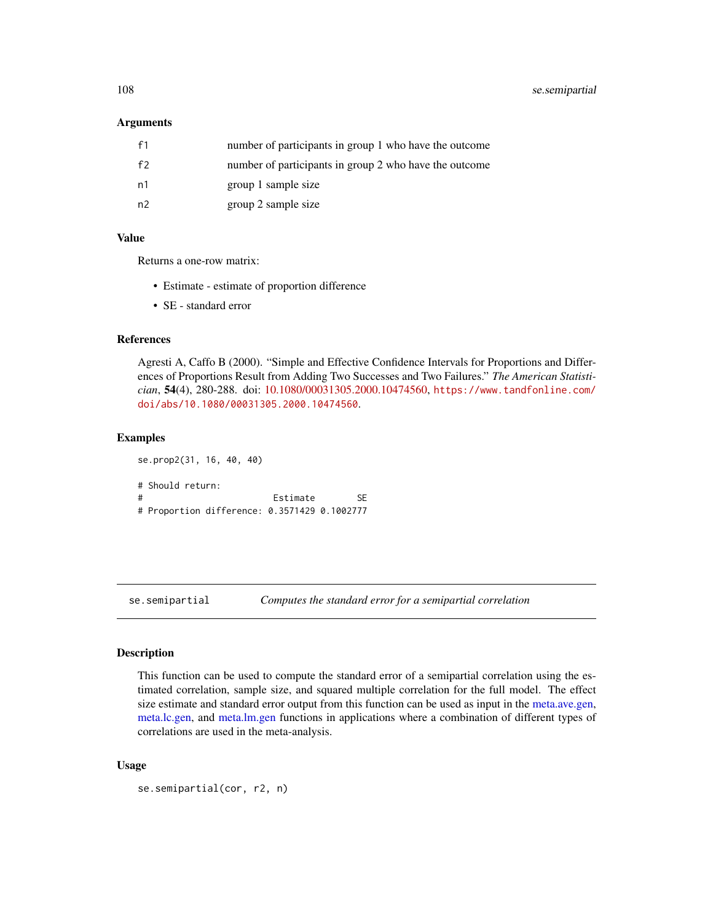108 se.semipartial

#### **Arguments**

| f1 | number of participants in group 1 who have the outcome |
|----|--------------------------------------------------------|
| f2 | number of participants in group 2 who have the outcome |
| n1 | group 1 sample size                                    |
| n2 | group 2 sample size                                    |

## Value

Returns a one-row matrix:

- Estimate estimate of proportion difference
- SE standard error

# References

Agresti A, Caffo B (2000). "Simple and Effective Confidence Intervals for Proportions and Differences of Proportions Result from Adding Two Successes and Two Failures." *The American Statistician*, 54(4), 280-288. doi: [10.1080/00031305.2000.10474560,](https://doi.org/10.1080/00031305.2000.10474560) [https://www.tandfonline.com/](https://www.tandfonline.com/doi/abs/10.1080/00031305.2000.10474560) [doi/abs/10.1080/00031305.2000.10474560](https://www.tandfonline.com/doi/abs/10.1080/00031305.2000.10474560).

#### Examples

```
se.prop2(31, 16, 40, 40)
# Should return:
# Estimate SE
# Proportion difference: 0.3571429 0.1002777
```
se.semipartial *Computes the standard error for a semipartial correlation*

## Description

This function can be used to compute the standard error of a semipartial correlation using the estimated correlation, sample size, and squared multiple correlation for the full model. The effect size estimate and standard error output from this function can be used as input in the [meta.ave.gen,](#page-7-0) [meta.lc.gen,](#page-35-0) and [meta.lm.gen](#page-56-0) functions in applications where a combination of different types of correlations are used in the meta-analysis.

#### Usage

```
se.semipartial(cor, r2, n)
```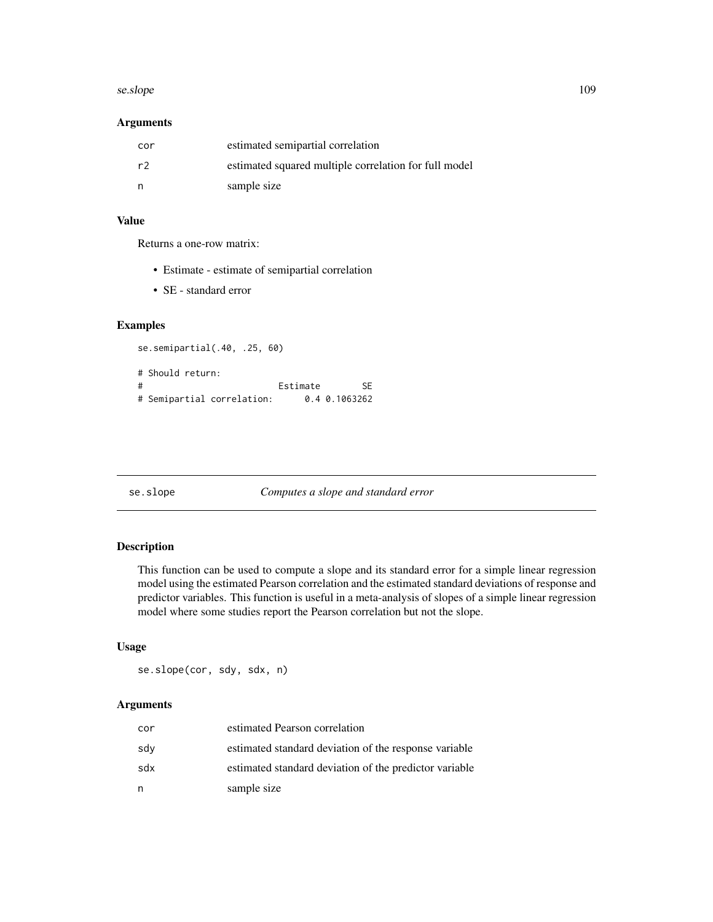#### <span id="page-108-0"></span>se.slope 109

# Arguments

| cor | estimated semipartial correlation                     |
|-----|-------------------------------------------------------|
| r2  | estimated squared multiple correlation for full model |
|     | sample size                                           |

## Value

Returns a one-row matrix:

- Estimate estimate of semipartial correlation
- SE standard error

## Examples

```
se.semipartial(.40, .25, 60)
# Should return:
# Estimate SE
# Semipartial correlation: 0.4 0.1063262
```
## se.slope *Computes a slope and standard error*

## Description

This function can be used to compute a slope and its standard error for a simple linear regression model using the estimated Pearson correlation and the estimated standard deviations of response and predictor variables. This function is useful in a meta-analysis of slopes of a simple linear regression model where some studies report the Pearson correlation but not the slope.

# Usage

se.slope(cor, sdy, sdx, n)

## Arguments

| cor | estimated Pearson correlation                          |
|-----|--------------------------------------------------------|
| sdv | estimated standard deviation of the response variable  |
| sdx | estimated standard deviation of the predictor variable |
| n   | sample size                                            |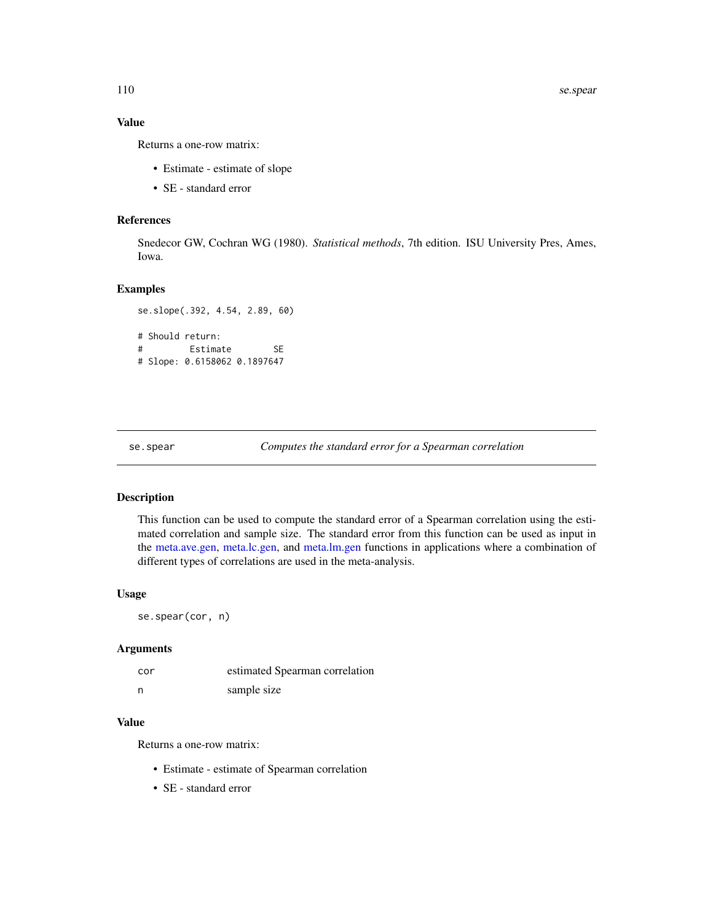# <span id="page-109-0"></span>Value

Returns a one-row matrix:

- Estimate estimate of slope
- SE standard error

#### References

Snedecor GW, Cochran WG (1980). *Statistical methods*, 7th edition. ISU University Pres, Ames, Iowa.

#### Examples

```
se.slope(.392, 4.54, 2.89, 60)
# Should return:
# Estimate SE
# Slope: 0.6158062 0.1897647
```
se.spear *Computes the standard error for a Spearman correlation*

#### Description

This function can be used to compute the standard error of a Spearman correlation using the estimated correlation and sample size. The standard error from this function can be used as input in the [meta.ave.gen,](#page-7-0) [meta.lc.gen,](#page-35-0) and [meta.lm.gen](#page-56-0) functions in applications where a combination of different types of correlations are used in the meta-analysis.

## Usage

se.spear(cor, n)

## Arguments

| cor | estimated Spearman correlation |
|-----|--------------------------------|
| n   | sample size                    |

#### Value

Returns a one-row matrix:

- Estimate estimate of Spearman correlation
- SE standard error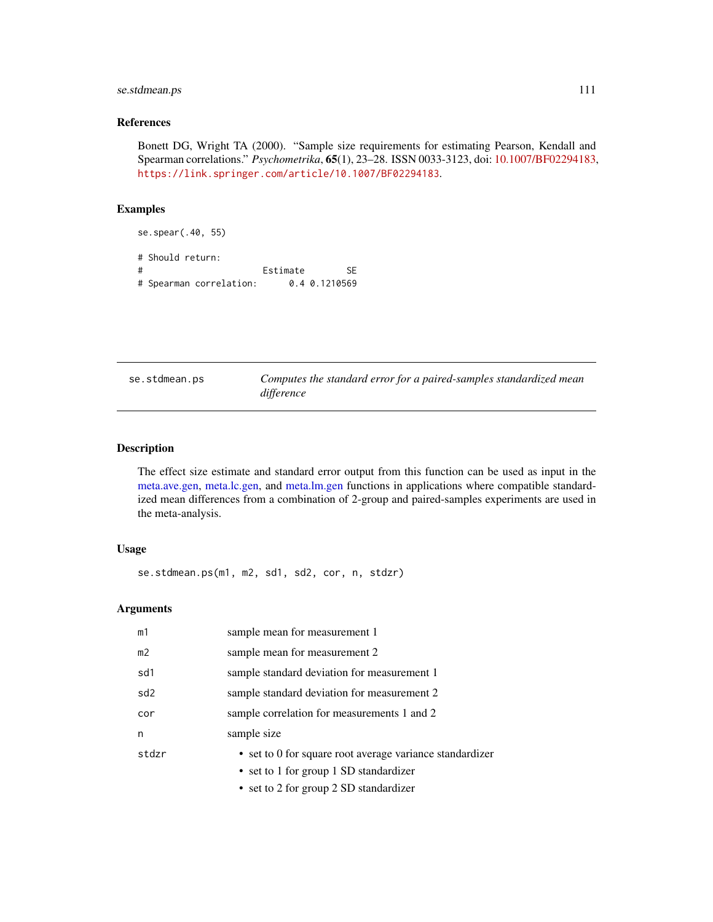## <span id="page-110-0"></span>se.stdmean.ps 111

## References

Bonett DG, Wright TA (2000). "Sample size requirements for estimating Pearson, Kendall and Spearman correlations." *Psychometrika*, 65(1), 23–28. ISSN 0033-3123, doi: [10.1007/BF02294183,](https://doi.org/10.1007/BF02294183) <https://link.springer.com/article/10.1007/BF02294183>.

#### Examples

se.spear(.40, 55) # Should return: # Estimate SE # Spearman correlation: 0.4 0.1210569

| se.stdmean.ps | Computes the standard error for a paired-samples standardized mean |
|---------------|--------------------------------------------------------------------|
|               | difference                                                         |

## Description

The effect size estimate and standard error output from this function can be used as input in the [meta.ave.gen,](#page-7-0) [meta.lc.gen,](#page-35-0) and [meta.lm.gen](#page-56-0) functions in applications where compatible standardized mean differences from a combination of 2-group and paired-samples experiments are used in the meta-analysis.

## Usage

se.stdmean.ps(m1, m2, sd1, sd2, cor, n, stdzr)

## Arguments

| m1              | sample mean for measurement 1                            |
|-----------------|----------------------------------------------------------|
| m <sub>2</sub>  | sample mean for measurement 2                            |
| sd1             | sample standard deviation for measurement 1              |
| sd <sub>2</sub> | sample standard deviation for measurement 2              |
| cor             | sample correlation for measurements 1 and 2              |
| n               | sample size                                              |
| stdzr           | • set to 0 for square root average variance standardizer |
|                 | • set to 1 for group 1 SD standardizer                   |
|                 | • set to 2 for group 2 SD standardizer                   |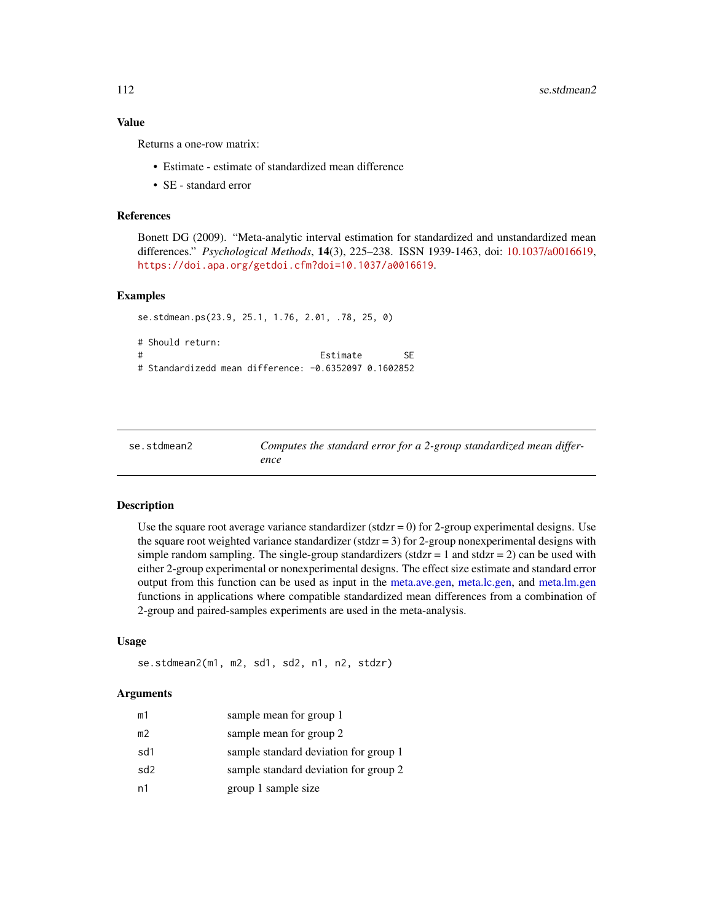## <span id="page-111-0"></span>Value

Returns a one-row matrix:

- Estimate estimate of standardized mean difference
- SE standard error

### References

Bonett DG (2009). "Meta-analytic interval estimation for standardized and unstandardized mean differences." *Psychological Methods*, 14(3), 225–238. ISSN 1939-1463, doi: [10.1037/a0016619,](https://doi.org/10.1037/a0016619) <https://doi.apa.org/getdoi.cfm?doi=10.1037/a0016619>.

#### Examples

```
se.stdmean.ps(23.9, 25.1, 1.76, 2.01, .78, 25, 0)
# Should return:
# Estimate SE
# Standardizedd mean difference: -0.6352097 0.1602852
```

| se.stdmean2 | Computes the standard error for a 2-group standardized mean differ- |
|-------------|---------------------------------------------------------------------|
|             | ence                                                                |

## Description

Use the square root average variance standardizer ( $stdz = 0$ ) for 2-group experimental designs. Use the square root weighted variance standardizer (stdzr  $= 3$ ) for 2-group nonexperimental designs with simple random sampling. The single-group standardizers (stdzr  $= 1$  and stdzr  $= 2$ ) can be used with either 2-group experimental or nonexperimental designs. The effect size estimate and standard error output from this function can be used as input in the [meta.ave.gen,](#page-7-0) [meta.lc.gen,](#page-35-0) and [meta.lm.gen](#page-56-0) functions in applications where compatible standardized mean differences from a combination of 2-group and paired-samples experiments are used in the meta-analysis.

#### Usage

se.stdmean2(m1, m2, sd1, sd2, n1, n2, stdzr)

#### Arguments

| m1  | sample mean for group 1               |
|-----|---------------------------------------|
| m2  | sample mean for group 2               |
| sd1 | sample standard deviation for group 1 |
| sd2 | sample standard deviation for group 2 |
| n1  | group 1 sample size                   |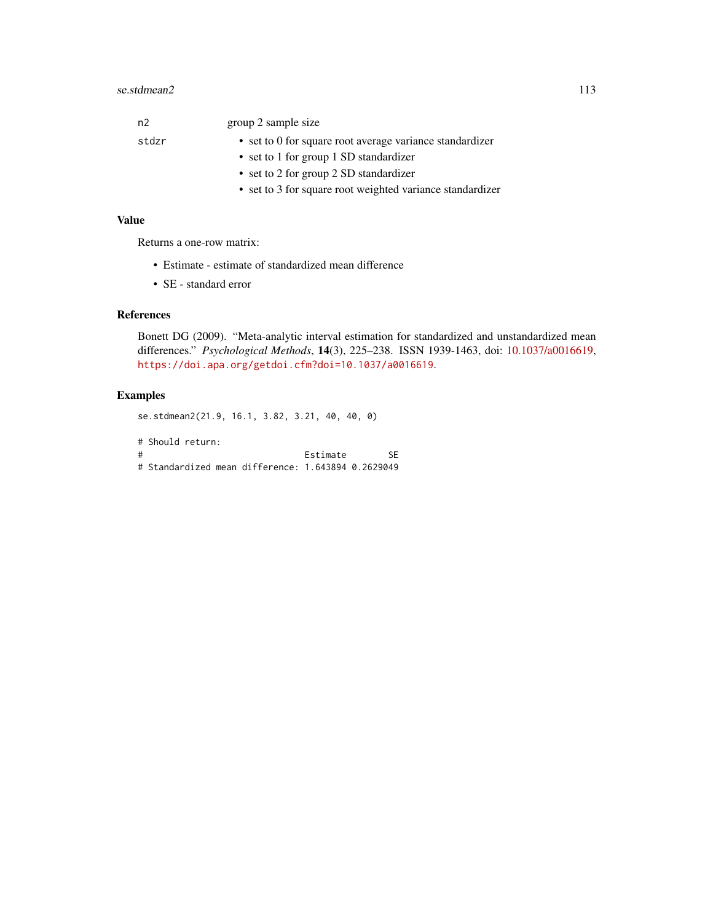| n <sub>2</sub> | group 2 sample size                                       |
|----------------|-----------------------------------------------------------|
| stdzr          | • set to 0 for square root average variance standardizer  |
|                | • set to 1 for group 1 SD standardizer                    |
|                | • set to 2 for group 2 SD standardizer                    |
|                | • set to 3 for square root weighted variance standardizer |

# Value

Returns a one-row matrix:

- Estimate estimate of standardized mean difference
- SE standard error

# References

Bonett DG (2009). "Meta-analytic interval estimation for standardized and unstandardized mean differences." *Psychological Methods*, 14(3), 225–238. ISSN 1939-1463, doi: [10.1037/a0016619,](https://doi.org/10.1037/a0016619) <https://doi.apa.org/getdoi.cfm?doi=10.1037/a0016619>.

## Examples

se.stdmean2(21.9, 16.1, 3.82, 3.21, 40, 40, 0)

# Should return: # Estimate SE # Standardized mean difference: 1.643894 0.2629049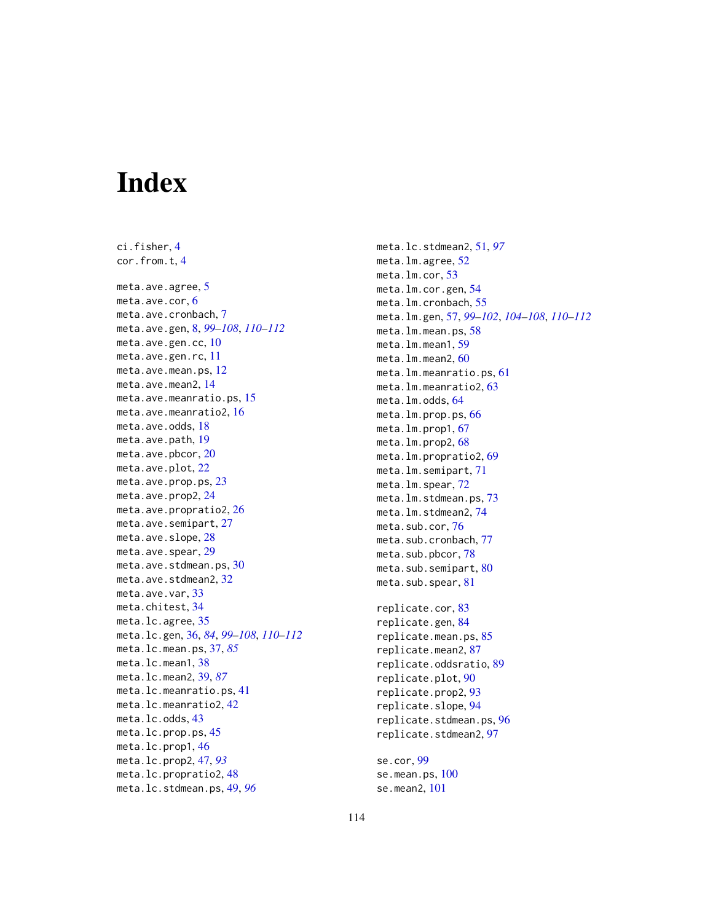# Index

ci.fisher, [4](#page-3-0) cor.from.t, [4](#page-3-0) meta.ave.agree, [5](#page-4-0) meta.ave.cor, [6](#page-5-0) meta.ave.cronbach, [7](#page-6-0) meta.ave.gen, [8,](#page-7-1) *[99](#page-98-0)[–108](#page-107-0)*, *[110–](#page-109-0)[112](#page-111-0)* meta.ave.gen.cc, [10](#page-9-0) meta.ave.gen.rc, [11](#page-10-0) meta.ave.mean.ps, [12](#page-11-0) meta.ave.mean2, [14](#page-13-0) meta.ave.meanratio.ps, [15](#page-14-0) meta.ave.meanratio2, [16](#page-15-0) meta.ave.odds, [18](#page-17-0) meta.ave.path, [19](#page-18-0) meta.ave.pbcor, [20](#page-19-0) meta.ave.plot, [22](#page-21-0) meta.ave.prop.ps, [23](#page-22-0) meta.ave.prop2, [24](#page-23-0) meta.ave.propratio2, [26](#page-25-0) meta.ave.semipart, [27](#page-26-0) meta.ave.slope, [28](#page-27-0) meta.ave.spear, [29](#page-28-0) meta.ave.stdmean.ps, [30](#page-29-0) meta.ave.stdmean2, [32](#page-31-0) meta.ave.var, [33](#page-32-0) meta.chitest, [34](#page-33-0) meta.lc.agree, [35](#page-34-0) meta.lc.gen, [36,](#page-35-1) *[84](#page-83-0)*, *[99–](#page-98-0)[108](#page-107-0)*, *[110–](#page-109-0)[112](#page-111-0)* meta.lc.mean.ps, [37,](#page-36-0) *[85](#page-84-0)* meta.lc.mean1, [38](#page-37-0) meta.lc.mean2, [39,](#page-38-0) *[87](#page-86-0)* meta.lc.meanratio.ps, [41](#page-40-0) meta.lc.meanratio2, [42](#page-41-0) meta.lc.odds, [43](#page-42-0) meta.lc.prop.ps, [45](#page-44-0) meta.lc.prop1, [46](#page-45-0) meta.lc.prop2, [47,](#page-46-0) *[93](#page-92-0)* meta.lc.propratio2, [48](#page-47-0) meta.lc.stdmean.ps, [49,](#page-48-0) *[96](#page-95-0)*

meta.lc.stdmean2, [51,](#page-50-0) *[97](#page-96-0)* meta.lm.agree, [52](#page-51-0) meta.lm.cor, [53](#page-52-0) meta.lm.cor.gen, [54](#page-53-0) meta.lm.cronbach, [55](#page-54-0) meta.lm.gen, [57,](#page-56-1) *[99](#page-98-0)[–102](#page-101-0)*, *[104](#page-103-0)[–108](#page-107-0)*, *[110](#page-109-0)[–112](#page-111-0)* meta.lm.mean.ps, [58](#page-57-0) meta.lm.mean1, [59](#page-58-0) meta.lm.mean2, [60](#page-59-0) meta.lm.meanratio.ps, [61](#page-60-0) meta.lm.meanratio2, [63](#page-62-0) meta.lm.odds, [64](#page-63-0) meta.lm.prop.ps, [66](#page-65-0) meta.lm.prop1, [67](#page-66-0) meta.lm.prop2, [68](#page-67-0) meta.lm.propratio2, [69](#page-68-0) meta.lm.semipart, [71](#page-70-0) meta.lm.spear, [72](#page-71-0) meta.lm.stdmean.ps, [73](#page-72-0) meta.lm.stdmean2, [74](#page-73-0) meta.sub.cor, [76](#page-75-0) meta.sub.cronbach, [77](#page-76-0) meta.sub.pbcor, [78](#page-77-0) meta.sub.semipart, [80](#page-79-0) meta.sub.spear, [81](#page-80-0) replicate.cor, [83](#page-82-0) replicate.gen, [84](#page-83-0) replicate.mean.ps, [85](#page-84-0) replicate.mean2, [87](#page-86-0) replicate.oddsratio, [89](#page-88-0) replicate.plot, [90](#page-89-0) replicate.prop2, [93](#page-92-0) replicate.slope, [94](#page-93-0) replicate.stdmean.ps, [96](#page-95-0) replicate.stdmean2, [97](#page-96-0) se.cor, [99](#page-98-0) se.mean.ps, [100](#page-99-0) se.mean2, [101](#page-100-0)